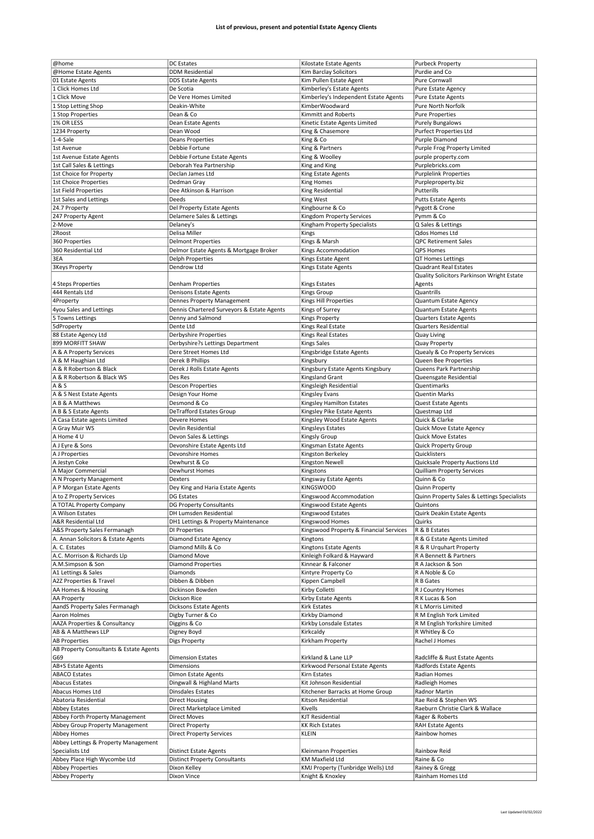| @home                                            |                                            |                                                        |                                             |
|--------------------------------------------------|--------------------------------------------|--------------------------------------------------------|---------------------------------------------|
|                                                  | <b>DC</b> Estates                          | Kilostate Estate Agents                                | <b>Purbeck Property</b>                     |
| @Home Estate Agents                              | <b>DDM Residential</b>                     | Kim Barclay Solicitors                                 | Purdie and Co                               |
| 01 Estate Agents                                 | <b>DDS Estate Agents</b>                   | Kim Pullen Estate Agent                                | Pure Cornwall                               |
| 1 Click Homes Ltd                                |                                            |                                                        |                                             |
|                                                  | De Scotia                                  | Kimberley's Estate Agents                              | Pure Estate Agency                          |
| 1 Click Move                                     | De Vere Homes Limited                      | Kimberley's Independent Estate Agents                  | <b>Pure Estate Agents</b>                   |
| 1 Stop Letting Shop                              | Deakin-White                               | KimberWoodward                                         | Pure North Norfolk                          |
| 1 Stop Properties                                | Dean & Co                                  | Kimmitt and Roberts                                    | <b>Pure Properties</b>                      |
|                                                  |                                            |                                                        |                                             |
| 1% OR LESS                                       | Dean Estate Agents                         | Kinetic Estate Agents Limited                          | <b>Purely Bungalows</b>                     |
| 1234 Property                                    | Dean Wood                                  | King & Chasemore                                       | <b>Purfect Properties Ltd</b>               |
| 1-4-Sale                                         | <b>Deans Properties</b>                    | King & Co                                              | Purple Diamond                              |
| 1st Avenue                                       | Debbie Fortune                             | King & Partners                                        | Purple Frog Property Limited                |
|                                                  |                                            |                                                        |                                             |
| 1st Avenue Estate Agents                         | Debbie Fortune Estate Agents               | King & Woolley                                         | purple property.com                         |
| 1st Call Sales & Lettings                        | Deborah Yea Partnership                    | King and King                                          | Purplebricks.com                            |
| 1st Choice for Property                          | Declan James Ltd                           | King Estate Agents                                     | <b>Purplelink Properties</b>                |
|                                                  |                                            |                                                        |                                             |
| 1st Choice Properties                            | Dedman Gray                                | <b>King Homes</b>                                      | Purpleproperty.biz                          |
| 1st Field Properties                             | Dee Atkinson & Harrison                    | King Residential                                       | Putterills                                  |
| 1st Sales and Lettings                           | Deeds                                      | King West                                              | <b>Putts Estate Agents</b>                  |
| 24.7 Property                                    | Del Property Estate Agents                 | Kingbourne & Co                                        | Pygott & Crone                              |
|                                                  |                                            |                                                        |                                             |
| 247 Property Agent                               | Delamere Sales & Lettings                  | Kingdom Property Services                              | Pymm & Co                                   |
| 2-Move                                           | Delaney's                                  | Kingham Property Specialists                           | Q Sales & Lettings                          |
| 2Roost                                           | Delisa Miller                              | Kings                                                  | Qdos Homes Ltd                              |
|                                                  |                                            |                                                        |                                             |
| 360 Properties                                   | <b>Delmont Properties</b>                  | Kings & Marsh                                          | <b>QPC Retirement Sales</b>                 |
| 360 Residential Ltd                              | Delmor Estate Agents & Mortgage Broker     | Kings Accommodation                                    | QPS Homes                                   |
| 3EA                                              | <b>Delph Properties</b>                    | Kings Estate Agent                                     | QT Homes Lettings                           |
|                                                  | Dendrow Ltd                                | Kings Estate Agents                                    | <b>Quadrant Real Estates</b>                |
| <b>3Keys Property</b>                            |                                            |                                                        |                                             |
|                                                  |                                            |                                                        | Quality Solicitors Parkinson Wright Estate  |
| 4 Steps Properties                               | Denham Properties                          | <b>Kings Estates</b>                                   | Agents                                      |
| 444 Rentals Ltd                                  | Denisons Estate Agents                     | Kings Group                                            | Quantrills                                  |
|                                                  |                                            |                                                        |                                             |
| 4Property                                        | <b>Dennes Property Management</b>          | Kings Hill Properties                                  | Quantum Estate Agency                       |
| 4you Sales and Lettings                          | Dennis Chartered Surveyors & Estate Agents | Kings of Surrey                                        | Quantum Estate Agents                       |
| 5 Towns Lettings                                 | Denny and Salmond                          | <b>Kings Property</b>                                  | Quarters Estate Agents                      |
|                                                  |                                            |                                                        |                                             |
| 5dProperty                                       | Dente Ltd                                  | Kings Real Estate                                      | <b>Quarters Residential</b>                 |
| 88 Estate Agency Ltd                             | Derbyshire Properties                      | Kings Real Estates                                     | Quay Living                                 |
| 899 MORFITT SHAW                                 | Derbyshire?s Lettings Department           | Kings Sales                                            | <b>Quay Property</b>                        |
|                                                  | Dere Street Homes Ltd                      |                                                        |                                             |
| A & A Property Services                          |                                            | Kingsbridge Estate Agents                              | Quealy & Co Property Services               |
| A & M Haughian Ltd                               | Derek B Phillips                           | Kingsbury                                              | Queen Bee Properties                        |
| A & R Robertson & Black                          | Derek J Rolls Estate Agents                | Kingsbury Estate Agents Kingsbury                      | Queens Park Partnership                     |
| A & R Robertson & Black WS                       | Des Res                                    | Kingsland Grant                                        |                                             |
|                                                  |                                            |                                                        | Queensgate Residential                      |
| A & S                                            | <b>Descon Properties</b>                   | Kingsleigh Residential                                 | Quentimarks                                 |
| A & S Nest Estate Agents                         | Design Your Home                           | Kingsley Evans                                         | <b>Quentin Marks</b>                        |
| A B & A Matthews                                 | Desmond & Co                               | Kingsley Hamilton Estates                              | Quest Estate Agents                         |
|                                                  |                                            |                                                        |                                             |
| A B & S Estate Agents                            | DeTrafford Estates Group                   | Kingsley Pike Estate Agents                            | Questmap Ltd                                |
| A Casa Estate agents Limited                     | Devere Homes                               | Kingsley Wood Estate Agents                            | Quick & Clarke                              |
| A Gray Muir WS                                   | Devlin Residential                         | Kingsleys Estates                                      | Quick Move Estate Agency                    |
| A Home 4 U                                       |                                            |                                                        |                                             |
|                                                  | Devon Sales & Lettings                     | <b>Kingsly Group</b>                                   | <b>Quick Move Estates</b>                   |
| A J Eyre & Sons                                  |                                            | Kingsman Estate Agents                                 | <b>Quick Property Group</b>                 |
|                                                  | Devonshire Estate Agents Ltd               |                                                        |                                             |
|                                                  |                                            |                                                        |                                             |
| A J Properties                                   | Devonshire Homes                           | Kingston Berkeley                                      | Quicklisters                                |
| A Jestyn Coke                                    | Dewhurst & Co                              | Kingston Newell                                        | Quicksale Property Auctions Ltd             |
| A Major Commercial                               | Dewhurst Homes                             | Kingstons                                              | Quilliam Property Services                  |
|                                                  | Dexters                                    |                                                        | Quinn & Co                                  |
| A N Property Management                          |                                            | Kingsway Estate Agents                                 |                                             |
| A P Morgan Estate Agents                         | Dey King and Haria Estate Agents           | <b>KINGSWOOD</b>                                       | Quinn Property                              |
| A to Z Property Services                         | <b>DG Estates</b>                          | Kingswood Accommodation                                | Quinn Property Sales & Lettings Specialists |
| A TOTAL Property Company                         | DG Property Consultants                    | Kingswood Estate Agents                                | Quintons                                    |
| A Wilson Estates                                 | DH Lumsden Residential                     | Kingswood Estates                                      |                                             |
|                                                  |                                            |                                                        | Quirk Deakin Estate Agents                  |
| <b>A&amp;R Residential Ltd</b>                   | DH1 Lettings & Property Maintenance        | Kingswood Homes                                        | Quirks                                      |
| A&S Property Sales Fermanagh                     | DI Properties                              | Kingswood Property & Financial Services                | R & B Estates                               |
| A. Annan Solicitors & Estate Agents              | Diamond Estate Agency                      | Kingtons                                               | R & G Estate Agents Limited                 |
|                                                  |                                            |                                                        |                                             |
| A. C. Estates                                    | Diamond Mills & Co                         | Kingtons Estate Agents                                 | R & R Urquhart Property                     |
| A.C. Morrison & Richards Llp                     | Diamond Move                               | Kinleigh Folkard & Hayward                             | R A Bennett & Partners                      |
| A.M.Simpson & Son                                | <b>Diamond Properties</b>                  | Kinnear & Falconer                                     | R A Jackson & Son                           |
| A1 Lettings & Sales                              | Diamonds                                   | Kintyre Property Co                                    | R A Noble & Co                              |
|                                                  |                                            |                                                        |                                             |
| A2Z Properties & Travel                          | Dibben & Dibben                            | Kippen Campbell                                        | R B Gates                                   |
| AA Homes & Housing                               | Dickinson Bowden                           | Kirby Colletti                                         | R J Country Homes                           |
| <b>AA Property</b>                               | Dickson Rice                               | Kirby Estate Agents                                    | R K Lucas & Son                             |
|                                                  |                                            |                                                        | R L Morris Limited                          |
| AandS Property Sales Fermanagh                   | <b>Dicksons Estate Agents</b>              | Kirk Estates                                           |                                             |
| Aaron Holmes                                     | Digby Turner & Co                          | Kirkby Diamond                                         | R M English York Limited                    |
| AAZA Properties & Consultancy                    | Diggins & Co                               | Kirkby Lonsdale Estates                                | R M English Yorkshire Limited               |
| AB & A Matthews LLP                              | Digney Boyd                                | Kirkcaldy                                              | R Whitley & Co                              |
|                                                  |                                            |                                                        |                                             |
| <b>AB Properties</b>                             | <b>Digs Property</b>                       | Kirkham Property                                       | Rachel J Homes                              |
| AB Property Consultants & Estate Agents          |                                            |                                                        |                                             |
| G69                                              | <b>Dimension Estates</b>                   | Kirkland & Lane LLP                                    | Radcliffe & Rust Estate Agents              |
|                                                  | Dimensions                                 | Kirkwood Personal Estate Agents                        | Radfords Estate Agents                      |
| AB+S Estate Agents                               |                                            |                                                        |                                             |
| <b>ABACO Estates</b>                             | Dimon Estate Agents                        | Kirn Estates                                           | Radian Homes                                |
| <b>Abacus Estates</b>                            | Dingwall & Highland Marts                  | Kit Johnson Residential                                | Radleigh Homes                              |
| Abacus Homes Ltd                                 | Dinsdales Estates                          | Kitchener Barracks at Home Group                       | Radnor Martin                               |
|                                                  |                                            |                                                        |                                             |
| Abatoria Residential                             | <b>Direct Housing</b>                      | Kitson Residential                                     | Rae Reid & Stephen WS                       |
| Abbey Estates                                    | Direct Marketplace Limited                 | Kivells                                                | Raeburn Christie Clark & Wallace            |
| Abbey Forth Property Management                  | <b>Direct Moves</b>                        | <b>KJT Residential</b>                                 | Rager & Roberts                             |
|                                                  |                                            |                                                        |                                             |
| Abbey Group Property Management                  | Direct Property                            | <b>KK Rich Estates</b>                                 | <b>RAH Estate Agents</b>                    |
| Abbey Homes                                      | <b>Direct Property Services</b>            | <b>KLEIN</b>                                           | Rainbow homes                               |
| Abbey Lettings & Property Management             |                                            |                                                        |                                             |
| Specialists Ltd                                  | <b>Distinct Estate Agents</b>              | Kleinmann Properties                                   | Rainbow Reid                                |
|                                                  |                                            |                                                        |                                             |
| Abbey Place High Wycombe Ltd                     | <b>Distinct Property Consultants</b>       | KM Maxfield Ltd                                        | Raine & Co                                  |
| <b>Abbey Properties</b><br><b>Abbey Property</b> | Dixon Kelley<br>Dixon Vince                | KMJ Property (Tunbridge Wells) Ltd<br>Knight & Knoxley | Rainey & Gregg<br>Rainham Homes Ltd         |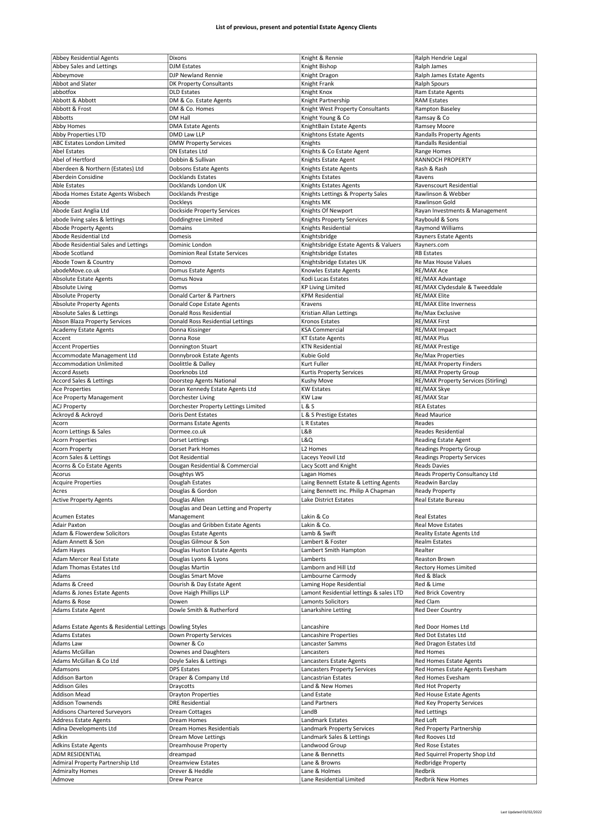| <b>Abbey Residential Agents</b>                           | Dixons                                | Knight & Rennie                           | Ralph Hendrie Legal                 |
|-----------------------------------------------------------|---------------------------------------|-------------------------------------------|-------------------------------------|
| Abbey Sales and Lettings                                  | <b>DJM Estates</b>                    | Knight Bishop                             | Ralph James                         |
| Abbeymove                                                 | DJP Newland Rennie                    | Knight Dragon                             | Ralph James Estate Agents           |
|                                                           |                                       |                                           |                                     |
| Abbot and Slater                                          | DK Property Consultants               | Knight Frank                              | <b>Ralph Spours</b>                 |
| abbotfox                                                  | <b>DLD</b> Estates                    | Knight Knox                               | Ram Estate Agents                   |
| Abbott & Abbott                                           | DM & Co. Estate Agents                | Knight Partnership                        | <b>RAM Estates</b>                  |
| Abbott & Frost                                            | DM & Co. Homes                        | Knight West Property Consultants          | Rampton Baseley                     |
| Abbotts                                                   | DM Hall                               | Knight Young & Co                         | Ramsay & Co                         |
|                                                           |                                       |                                           |                                     |
| <b>Abby Homes</b>                                         | <b>DMA Estate Agents</b>              | KnightBain Estate Agents                  | Ramsey Moore                        |
| Abby Properties LTD                                       | DMD Law LLP                           | Knightons Estate Agents                   | Randalls Property Agents            |
| ABC Estates London Limited                                | <b>DMW Property Services</b>          | Knights                                   | Randalls Residential                |
| <b>Abel Estates</b>                                       | DN Estates Ltd                        | Knights & Co Estate Agent                 | Range Homes                         |
| Abel of Hertford                                          | Dobbin & Sullivan                     |                                           | <b>RANNOCH PROPERTY</b>             |
|                                                           |                                       | Knights Estate Agent                      |                                     |
| Aberdeen & Northern (Estates) Ltd                         | Dobsons Estate Agents                 | Knights Estate Agents                     | Rash & Rash                         |
| Aberdein Considine                                        | <b>Docklands Estates</b>              | Knights Estates                           | Ravens                              |
| <b>Able Estates</b>                                       | Docklands London UK                   | Knights Estates Agents                    | Ravenscourt Residential             |
| Aboda Homes Estate Agents Wisbech                         | Docklands Prestige                    | Knights Lettings & Property Sales         | Rawlinson & Webber                  |
|                                                           |                                       |                                           |                                     |
| Abode                                                     | Dockleys                              | Knights MK                                | Rawlinson Gold                      |
| Abode East Anglia Ltd                                     | Dockside Property Services            | Knights Of Newport                        | Rayan Investments & Management      |
| abode living sales & lettings                             | Doddingtree Limited                   | Knights Property Services                 | Raybould & Sons                     |
| Abode Property Agents                                     | Domains                               | Knights Residential                       | <b>Raymond Williams</b>             |
| Abode Residential Ltd                                     | Domesis                               | Knightsbridge                             | Rayners Estate Agents               |
|                                                           |                                       |                                           |                                     |
| Abode Residential Sales and Lettings                      | Dominic London                        | Knightsbridge Estate Agents & Valuers     | Rayners.com                         |
| Abode Scotland                                            | Dominion Real Estate Services         | Knightsbridge Estates                     | <b>RB Estates</b>                   |
| Abode Town & Country                                      | Domovo                                | Knightsbridge Estates UK                  | Re Max House Values                 |
| abodeMove.co.uk                                           | Domus Estate Agents                   | Knowles Estate Agents                     | RE/MAX Ace                          |
| Absolute Estate Agents                                    | Domus Nova                            | Kodi Lucas Estates                        | RE/MAX Advantage                    |
|                                                           |                                       |                                           |                                     |
| <b>Absolute Living</b>                                    | Domys                                 | <b>KP Living Limited</b>                  | RE/MAX Clydesdale & Tweeddale       |
| <b>Absolute Property</b>                                  | Donald Carter & Partners              | KPM Residential                           | <b>RE/MAX Elite</b>                 |
| <b>Absolute Property Agents</b>                           | Donald Cope Estate Agents             | Kravens                                   | <b>RE/MAX Elite Inverness</b>       |
| Absolute Sales & Lettings                                 | Donald Ross Residential               | Kristian Allan Lettings                   | Re/Max Exclusive                    |
|                                                           |                                       |                                           |                                     |
| Abson Blaza Property Services                             | Donald Ross Residential Lettings      | Kronos Estates                            | <b>RE/MAX First</b>                 |
| <b>Academy Estate Agents</b>                              | Donna Kissinger                       | KSA Commercial                            | RE/MAX Impact                       |
| Accent                                                    | Donna Rose                            | <b>KT Estate Agents</b>                   | <b>RE/MAX Plus</b>                  |
| <b>Accent Properties</b>                                  | Donnington Stuart                     | <b>KTN Residential</b>                    | <b>RE/MAX Prestige</b>              |
| Accommodate Management Ltd                                |                                       | Kubie Gold                                |                                     |
|                                                           | Donnybrook Estate Agents              |                                           | Re/Max Properties                   |
| <b>Accommodation Unlimited</b>                            | Doolittle & Dalley                    | Kurt Fuller                               | <b>RE/MAX Property Finders</b>      |
| <b>Accord Assets</b>                                      | Doorknobs Ltd                         | Kurtis Property Services                  | <b>RE/MAX Property Group</b>        |
| Accord Sales & Lettings                                   | Doorstep Agents National              | Kushy Move                                | RE/MAX Property Services (Stirling) |
| <b>Ace Properties</b>                                     | Doran Kennedy Estate Agents Ltd       | <b>KW Estates</b>                         | RE/MAX Skye                         |
|                                                           |                                       |                                           |                                     |
| <b>Ace Property Management</b>                            | Dorchester Living                     | <b>KW Law</b>                             | RE/MAX Star                         |
| <b>ACJ Property</b>                                       | Dorchester Property Lettings Limited  | L & S                                     | <b>REA Estates</b>                  |
| Ackroyd & Ackroyd                                         | <b>Doris Dent Estates</b>             | L & S Prestige Estates                    | <b>Read Maurice</b>                 |
| Acorn                                                     | Dormans Estate Agents                 | L R Estates                               | Reades                              |
|                                                           |                                       |                                           |                                     |
|                                                           |                                       |                                           |                                     |
| Acorn Lettings & Sales                                    | Dormee.co.uk                          | L&B                                       | Reades Residential                  |
| <b>Acorn Properties</b>                                   | <b>Dorset Lettings</b>                | L&Q                                       | Reading Estate Agent                |
| <b>Acorn Property</b>                                     | Dorset Park Homes                     | L <sub>2</sub> Homes                      | Readings Property Group             |
|                                                           |                                       |                                           |                                     |
| Acorn Sales & Lettings                                    | Dot Residential                       | Laceys Yeovil Ltd                         | <b>Readings Property Services</b>   |
| Acorns & Co Estate Agents                                 | Dougan Residential & Commercial       | Lacy Scott and Knight                     | Reads Davies                        |
| Acorus                                                    | Doughtys WS                           | Lagan Homes                               | Reads Property Consultancy Ltd      |
| <b>Acquire Properties</b>                                 | Douglah Estates                       | Laing Bennett Estate & Letting Agents     | Readwin Barclay                     |
| Acres                                                     | Douglas & Gordon                      | Laing Bennett inc. Philip A Chapman       | <b>Ready Property</b>               |
|                                                           |                                       |                                           |                                     |
| <b>Active Property Agents</b>                             | Douglas Allen                         | Lake District Estates                     | Real Estate Bureau                  |
|                                                           | Douglas and Dean Letting and Property |                                           |                                     |
| <b>Acumen Estates</b>                                     | Management                            | Lakin & Co                                | <b>Real Estates</b>                 |
| <b>Adair Paxton</b>                                       | Douglas and Gribben Estate Agents     | Lakin & Co.                               | <b>Real Move Estates</b>            |
| Adam & Flowerdew Solicitors                               | Douglas Estate Agents                 | Lamb & Swift                              | <b>Reality Estate Agents Ltd</b>    |
| Adam Annett & Son                                         | Douglas Gilmour & Son                 | Lambert & Foster                          | Realm Estates                       |
|                                                           |                                       |                                           | Realter                             |
| Adam Hayes                                                | Douglas Huston Estate Agents          | Lambert Smith Hampton                     |                                     |
| Adam Mercer Real Estate                                   | Douglas Lyons & Lyons                 | Lamberts                                  | Reaston Brown                       |
| Adam Thomas Estates Ltd                                   | Douglas Martin                        | Lamborn and Hill Ltd                      | <b>Rectory Homes Limited</b>        |
| Adams                                                     | Douglas Smart Move                    | Lambourne Carmody                         | Red & Black                         |
| Adams & Creed                                             | Dourish & Day Estate Agent            | Laming Hope Residential                   | Red & Lime                          |
| Adams & Jones Estate Agents                               | Dove Haigh Phillips LLP               | Lamont Residential lettings & sales LTD   | <b>Red Brick Coventry</b>           |
|                                                           |                                       |                                           |                                     |
| Adams & Rose                                              | Dowen                                 | Lamonts Solicitors                        | Red Clam                            |
| Adams Estate Agent                                        | Dowle Smith & Rutherford              | Lanarkshire Letting                       | Red Deer Country                    |
|                                                           |                                       |                                           |                                     |
| Adams Estate Agents & Residential Lettings Dowling Styles |                                       | Lancashire                                | Red Door Homes Ltd                  |
|                                                           |                                       |                                           |                                     |
| <b>Adams Estates</b>                                      | Down Property Services                | Lancashire Properties                     | Red Dot Estates Ltd                 |
| Adams Law                                                 | Downer & Co                           | Lancaster Samms                           | Red Dragon Estates Ltd              |
| Adams McGillan                                            | Downes and Daughters                  | Lancasters                                | Red Homes                           |
| Adams McGillan & Co Ltd                                   | Doyle Sales & Lettings                | Lancasters Estate Agents                  | Red Homes Estate Agents             |
| Adamsons                                                  | <b>DPS Estates</b>                    | <b>Lancasters Property Services</b>       | Red Homes Estate Agents Evesham     |
|                                                           |                                       |                                           |                                     |
| Addison Barton                                            | Draper & Company Ltd                  | Lancastrian Estates                       | Red Homes Evesham                   |
| <b>Addison Giles</b>                                      | Draycotts                             | Land & New Homes                          | Red Hot Property                    |
| <b>Addison Mead</b>                                       | <b>Drayton Properties</b>             | Land Estate                               | Red House Estate Agents             |
| <b>Addison Townends</b>                                   | <b>DRE Residential</b>                | <b>Land Partners</b>                      | Red Key Property Services           |
| Addisons Chartered Surveyors                              | <b>Dream Cottages</b>                 | LandB                                     | <b>Red Lettings</b>                 |
|                                                           |                                       |                                           |                                     |
| <b>Address Estate Agents</b>                              | <b>Dream Homes</b>                    | Landmark Estates                          | Red Loft                            |
| Adina Developments Ltd                                    | Dream Homes Residentials              | Landmark Property Services                | Red Property Partnership            |
| Adkin                                                     | Dream Move Lettings                   | Landmark Sales & Lettings                 | Red Rooves Ltd                      |
| Adkins Estate Agents                                      | Dreamhouse Property                   | Landwood Group                            | <b>Red Rose Estates</b>             |
| ADM RESIDENTIAL                                           | dreampad                              | Lane & Bennetts                           | Red Squirrel Property Shop Ltd      |
|                                                           |                                       |                                           |                                     |
| Admiral Property Partnership Ltd                          | <b>Dreamview Estates</b>              | Lane & Browns                             | Redbridge Property                  |
| <b>Admiralty Homes</b><br>Admove                          | Drever & Heddle<br><b>Drew Pearce</b> | Lane & Holmes<br>Lane Residential Limited | Redbrik<br>Redbrik New Homes        |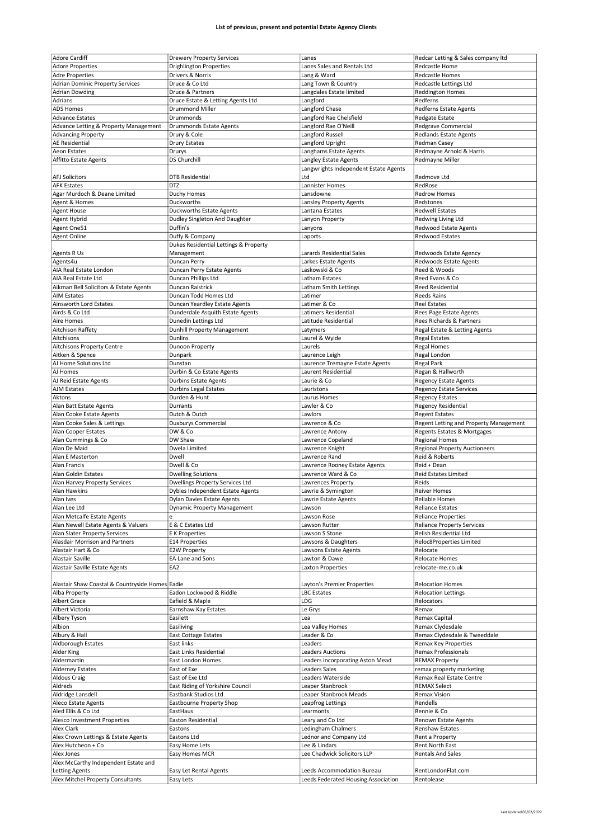| <b>Adore Cardiff</b>                            | <b>Drewery Property Services</b>      | Lanes                                 | Redcar Letting & Sales company Itd     |
|-------------------------------------------------|---------------------------------------|---------------------------------------|----------------------------------------|
|                                                 |                                       |                                       |                                        |
| <b>Adore Properties</b>                         | <b>Drighlington Properties</b>        | Lanes Sales and Rentals Ltd           | Redcastle Home                         |
| <b>Adre Properties</b>                          | Drivers & Norris                      | Lang & Ward                           | <b>Redcastle Homes</b>                 |
| <b>Adrian Dominic Property Services</b>         | Druce & Co Ltd                        | Lang Town & Country                   | Redcastle Lettings Ltd                 |
|                                                 |                                       |                                       |                                        |
| <b>Adrian Dowding</b>                           | Druce & Partners                      | Langdales Estate limited              | <b>Reddington Homes</b>                |
| Adrians                                         | Druce Estate & Letting Agents Ltd     | Langford                              | Redferns                               |
| <b>ADS Homes</b>                                | <b>Drummond Miller</b>                | Langford Chase                        | Redferns Estate Agents                 |
|                                                 |                                       | Langford Rae Chelsfield               |                                        |
| <b>Advance Estates</b>                          | Drummonds                             |                                       | Redgate Estate                         |
| Advance Letting & Property Management           | Drummonds Estate Agents               | Langford Rae O'Neill                  | Redgrave Commercial                    |
| <b>Advancing Property</b>                       | Drury & Cole                          | Langford Russell                      | <b>Redlands Estate Agents</b>          |
|                                                 |                                       |                                       |                                        |
| <b>AE Residential</b>                           | <b>Drury Estates</b>                  | Langford Upright                      | Redman Casey                           |
| Aeon Estates                                    | Drurys                                | Langhams Estate Agents                | Redmayne Arnold & Harris               |
| Affitto Estate Agents                           | <b>DS Churchill</b>                   | Langley Estate Agents                 | Redmayne Miller                        |
|                                                 |                                       |                                       |                                        |
|                                                 |                                       | Langwrights Independent Estate Agents |                                        |
| <b>AFJ Solicitors</b>                           | <b>DTB Residential</b>                | Ltd                                   | Redmove Ltd                            |
| <b>AFK Estates</b>                              | <b>DTZ</b>                            | Lannister Homes                       | RedRose                                |
| Agar Murdoch & Deane Limited                    | Duchy Homes                           | Lansdowne                             | <b>Redrow Homes</b>                    |
|                                                 |                                       |                                       |                                        |
| Agent & Homes                                   | Duckworths                            | Lansley Property Agents               | Redstones                              |
| <b>Agent House</b>                              | <b>Duckworths Estate Agents</b>       | Lantana Estates                       | <b>Redwell Estates</b>                 |
| Agent Hybrid                                    | Dudley Singleton And Daughter         |                                       |                                        |
|                                                 |                                       | Lanyon Property                       | Redwing Living Ltd                     |
| Agent One51                                     | Duffin's                              | Lanyons                               | <b>Redwood Estate Agents</b>           |
| <b>Agent Online</b>                             | Duffy & Company                       | Laports                               | <b>Redwood Estates</b>                 |
|                                                 |                                       |                                       |                                        |
|                                                 | Dukes Residential Lettings & Property |                                       |                                        |
| Agents R Us                                     | Management                            | Larards Residential Sales             | Redwoods Estate Agency                 |
| Agents4u                                        | Duncan Perry                          | Larkes Estate Agents                  | Redwoods Estate Agents                 |
|                                                 |                                       |                                       |                                        |
| AIA Real Estate London                          | Duncan Perry Estate Agents            | Laskowski & Co                        | Reed & Woods                           |
| AIA Real Estate Ltd                             | Duncan Phillips Ltd                   | Latham Estates                        | Reed Evans & Co                        |
| Aikman Bell Solicitors & Estate Agents          | Duncan Raistrick                      | Latham Smith Lettings                 | <b>Reed Residential</b>                |
|                                                 |                                       |                                       |                                        |
| <b>AIM Estates</b>                              | Duncan Todd Homes Ltd                 | Latimer                               | <b>Reeds Rains</b>                     |
| Ainsworth Lord Estates                          | Duncan Yeardley Estate Agents         | Latimer & Co                          | <b>Reel Estates</b>                    |
|                                                 |                                       |                                       |                                        |
| Airds & Co Ltd                                  | Dunderdale Asquith Estate Agents      | Latimers Residential                  | Rees Page Estate Agents                |
| Aire Homes                                      | Dunedin Lettings Ltd                  | Latitude Residential                  | Rees Richards & Partners               |
| Aitchison Raffety                               | Dunhill Property Management           | Latymers                              | Regal Estate & Letting Agents          |
|                                                 |                                       |                                       |                                        |
| Aitchisons                                      | <b>Dunlins</b>                        | Laurel & Wylde                        | <b>Regal Estates</b>                   |
| Aitchisons Property Centre                      | Dunoon Property                       | Laurels                               | <b>Regal Homes</b>                     |
| Aitken & Spence                                 | Dunpark                               | Laurence Leigh                        | Regal London                           |
|                                                 |                                       |                                       |                                        |
| AJ Home Solutions Ltd                           | Dunstan                               | Laurence Tremayne Estate Agents       | <b>Regal Park</b>                      |
| AJ Homes                                        | Durbin & Co Estate Agents             | Laurent Residential                   | Regan & Hallworth                      |
| AJ Reid Estate Agents                           |                                       | Laurie & Co                           |                                        |
|                                                 | <b>Durbins Estate Agents</b>          |                                       | <b>Regency Estate Agents</b>           |
| <b>AJM Estates</b>                              | <b>Durbins Legal Estates</b>          | Lauristons                            | <b>Regency Estate Services</b>         |
| Aktons                                          | Durden & Hunt                         | Laurus Homes                          | <b>Regency Estates</b>                 |
|                                                 |                                       |                                       |                                        |
| Alan Batt Estate Agents                         | Durrants                              | Lawler & Co                           | <b>Regency Residential</b>             |
| Alan Cooke Estate Agents                        | Dutch & Dutch                         | Lawlors                               | <b>Regent Estates</b>                  |
|                                                 | Duxburys Commercial                   | Lawrence & Co                         | Regent Letting and Property Management |
|                                                 |                                       |                                       |                                        |
| Alan Cooke Sales & Lettings                     |                                       |                                       |                                        |
| Alan Cooper Estates                             | DW & Co                               | Lawrence Antony                       | Regents Estates & Mortgages            |
|                                                 |                                       |                                       |                                        |
| Alan Cummings & Co                              | DW Shaw                               | Lawrence Copeland                     | <b>Regional Homes</b>                  |
| Alan De Maid                                    | Dwela Limited                         | Lawrence Knight                       | <b>Regional Property Auctioneers</b>   |
| Alan E Masterton                                | Dwell                                 | Lawrence Rand                         | Reid & Roberts                         |
| Alan Francis                                    | Dwell & Co                            |                                       |                                        |
|                                                 |                                       | Lawrence Rooney Estate Agents         | Reid + Dean                            |
| Alan Goldin Estates                             | <b>Dwelling Solutions</b>             | Lawrence Ward & Co                    | <b>Reid Estates Limited</b>            |
| Alan Harvey Property Services                   | Dwellings Property Services Ltd       | Lawrences Property                    | Reids                                  |
|                                                 |                                       |                                       |                                        |
| Alan Hawkins                                    | Dybles Independent Estate Agents      | Lawrie & Symington                    | <b>Reiver Homes</b>                    |
| Alan Ives                                       | Dylan Davies Estate Agents            | Lawrie Estate Agents                  | <b>Reliable Homes</b>                  |
| Alan Lee Ltd                                    | <b>Dynamic Property Management</b>    | Lawson                                | <b>Reliance Estates</b>                |
|                                                 |                                       |                                       |                                        |
| Alan Metcalfe Estate Agents                     | e                                     | Lawson Rose                           | <b>Reliance Properties</b>             |
| Alan Newell Estate Agents & Valuers             | E & C Estates Ltd                     | Lawson Rutter                         | <b>Reliance Property Services</b>      |
| Alan Slater Property Services                   | E K Properties                        | Lawson S Stone                        | Relish Residential Ltd                 |
|                                                 |                                       |                                       |                                        |
| Alasdair Morrison and Partners                  | E14 Properties                        | Lawsons & Daughters                   | Reloc8Properties Limited               |
| Alastair Hart & Co                              | <b>E2W Property</b>                   | Lawsons Estate Agents                 | Relocate                               |
| Alastair Saville                                | EA Lane and Sons                      | Lawton & Dawe                         | Relocate Homes                         |
|                                                 |                                       |                                       |                                        |
| Alastair Saville Estate Agents                  | EA2                                   | <b>Laxton Properties</b>              | relocate-me.co.uk                      |
|                                                 |                                       |                                       |                                        |
| Alastair Shaw Coastal & Countryside Homes Eadie |                                       | Layton's Premier Properties           | <b>Relocation Homes</b>                |
|                                                 |                                       |                                       | <b>Relocation Lettings</b>             |
| Alba Property                                   | Eadon Lockwood & Riddle               | LBC Estates                           |                                        |
| Albert Grace                                    | Eafield & Maple                       | LDG                                   | Relocators                             |
| Albert Victoria                                 | Earnshaw Kay Estates                  | Le Grys                               | Remax                                  |
|                                                 |                                       |                                       |                                        |
| Albery Tyson                                    | Easilett                              | Lea                                   | Remax Capital                          |
| Albion                                          | Easiliving                            | Lea Valley Homes                      | Remax Clydesdale                       |
| Albury & Hall                                   | East Cottage Estates                  | Leader & Co                           | Remax Clydesdale & Tweeddale           |
|                                                 |                                       |                                       |                                        |
| Aldborough Estates                              | East links                            | Leaders                               | Remax Key Properties                   |
| Alder King                                      | East Links Residential                | <b>Leaders Auctions</b>               | Remax Professionals                    |
| Aldermartin                                     | East London Homes                     | Leaders incorporating Aston Mead      | <b>REMAX Property</b>                  |
|                                                 |                                       |                                       |                                        |
| <b>Alderney Estates</b>                         | East of Exe                           | <b>Leaders Sales</b>                  | remax property marketing               |
| <b>Aldous Craig</b>                             | East of Exe Ltd                       | Leaders Waterside                     | Remax Real Estate Centre               |
|                                                 |                                       |                                       |                                        |
| Aldreds                                         | East Riding of Yorkshire Council      | Leaper Stanbrook                      | <b>REMAX Select</b>                    |
| Aldridge Lansdell                               | Eastbank Studios Ltd                  | Leaper Stanbrook Meads                | Remax Vision                           |
| Aleco Estate Agents                             |                                       |                                       | Rendells                               |
|                                                 | Eastbourne Property Shop              | Leapfrog Lettings                     |                                        |
| Aled Ellis & Co Ltd                             | EastHaus                              | Learmonts                             | Rennie & Co                            |
| Alesco Investment Properties                    | Easton Residential                    | Leary and Co Ltd                      | Renown Estate Agents                   |
|                                                 |                                       |                                       |                                        |
| Alex Clark                                      | Eastons                               | Ledingham Chalmers                    | Renshaw Estates                        |
| Alex Crown Lettings & Estate Agents             | Eastons Ltd                           | Lednor and Company Ltd                | Rent a Property                        |
| Alex Hutcheon + Co                              | Easy Home Lets                        | Lee & Lindars                         | Rent North East                        |
| Alex Jones                                      |                                       |                                       | <b>Rentals And Sales</b>               |
|                                                 | Easy Homes MCR                        | Lee Chadwick Solicitors LLP           |                                        |
| Alex McCarthy Independent Estate and            |                                       |                                       |                                        |
| <b>Letting Agents</b>                           | Easy Let Rental Agents                | Leeds Accommodation Bureau            | RentLondonFlat.com                     |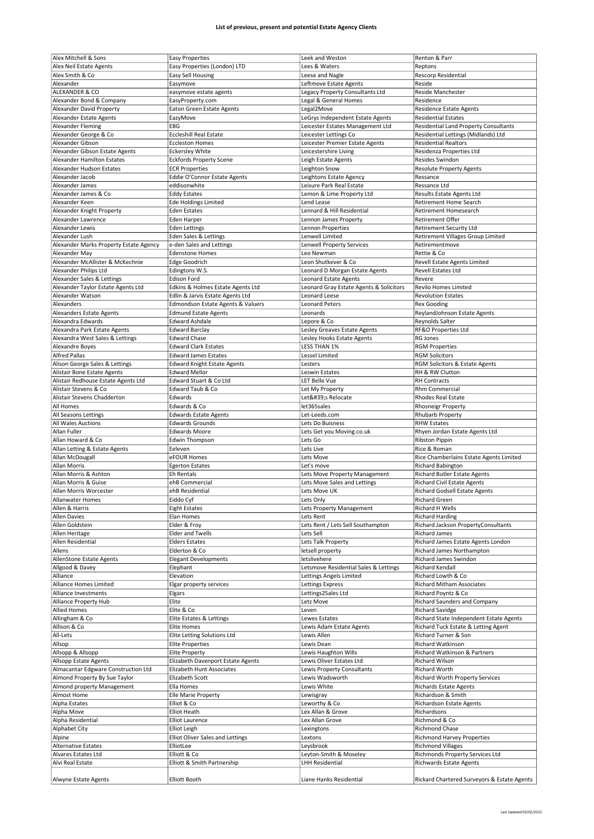| Alex Neil Estate Agents<br>Easy Properties (London) LTD<br>Lees & Waters<br>Reptons<br>Alex Smith & Co<br>Rescorp Residential<br>Easy Sell Housing<br>Leese and Nagle<br>Alexander<br>Leftmove Estate Agents<br>Reside<br>Easymove<br>ALEXANDER & CO<br>Legacy Property Consultants Ltd<br><b>Reside Manchester</b><br>easymove estate agents<br>Alexander Bond & Company<br>EasyProperty.com<br>Legal & General Homes<br>Residence<br>Alexander David Property<br>Legal2Move<br><b>Residence Estate Agents</b><br><b>Eaton Green Estate Agents</b> |  |
|-----------------------------------------------------------------------------------------------------------------------------------------------------------------------------------------------------------------------------------------------------------------------------------------------------------------------------------------------------------------------------------------------------------------------------------------------------------------------------------------------------------------------------------------------------|--|
|                                                                                                                                                                                                                                                                                                                                                                                                                                                                                                                                                     |  |
|                                                                                                                                                                                                                                                                                                                                                                                                                                                                                                                                                     |  |
|                                                                                                                                                                                                                                                                                                                                                                                                                                                                                                                                                     |  |
|                                                                                                                                                                                                                                                                                                                                                                                                                                                                                                                                                     |  |
|                                                                                                                                                                                                                                                                                                                                                                                                                                                                                                                                                     |  |
| <b>Residential Estates</b><br>Alexander Estate Agents<br>EazyMove<br>LeGrys Independent Estate Agents                                                                                                                                                                                                                                                                                                                                                                                                                                               |  |
| EBG<br><b>Residential Land Property Consultants</b><br>Alexander Fleming<br>Leicester Estates Management Ltd                                                                                                                                                                                                                                                                                                                                                                                                                                        |  |
| Alexander George & Co<br><b>Eccleshill Real Estate</b><br>Leicester Lettings Co<br>Residential Lettings (Midlands) Ltd                                                                                                                                                                                                                                                                                                                                                                                                                              |  |
| Alexander Gibson<br><b>Eccleston Homes</b><br><b>Residential Realtors</b><br>Leicester Premier Estate Agents                                                                                                                                                                                                                                                                                                                                                                                                                                        |  |
| Alexander Gibson Estate Agents<br><b>Eckersley White</b><br>Leicestershire Living<br>Residenza Properties Ltd                                                                                                                                                                                                                                                                                                                                                                                                                                       |  |
| Alexander Hamilton Estates<br><b>Eckfords Property Scene</b><br><b>Resides Swindon</b><br>Leigh Estate Agents                                                                                                                                                                                                                                                                                                                                                                                                                                       |  |
| Alexander Hudson Estates<br><b>ECR Properties</b><br>Leighton Snow<br><b>Resolute Property Agents</b>                                                                                                                                                                                                                                                                                                                                                                                                                                               |  |
| Eddie O'Connor Estate Agents<br>Alexander Jacob<br>Leightons Estate Agency<br>Ressance                                                                                                                                                                                                                                                                                                                                                                                                                                                              |  |
| Alexander James<br>Leisure Park Real Estate<br>Ressance Ltd<br>eddisonwhite                                                                                                                                                                                                                                                                                                                                                                                                                                                                         |  |
| Lemon & Lime Property Ltd<br>Alexander James & Co<br><b>Eddy Estates</b><br><b>Results Estate Agents Ltd</b>                                                                                                                                                                                                                                                                                                                                                                                                                                        |  |
| Alexander Keen<br><b>Ede Holdings Limited</b><br>Retirement Home Search<br>Lend Lease                                                                                                                                                                                                                                                                                                                                                                                                                                                               |  |
| Lennard & Hill Residential<br>Retirement Homesearch<br>Alexander Knight Property<br><b>Eden Estates</b>                                                                                                                                                                                                                                                                                                                                                                                                                                             |  |
| Alexander Lawrence<br>Retirement Offer<br>Lennon James Property<br>Eden Harper                                                                                                                                                                                                                                                                                                                                                                                                                                                                      |  |
| Alexander Lewis<br>Retirement Security Ltd<br><b>Eden Lettings</b><br>Lennon Properties                                                                                                                                                                                                                                                                                                                                                                                                                                                             |  |
| Lenwell Limited<br>Retirement Villages Group Limited<br>Alexander Lush<br>Eden Sales & Lettings                                                                                                                                                                                                                                                                                                                                                                                                                                                     |  |
| Alexander Marks Property Estate Agency<br><b>Lenwell Property Services</b><br>e-den Sales and Lettings<br>Retirementmove                                                                                                                                                                                                                                                                                                                                                                                                                            |  |
| Rettie & Co<br>Alexander May<br><b>Edenstone Homes</b><br>Leo Newman                                                                                                                                                                                                                                                                                                                                                                                                                                                                                |  |
| Revell Estate Agents Limited<br>Alexander McAllister & McKechnie<br><b>Edge Goodrich</b><br>Leon Shutkever & Co                                                                                                                                                                                                                                                                                                                                                                                                                                     |  |
| Revell Estates Ltd<br>Alexander Philips Ltd<br>Edingtons W.S.<br>Leonard D Morgan Estate Agents                                                                                                                                                                                                                                                                                                                                                                                                                                                     |  |
| Alexander Sales & Lettings<br>Edison Ford<br>Leonard Estate Agents<br>Revere                                                                                                                                                                                                                                                                                                                                                                                                                                                                        |  |
| Alexander Taylor Estate Agents Ltd<br>Edkins & Holmes Estate Agents Ltd<br>Leonard Gray Estate Agents & Solicitors<br><b>Revilo Homes Limited</b>                                                                                                                                                                                                                                                                                                                                                                                                   |  |
| Alexander Watson<br>Edlin & Jarvis Estate Agents Ltd<br>Leonard Leese<br><b>Revolution Estates</b>                                                                                                                                                                                                                                                                                                                                                                                                                                                  |  |
| Alexanders<br>Edmondson Estate Agents & Valuers<br><b>Leonard Peters</b><br><b>Rex Gooding</b>                                                                                                                                                                                                                                                                                                                                                                                                                                                      |  |
| <b>Alexanders Estate Agents</b><br><b>Edmund Estate Agents</b><br>Leonards<br>ReylandJohnson Estate Agents                                                                                                                                                                                                                                                                                                                                                                                                                                          |  |
| Alexandra Edwards<br><b>Edward Ashdale</b><br>Lepore & Co<br>Reynolds Salter                                                                                                                                                                                                                                                                                                                                                                                                                                                                        |  |
| RF&O Properties Ltd<br>Alexandra Park Estate Agents<br><b>Edward Barclay</b><br>Lesley Greaves Estate Agents                                                                                                                                                                                                                                                                                                                                                                                                                                        |  |
| Alexandra West Sales & Lettings<br><b>Edward Chase</b><br>Lesley Hooks Estate Agents<br><b>RG Jones</b>                                                                                                                                                                                                                                                                                                                                                                                                                                             |  |
| Alexandre Boyes<br><b>Edward Clark Estates</b><br><b>LESS THAN 1%</b><br><b>RGM Properties</b>                                                                                                                                                                                                                                                                                                                                                                                                                                                      |  |
| <b>Alfred Pallas</b><br><b>Edward James Estates</b><br>Lessel Limited<br><b>RGM Solicitors</b>                                                                                                                                                                                                                                                                                                                                                                                                                                                      |  |
| Alison George Sales & Lettings<br><b>Edward Knight Estate Agents</b><br>RGM Solicitors & Estate Agents<br>Lesters                                                                                                                                                                                                                                                                                                                                                                                                                                   |  |
| Alistair Bone Estate Agents<br><b>Edward Mellor</b><br>Leswin Estates<br>RH & RW Clutton                                                                                                                                                                                                                                                                                                                                                                                                                                                            |  |
| Alistair Redhouse Estate Agents Ltd<br>Edward Stuart & Co Ltd<br>LET Belle Vue<br><b>RH Contracts</b>                                                                                                                                                                                                                                                                                                                                                                                                                                               |  |
| Alistair Stevens & Co<br>Edward Taub & Co<br>Rhm Commercial<br>Let My Property                                                                                                                                                                                                                                                                                                                                                                                                                                                                      |  |
| Alistair Stevens Chadderton<br>Edwards<br>Let's Relocate<br><b>Rhodes Real Estate</b>                                                                                                                                                                                                                                                                                                                                                                                                                                                               |  |
| All Homes<br>Edwards & Co<br>let365sales<br><b>Rhosneigr Property</b>                                                                                                                                                                                                                                                                                                                                                                                                                                                                               |  |
| All Seasons Lettings<br><b>Edwards Estate Agents</b><br>Let-Leeds.com<br>Rhubarb Property                                                                                                                                                                                                                                                                                                                                                                                                                                                           |  |
|                                                                                                                                                                                                                                                                                                                                                                                                                                                                                                                                                     |  |
| All Wales Auctions<br><b>Edwards Grounds</b><br>Lets Do Buisness<br><b>RHW Estates</b>                                                                                                                                                                                                                                                                                                                                                                                                                                                              |  |
| Allan Fuller<br>Rhyen Jordan Estate Agents Ltd<br><b>Edwards Moore</b><br>Lets Get you Moving.co.uk                                                                                                                                                                                                                                                                                                                                                                                                                                                 |  |
| Allan Howard & Co<br><b>Ribston Pippin</b><br><b>Edwin Thompson</b><br>Lets Go                                                                                                                                                                                                                                                                                                                                                                                                                                                                      |  |
| Eeleven<br>Lets Live<br>Rice & Roman<br>Allan Letting & Estate Agents                                                                                                                                                                                                                                                                                                                                                                                                                                                                               |  |
| Allan McDougall<br>eFOUR Homes<br>Lets Move<br>Rice Chamberlains Estate Agents Limited                                                                                                                                                                                                                                                                                                                                                                                                                                                              |  |
| <b>Allan Morris</b><br><b>Egerton Estates</b><br>Let's move<br><b>Richard Babington</b>                                                                                                                                                                                                                                                                                                                                                                                                                                                             |  |
| Allan Morris & Ashton<br>Eh Rentals<br>Lets Move Property Management<br>Richard Butler Estate Agents                                                                                                                                                                                                                                                                                                                                                                                                                                                |  |
| Lets Move Sales and Lettings<br>Allan Morris & Guise<br>ehB Commercial<br><b>Richard Civil Estate Agents</b>                                                                                                                                                                                                                                                                                                                                                                                                                                        |  |
| Lets Move UK<br>Richard Godsell Estate Agents<br>Allan Morris Worcester<br>ehB Residential                                                                                                                                                                                                                                                                                                                                                                                                                                                          |  |
| Eiddo Cyf<br>Lets Only<br>Allanwater Homes<br>Richard Green                                                                                                                                                                                                                                                                                                                                                                                                                                                                                         |  |
| Allen & Harris<br><b>Eight Estates</b><br>Lets Property Management<br>Richard H Wells                                                                                                                                                                                                                                                                                                                                                                                                                                                               |  |
| <b>Allen Davies</b><br>Elan Homes<br><b>Richard Harding</b><br>Lets Rent                                                                                                                                                                                                                                                                                                                                                                                                                                                                            |  |
| Allen Goldstein<br>Elder & Froy<br>Lets Rent / Lets Sell Southampton<br>Richard Jackson PropertyConsultants                                                                                                                                                                                                                                                                                                                                                                                                                                         |  |
| <b>Elder and Twells</b><br>Lets Sell<br>Allen Heritage<br><b>Richard James</b>                                                                                                                                                                                                                                                                                                                                                                                                                                                                      |  |
| Allen Residential<br><b>Elders Estates</b><br>Lets Talk Property<br>Richard James Estate Agents London                                                                                                                                                                                                                                                                                                                                                                                                                                              |  |
| Allens<br>Elderton & Co<br>letsell property<br>Richard James Northampton                                                                                                                                                                                                                                                                                                                                                                                                                                                                            |  |
| AllenStone Estate Agents<br>letslivehere<br>Richard James Swindon<br><b>Elegant Developments</b>                                                                                                                                                                                                                                                                                                                                                                                                                                                    |  |
| Allgood & Davey<br>Letsmove Residential Sales & Lettings<br>Richard Kendall<br>Elephant                                                                                                                                                                                                                                                                                                                                                                                                                                                             |  |
| Alliance<br>Elevation<br>Lettings Angels Limited<br>Richard Lowth & Co                                                                                                                                                                                                                                                                                                                                                                                                                                                                              |  |
| Alliance Homes Limited<br>Lettings Express<br>Elgar property services<br><b>Richard Mitham Associates</b>                                                                                                                                                                                                                                                                                                                                                                                                                                           |  |
| Alliance Investments<br>Lettings2Sales Ltd<br>Richard Poyntz & Co<br>Elgars                                                                                                                                                                                                                                                                                                                                                                                                                                                                         |  |
| <b>Alliance Property Hub</b><br>Elite<br>Letz Move<br>Richard Saunders and Company                                                                                                                                                                                                                                                                                                                                                                                                                                                                  |  |
| <b>Allied Homes</b><br>Elite & Co<br><b>Richard Savidge</b><br>Leven                                                                                                                                                                                                                                                                                                                                                                                                                                                                                |  |
| Allingham & Co<br>Elite Estates & Lettings<br>Richard State Independent Estate Agents<br>Lewes Estates                                                                                                                                                                                                                                                                                                                                                                                                                                              |  |
| Allison & Co<br>Lewis Adam Estate Agents<br>Richard Tuck Estate & Letting Agent<br><b>Elite Homes</b>                                                                                                                                                                                                                                                                                                                                                                                                                                               |  |
| All-Lets<br>Lewis Allen<br>Richard Turner & Son<br>Elite Letting Solutions Ltd                                                                                                                                                                                                                                                                                                                                                                                                                                                                      |  |
| Allsop<br><b>Elite Properties</b><br>Lewis Dean<br><b>Richard Watkinson</b>                                                                                                                                                                                                                                                                                                                                                                                                                                                                         |  |
| Allsopp & Allsopp<br>Lewis Haughton Wills<br><b>Elite Property</b><br>Richard Watkinson & Partners                                                                                                                                                                                                                                                                                                                                                                                                                                                  |  |
| Allsopp Estate Agents<br>Elizabeth Davenport Estate Agents<br>Lewis Oliver Estates Ltd<br>Richard Wilson                                                                                                                                                                                                                                                                                                                                                                                                                                            |  |
| Almacantar Edgware Construction Ltd<br>Lewis Property Consultants<br>Elizabeth Hunt Associates<br>Richard Worth                                                                                                                                                                                                                                                                                                                                                                                                                                     |  |
| Almond Property By Sue Taylor<br>Lewis Wadsworth<br>Richard Worth Property Services<br>Elizabeth Scott                                                                                                                                                                                                                                                                                                                                                                                                                                              |  |
| Almond property Management<br>Ella Homes<br>Lewis White<br><b>Richards Estate Agents</b>                                                                                                                                                                                                                                                                                                                                                                                                                                                            |  |
| Almost Home<br>Richardson & Smith<br>Elle Marie Property<br>Lewisgray                                                                                                                                                                                                                                                                                                                                                                                                                                                                               |  |
| Alpha Estates<br>Elliot & Co<br>Leworthy & Co<br>Richardson Estate Agents                                                                                                                                                                                                                                                                                                                                                                                                                                                                           |  |
| Alpha Move<br><b>Elliot Heath</b><br>Lex Allan & Grove<br>Richardsons                                                                                                                                                                                                                                                                                                                                                                                                                                                                               |  |
| Richmond & Co<br>Alpha Residential<br><b>Elliot Laurence</b><br>Lex Allan Grove                                                                                                                                                                                                                                                                                                                                                                                                                                                                     |  |
| Alphabet City<br><b>Richmond Chase</b><br><b>Elliot Leigh</b><br>Lexingtons                                                                                                                                                                                                                                                                                                                                                                                                                                                                         |  |
| Alpine<br><b>Elliot Oliver Sales and Lettings</b><br><b>Richmond Harvey Properties</b><br>Lextons                                                                                                                                                                                                                                                                                                                                                                                                                                                   |  |
| <b>Alternative Estates</b><br><b>Richmond Villages</b><br>ElliotLee<br>Leysbrook                                                                                                                                                                                                                                                                                                                                                                                                                                                                    |  |
| Alvares Estates Ltd<br>Elliott & Co<br>Richmonds Property Services Ltd<br>Leyton-Smith & Moseley                                                                                                                                                                                                                                                                                                                                                                                                                                                    |  |
| Alvi Real Estate<br>Elliott & Smith Partnership<br><b>LHH Residential</b><br>Richwards Estate Agents                                                                                                                                                                                                                                                                                                                                                                                                                                                |  |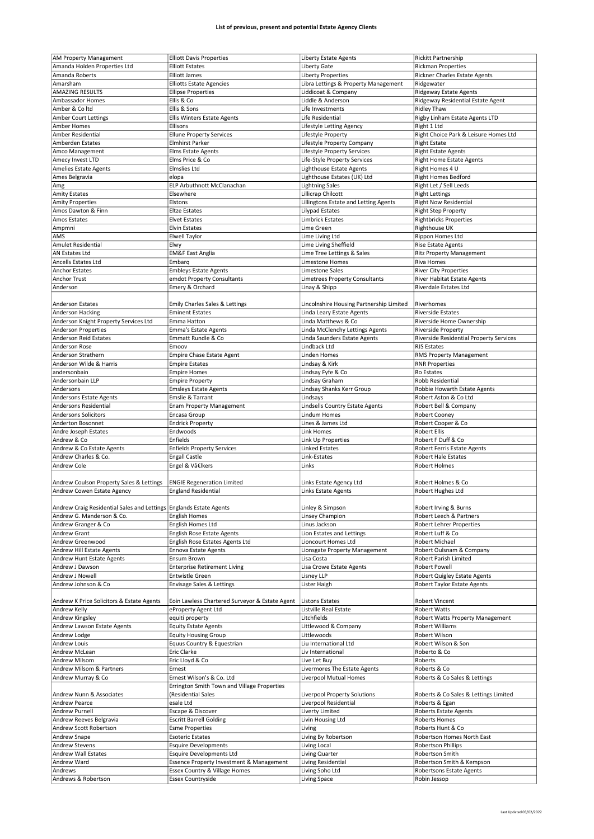|                                                                    | <b>Elliott Davis Properties</b>                    |                                          | <b>Rickitt Partnership</b>               |
|--------------------------------------------------------------------|----------------------------------------------------|------------------------------------------|------------------------------------------|
| <b>AM Property Management</b>                                      |                                                    | <b>Liberty Estate Agents</b>             |                                          |
| Amanda Holden Properties Ltd                                       | <b>Elliott Estates</b>                             | Liberty Gate                             | <b>Rickman Properties</b>                |
| Amanda Roberts                                                     | <b>Elliott James</b>                               | <b>Liberty Properties</b>                | Rickner Charles Estate Agents            |
| Amarsham                                                           | <b>Elliotts Estate Agencies</b>                    | Libra Lettings & Property Management     | Ridgewater                               |
|                                                                    |                                                    |                                          |                                          |
| <b>AMAZING RESULTS</b>                                             | <b>Ellipse Properties</b>                          | Liddicoat & Company                      | Ridgeway Estate Agents                   |
| Ambassador Homes                                                   | Ellis & Co                                         | Liddle & Anderson                        | Ridgeway Residential Estate Agent        |
| Amber & Coltd                                                      | Ellis & Sons                                       | Life Investments                         | <b>Ridley Thaw</b>                       |
| <b>Amber Court Lettings</b>                                        | <b>Ellis Winters Estate Agents</b>                 | Life Residential                         | Rigby Linham Estate Agents LTD           |
|                                                                    |                                                    |                                          |                                          |
| Amber Homes                                                        | Ellisons                                           | Lifestyle Letting Agency                 | Right 1 Ltd                              |
| Amber Residential                                                  | <b>Ellune Property Services</b>                    | Lifestyle Property                       | Right Choice Park & Leisure Homes Ltd    |
| Amberden Estates                                                   | <b>Elmhirst Parker</b>                             | Lifestyle Property Company               | <b>Right Estate</b>                      |
| Amco Management                                                    | <b>Elms Estate Agents</b>                          | Lifestyle Property Services              |                                          |
|                                                                    |                                                    |                                          | <b>Right Estate Agents</b>               |
| Amecy Invest LTD                                                   | Elms Price & Co                                    | Life-Style Property Services             | <b>Right Home Estate Agents</b>          |
| Amelies Estate Agents                                              | <b>Elmslies Ltd</b>                                | Lighthouse Estate Agents                 | Right Homes 4 U                          |
| Ames Belgravia                                                     | elopa                                              | Lighthouse Estates (UK) Ltd              | <b>Right Homes Bedford</b>               |
|                                                                    |                                                    |                                          |                                          |
| Amg                                                                | ELP Arbuthnott McClanachan                         | <b>Lightning Sales</b>                   | Right Let / Sell Leeds                   |
| <b>Amity Estates</b>                                               | Elsewhere                                          | Lillicrap Chilcott                       | <b>Right Lettings</b>                    |
| <b>Amity Properties</b>                                            | Elstons                                            | Lillingtons Estate and Letting Agents    | <b>Right Now Residential</b>             |
| Amos Dawton & Finn                                                 | <b>Eltze Estates</b>                               | Lilypad Estates                          | <b>Right Step Property</b>               |
|                                                                    |                                                    |                                          |                                          |
| Amos Estates                                                       | <b>Elvet Estates</b>                               | <b>Limbrick Estates</b>                  | <b>Rightbricks Properties</b>            |
| Ampmni                                                             | <b>Elvin Estates</b>                               | Lime Green                               | Righthouse UK                            |
| AMS                                                                | Elwell Taylor                                      | Lime Living Ltd                          | Rippon Homes Ltd                         |
|                                                                    |                                                    |                                          |                                          |
| Amulet Residential                                                 | Elwy                                               | Lime Living Sheffield                    | <b>Rise Estate Agents</b>                |
| AN Estates Ltd                                                     | <b>EM&amp;F East Anglia</b>                        | Lime Tree Lettings & Sales               | <b>Ritz Property Management</b>          |
| Ancells Estates Ltd                                                | Embarg                                             | Limestone Homes                          | Riva Homes                               |
|                                                                    |                                                    |                                          |                                          |
| Anchor Estates                                                     | <b>Embleys Estate Agents</b>                       | Limestone Sales                          | <b>River City Properties</b>             |
| <b>Anchor Trust</b>                                                | emdot Property Consultants                         | <b>Limetrees Property Consultants</b>    | River Habitat Estate Agents              |
| Anderson                                                           | Emery & Orchard                                    | Linay & Shipp                            | <b>Riverdale Estates Ltd</b>             |
|                                                                    |                                                    |                                          |                                          |
|                                                                    |                                                    |                                          |                                          |
| <b>Anderson Estates</b>                                            | <b>Emily Charles Sales &amp; Lettings</b>          | Lincolnshire Housing Partnership Limited | Riverhomes                               |
| Anderson Hacking                                                   | <b>Eminent Estates</b>                             | Linda Leary Estate Agents                | <b>Riverside Estates</b>                 |
|                                                                    |                                                    |                                          |                                          |
| Anderson Knight Property Services Ltd                              | Emma Hatton                                        | Linda Matthews & Co                      | Riverside Home Ownership                 |
| Anderson Properties                                                | Emma's Estate Agents                               | Linda McClenchy Lettings Agents          | <b>Riverside Property</b>                |
| <b>Anderson Reid Estates</b>                                       | Emmatt Rundle & Co                                 | Linda Saunders Estate Agents             | Riverside Residential Property Services  |
|                                                                    |                                                    | Lindback Ltd                             |                                          |
| Anderson Rose                                                      | Emoov                                              |                                          | <b>RJS Estates</b>                       |
| Anderson Strathern                                                 | <b>Empire Chase Estate Agent</b>                   | Linden Homes                             | RMS Property Management                  |
| Anderson Wilde & Harris                                            | <b>Empire Estates</b>                              | Lindsay & Kirk                           | <b>RNR Properties</b>                    |
| andersonbain                                                       | <b>Empire Homes</b>                                | Lindsay Fyfe & Co                        | Ro Estates                               |
|                                                                    |                                                    |                                          |                                          |
| Andersonbain LLP                                                   | <b>Empire Property</b>                             | Lindsay Graham                           | Robb Residential                         |
| Andersons                                                          | <b>Emsleys Estate Agents</b>                       | Lindsay Shanks Kerr Group                | Robbie Howarth Estate Agents             |
| Andersons Estate Agents                                            | Emslie & Tarrant                                   | Lindsays                                 | Robert Aston & Co Ltd                    |
|                                                                    |                                                    |                                          |                                          |
| Andersons Residential                                              | <b>Enam Property Management</b>                    | Lindsells Country Estate Agents          | Robert Bell & Company                    |
| <b>Andersons Solicitors</b>                                        | Encasa Group                                       | Lindum Homes                             | Robert Cooney                            |
|                                                                    |                                                    |                                          |                                          |
|                                                                    |                                                    |                                          |                                          |
| Anderton Bosonnet                                                  | <b>Endrick Property</b>                            | Lines & James Ltd                        | Robert Cooper & Co                       |
| Andre Joseph Estates                                               | Endwoods                                           | Link Homes                               | <b>Robert Ellis</b>                      |
| Andrew & Co                                                        | Enfields                                           | <b>Link Up Properties</b>                | Robert F Duff & Co                       |
|                                                                    |                                                    |                                          |                                          |
| Andrew & Co Estate Agents                                          | <b>Enfields Property Services</b>                  | Linked Estates                           | Robert Ferris Estate Agents              |
| Andrew Charles & Co.                                               | <b>Engall Castle</b>                               | Link-Estates                             | <b>Robert Hale Estates</b>               |
| Andrew Cole                                                        | Engel & Vâ€lkers                                   | Links                                    | <b>Robert Holmes</b>                     |
|                                                                    |                                                    |                                          |                                          |
|                                                                    |                                                    |                                          |                                          |
| Andrew Coulson Property Sales & Lettings                           | <b>ENGIE Regeneration Limited</b>                  | Links Estate Agency Ltd                  | Robert Holmes & Co                       |
| Andrew Cowen Estate Agency                                         | <b>England Residential</b>                         | Links Estate Agents                      | Robert Hughes Ltd                        |
|                                                                    |                                                    |                                          |                                          |
|                                                                    |                                                    |                                          |                                          |
| Andrew Craig Residential Sales and Lettings Englands Estate Agents |                                                    | Linley & Simpson                         | Robert Irving & Burns                    |
| Andrew G. Manderson & Co.                                          | <b>English Homes</b>                               | Linsey Champion                          | Robert Leech & Partners                  |
| Andrew Granger & Co                                                | English Homes Ltd                                  | Linus Jackson                            | Robert Lehrer Properties                 |
|                                                                    |                                                    |                                          |                                          |
| Andrew Grant                                                       | <b>English Rose Estate Agents</b>                  | Lion Estates and Lettings                | Robert Luff & Co                         |
| Andrew Greenwood                                                   | English Rose Estates Agents Ltd                    | Lioncourt Homes Ltd                      | Robert Michael                           |
| Andrew Hill Estate Agents                                          | Ennova Estate Agents                               | Lionsgate Property Management            | Robert Oulsnam & Company                 |
| Andrew Hunt Estate Agents                                          | Ensum Brown                                        | Lisa Costa                               | Robert Parish Limited                    |
|                                                                    |                                                    |                                          |                                          |
| Andrew J Dawson                                                    | <b>Enterprise Retirement Living</b>                | Lisa Crowe Estate Agents                 | <b>Robert Powell</b>                     |
| Andrew J Nowell                                                    | <b>Entwistle Green</b>                             | Lisney LLP                               | Robert Quigley Estate Agents             |
| Andrew Johnson & Co                                                | Envisage Sales & Lettings                          | Lister Haigh                             | Robert Taylor Estate Agents              |
|                                                                    |                                                    |                                          |                                          |
|                                                                    |                                                    |                                          |                                          |
| Andrew K Price Solicitors & Estate Agents                          | Eoin Lawless Chartered Surveyor & Estate Agent     | <b>Listons Estates</b>                   | Robert Vincent                           |
| Andrew Kelly                                                       | eProperty Agent Ltd                                | Listville Real Estate                    | <b>Robert Watts</b>                      |
| Andrew Kingsley                                                    | equiti property                                    | Litchfields                              | Robert Watts Property Management         |
|                                                                    |                                                    |                                          |                                          |
| Andrew Lawson Estate Agents                                        | <b>Equity Estate Agents</b>                        | Littlewood & Company                     | Robert Williams                          |
| Andrew Lodge                                                       | <b>Equity Housing Group</b>                        | Littlewoods                              | Robert Wilson                            |
| Andrew Louis                                                       | Equus Country & Equestrian                         | Liu International Ltd                    | Robert Wilson & Son                      |
|                                                                    |                                                    |                                          |                                          |
| Andrew McLean                                                      | Eric Clarke                                        | Liv International                        | Roberto & Co                             |
| Andrew Milsom                                                      | Eric Lloyd & Co                                    | Live Let Buy                             | Roberts                                  |
| Andrew Milsom & Partners                                           | Ernest                                             | Livermores The Estate Agents             | Roberts & Co                             |
|                                                                    |                                                    |                                          |                                          |
| Andrew Murray & Co                                                 | Ernest Wilson's & Co. Ltd                          | Liverpool Mutual Homes                   | Roberts & Co Sales & Lettings            |
|                                                                    | Errington Smith Town and Village Properties        |                                          |                                          |
| Andrew Nunn & Associates                                           | (Residential Sales                                 | Liverpool Property Solutions             | Roberts & Co Sales & Lettings Limited    |
| <b>Andrew Pearce</b>                                               | esale Ltd                                          |                                          |                                          |
|                                                                    |                                                    | Liverpool Residential                    | Roberts & Egan                           |
| Andrew Purnell                                                     | Escape & Discover                                  | Liverty Limited                          | Roberts Estate Agents                    |
| Andrew Reeves Belgravia                                            | <b>Escritt Barrell Golding</b>                     | Livin Housing Ltd                        | <b>Roberts Homes</b>                     |
| Andrew Scott Robertson                                             | <b>Esme Properties</b>                             | Living                                   | Roberts Hunt & Co                        |
|                                                                    |                                                    |                                          |                                          |
| Andrew Snape                                                       | <b>Esoteric Estates</b>                            | Living By Robertson                      | Robertson Homes North East               |
| <b>Andrew Stevens</b>                                              | <b>Esquire Developments</b>                        | Living Local                             | <b>Robertson Phillips</b>                |
| Andrew Wall Estates                                                | <b>Esquire Developments Ltd</b>                    | Living Quarter                           | Robertson Smith                          |
|                                                                    |                                                    |                                          |                                          |
| Andrew Ward                                                        | Essence Property Investment & Management           | Living Residential                       | Robertson Smith & Kempson                |
| Andrews<br>Andrews & Robertson                                     | Essex Country & Village Homes<br>Essex Countryside | Living Soho Ltd<br>Living Space          | Robertsons Estate Agents<br>Robin Jessop |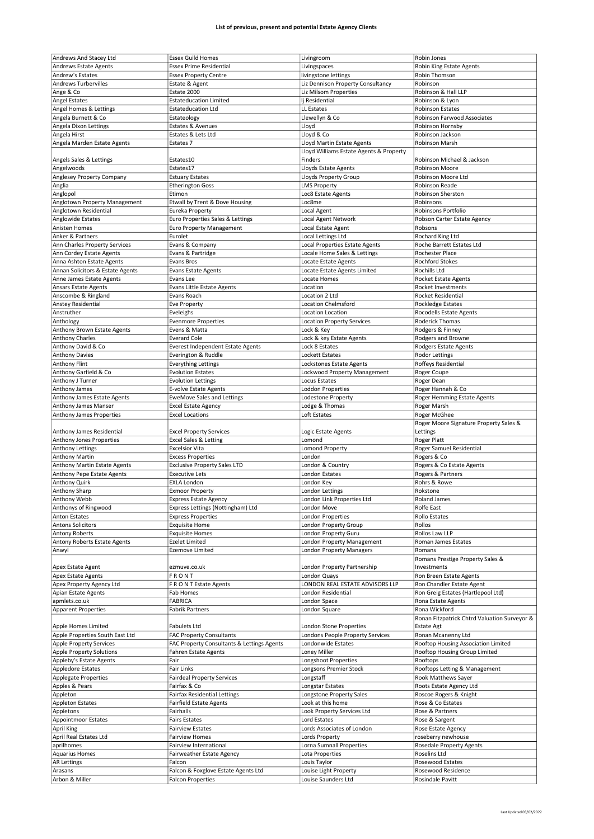| Andrews And Stacey Ltd           | <b>Essex Guild Homes</b>                                        | Livingroom                                   | Robin Jones                                  |
|----------------------------------|-----------------------------------------------------------------|----------------------------------------------|----------------------------------------------|
| Andrews Estate Agents            | <b>Essex Prime Residential</b>                                  | Livingspaces                                 | Robin King Estate Agents                     |
| Andrew's Estates                 | <b>Essex Property Centre</b>                                    | livingstone lettings                         | Robin Thomson                                |
| <b>Andrews Turbervilles</b>      | Estate & Agent                                                  | Liz Dennison Property Consultancy            | Robinson                                     |
|                                  |                                                                 |                                              |                                              |
| Ange & Co                        | Estate 2000                                                     | Liz Milsom Properties                        | Robinson & Hall LLP                          |
| <b>Angel Estates</b>             | <b>Estateducation Limited</b>                                   | li Residential                               | Robinson & Lyon                              |
| Angel Homes & Lettings           | <b>Estateducation Ltd</b>                                       | LL Estates                                   | <b>Robinson Estates</b>                      |
| Angela Burnett & Co              |                                                                 |                                              | <b>Robinson Farwood Associates</b>           |
|                                  | Estateology                                                     | Llewellyn & Co                               |                                              |
| Angela Dixon Lettings            | Estates & Avenues                                               | Lloyd                                        | Robinson Hornsby                             |
| Angela Hirst                     | Estates & Lets Ltd                                              | Lloyd & Co                                   | Robinson Jackson                             |
|                                  |                                                                 |                                              |                                              |
| Angela Marden Estate Agents      | Estates 7                                                       | Lloyd Martin Estate Agents                   | Robinson Marsh                               |
|                                  |                                                                 | Lloyd Williams Estate Agents & Property      |                                              |
| Angels Sales & Lettings          | Estates10                                                       | Finders                                      | Robinson Michael & Jackson                   |
|                                  |                                                                 |                                              |                                              |
| Angelwoods                       | Estates17                                                       | Lloyds Estate Agents                         | Robinson Moore                               |
| Anglesey Property Company        | <b>Estuary Estates</b>                                          | Lloyds Property Group                        | Robinson Moore Ltd                           |
| Anglia                           | <b>Etherington Goss</b>                                         | <b>LMS Property</b>                          | Robinson Reade                               |
|                                  |                                                                 |                                              |                                              |
| Anglopol                         | Etimon                                                          | Loc8 Estate Agents                           | Robinson Sherston                            |
| Anglotown Property Management    | Etwall by Trent & Dove Housing                                  | Loc8me                                       | Robinsons                                    |
| Anglotown Residential            | Eureka Property                                                 | Local Agent                                  | Robinsons Portfolio                          |
|                                  |                                                                 |                                              |                                              |
| Anglowide Estates                | Euro Properties Sales & Lettings                                | Local Agent Network                          | Robson Carter Estate Agency                  |
| Anisten Homes                    | Euro Property Management                                        | Local Estate Agent                           | Robsons                                      |
| Anker & Partners                 | Eurolet                                                         | Local Lettings Ltd                           | Rochard King Ltd                             |
|                                  |                                                                 |                                              |                                              |
| Ann Charles Property Services    | Evans & Company                                                 | Local Properties Estate Agents               | Roche Barrett Estates Ltd                    |
| Ann Cordey Estate Agents         | Evans & Partridge                                               | Locale Home Sales & Lettings                 | Rochester Place                              |
|                                  |                                                                 |                                              |                                              |
| Anna Ashton Estate Agents        | <b>Evans Bros</b>                                               | Locate Estate Agents                         | <b>Rochford Stokes</b>                       |
| Annan Solicitors & Estate Agents | <b>Evans Estate Agents</b>                                      | Locate Estate Agents Limited                 | Rochills Ltd                                 |
| Anne James Estate Agents         | Evans Lee                                                       | Locate Homes                                 | Rocket Estate Agents                         |
|                                  |                                                                 |                                              |                                              |
| <b>Ansars Estate Agents</b>      | Evans Little Estate Agents                                      | Location                                     | Rocket Investments                           |
| Anscombe & Ringland              | Evans Roach                                                     | Location 2 Ltd                               | <b>Rocket Residential</b>                    |
| Anstey Residential               | <b>Eve Property</b>                                             | <b>Location Chelmsford</b>                   | Rockledge Estates                            |
|                                  |                                                                 |                                              |                                              |
| Anstruther                       | Eveleighs                                                       | Location Location                            | Rocodells Estate Agents                      |
| Anthology                        | <b>Evenmore Properties</b>                                      | <b>Location Property Services</b>            | Roderick Thomas                              |
|                                  |                                                                 |                                              |                                              |
| Anthony Brown Estate Agents      | Evens & Matta                                                   | Lock & Key                                   | Rodgers & Finney                             |
| <b>Anthony Charles</b>           | <b>Everard Cole</b>                                             | Lock & key Estate Agents                     | Rodgers and Browne                           |
| Anthony David & Co               | Everest Independent Estate Agents                               | Lock 8 Estates                               | Rodgers Estate Agents                        |
|                                  |                                                                 |                                              |                                              |
| <b>Anthony Davies</b>            | Everington & Ruddle                                             | Lockett Estates                              | <b>Rodor Lettings</b>                        |
| Anthony Flint                    | <b>Everything Lettings</b>                                      | Lockstones Estate Agents                     | Roffeys Residential                          |
| Anthony Garfield & Co            | <b>Evolution Estates</b>                                        | Lockwood Property Management                 | Roger Coupe                                  |
|                                  |                                                                 |                                              |                                              |
| Anthony J Turner                 | <b>Evolution Lettings</b>                                       | <b>Locus Estates</b>                         | Roger Dean                                   |
| Anthony James                    | E-volve Estate Agents                                           | Loddon Properties                            | Roger Hannah & Co                            |
|                                  |                                                                 |                                              |                                              |
| Anthony James Estate Agents      | <b>EweMove Sales and Lettings</b>                               | Lodestone Property                           | Roger Hemming Estate Agents                  |
| Anthony James Manser             | <b>Excel Estate Agency</b>                                      | Lodge & Thomas                               | Roger Marsh                                  |
| Anthony James Properties         | <b>Excel Locations</b>                                          | Loft Estates                                 | Roger McGhee                                 |
|                                  |                                                                 |                                              |                                              |
|                                  |                                                                 |                                              |                                              |
|                                  |                                                                 |                                              | Roger Moore Signature Property Sales &       |
|                                  |                                                                 |                                              |                                              |
| Anthony James Residential        | <b>Excel Property Services</b>                                  | Logic Estate Agents                          | Lettings                                     |
| Anthony Jones Properties         | <b>Excel Sales &amp; Letting</b>                                | Lomond                                       | Roger Platt                                  |
| Anthony Lettings                 | <b>Excelsior Vita</b>                                           | Lomond Property                              | Roger Samuel Residential                     |
|                                  |                                                                 |                                              |                                              |
| <b>Anthony Martin</b>            | <b>Excess Properties</b>                                        | London                                       | Rogers & Co                                  |
| Anthony Martin Estate Agents     | <b>Exclusive Property Sales LTD</b>                             | London & Country                             | Rogers & Co Estate Agents                    |
| Anthony Pepe Estate Agents       | <b>Executive Lets</b>                                           | London Estates                               | Rogers & Partners                            |
|                                  |                                                                 |                                              |                                              |
| Anthony Quirk                    | <b>EXLA London</b>                                              | London Key                                   | Rohrs & Rowe                                 |
| Anthony Sharp                    | <b>Exmoor Property</b>                                          | London Lettings                              | Rokstone                                     |
|                                  |                                                                 |                                              |                                              |
| Anthony Webb                     | Express Estate Agency                                           | London Link Properties Ltd                   | Roland James                                 |
| Anthonys of Ringwood             | Express Lettings (Nottingham) Ltd                               | London Move                                  | Rolfe East                                   |
| Anton Estates                    | <b>Express Properties</b>                                       | London Properties                            | <b>Rollo Estates</b>                         |
| <b>Antons Solicitors</b>         |                                                                 |                                              |                                              |
|                                  | <b>Exquisite Home</b>                                           | London Property Group                        | Rollos                                       |
| Antony Roberts                   | <b>Exquisite Homes</b>                                          | London Property Guru                         | Rollos Law LLP                               |
| Antony Roberts Estate Agents     | <b>Ezelet Limited</b>                                           | London Property Management                   | Roman James Estates                          |
|                                  |                                                                 |                                              |                                              |
| Anwyl                            | Ezemove Limited                                                 | <b>London Property Managers</b>              | Romans                                       |
|                                  |                                                                 |                                              | Romans Prestige Property Sales &             |
| Apex Estate Agent                | ezmuve.co.uk                                                    | London Property Partnership                  | Investments                                  |
|                                  |                                                                 |                                              |                                              |
| <b>Apex Estate Agents</b>        | FRONT                                                           | London Quays                                 | Ron Breen Estate Agents                      |
| Apex Property Agency Ltd         | F R O N T Estate Agents                                         | LONDON REAL ESTATE ADVISORS LLP              | Ron Chandler Estate Agent                    |
| Apian Estate Agents              | Fab Homes                                                       | London Residential                           | Ron Greig Estates (Hartlepool Ltd)           |
|                                  |                                                                 |                                              |                                              |
| apmlets.co.uk                    | <b>FABRICA</b>                                                  | London Space                                 | Rona Estate Agents                           |
| <b>Apparent Properties</b>       | <b>Fabrik Partners</b>                                          | London Square                                | Rona Wickford                                |
|                                  |                                                                 |                                              | Ronan Fitzpatrick Chtrd Valuation Surveyor & |
|                                  |                                                                 |                                              |                                              |
| Apple Homes Limited              | <b>Fabulets Ltd</b>                                             | London Stone Properties                      | <b>Estate Agt</b>                            |
| Apple Properties South East Ltd  | <b>FAC Property Consultants</b>                                 | Londons People Property Services             | Ronan Mcanenny Ltd                           |
|                                  |                                                                 |                                              |                                              |
| <b>Apple Property Services</b>   | FAC Property Consultants & Lettings Agents                      | Londonwide Estates                           | Rooftop Housing Association Limited          |
| <b>Apple Property Solutions</b>  | <b>Fahren Estate Agents</b>                                     | Loney Miller                                 | Rooftop Housing Group Limited                |
| Appleby's Estate Agents          | Fair                                                            | Longshoot Properties                         | Rooftops                                     |
|                                  |                                                                 |                                              |                                              |
| Appledore Estates                | <b>Fair Links</b>                                               | Longsons Premier Stock                       | Rooftops Letting & Management                |
| <b>Applegate Properties</b>      | <b>Fairdeal Property Services</b>                               | Longstaff                                    | Rook Matthews Sayer                          |
|                                  |                                                                 |                                              |                                              |
| Apples & Pears                   | Fairfax & Co                                                    | Longstar Estates                             | Roots Estate Agency Ltd                      |
| Appleton                         | <b>Fairfax Residential Lettings</b>                             | Longstone Property Sales                     | Roscoe Rogers & Knight                       |
|                                  |                                                                 |                                              | Rose & Co Estates                            |
| <b>Appleton Estates</b>          | <b>Fairfield Estate Agents</b>                                  | Look at this home                            |                                              |
| Appletons                        | Fairhalls                                                       | Look Property Services Ltd                   | Rose & Partners                              |
| <b>Appointmoor Estates</b>       | <b>Fairs Estates</b>                                            | Lord Estates                                 | Rose & Sargent                               |
|                                  |                                                                 |                                              |                                              |
| <b>April King</b>                | <b>Fairview Estates</b>                                         | Lords Associates of London                   | Rose Estate Agency                           |
| April Real Estates Ltd           | <b>Fairview Homes</b>                                           | Lords Property                               | roseberry newhouse                           |
| aprilhomes                       | Fairview International                                          |                                              | <b>Rosedale Property Agents</b>              |
|                                  |                                                                 | Lorna Sumnall Properties                     |                                              |
| <b>Aquarius Homes</b>            | Fairweather Estate Agency                                       | Lota Properties                              | Roselins Ltd                                 |
| <b>AR Lettings</b>               | Falcon                                                          | Louis Taylor                                 | Rosewood Estates                             |
|                                  |                                                                 |                                              |                                              |
| Arasans<br>Arbon & Miller        | Falcon & Foxglove Estate Agents Ltd<br><b>Falcon Properties</b> | Louise Light Property<br>Louise Saunders Ltd | Rosewood Residence<br>Rosindale Pavitt       |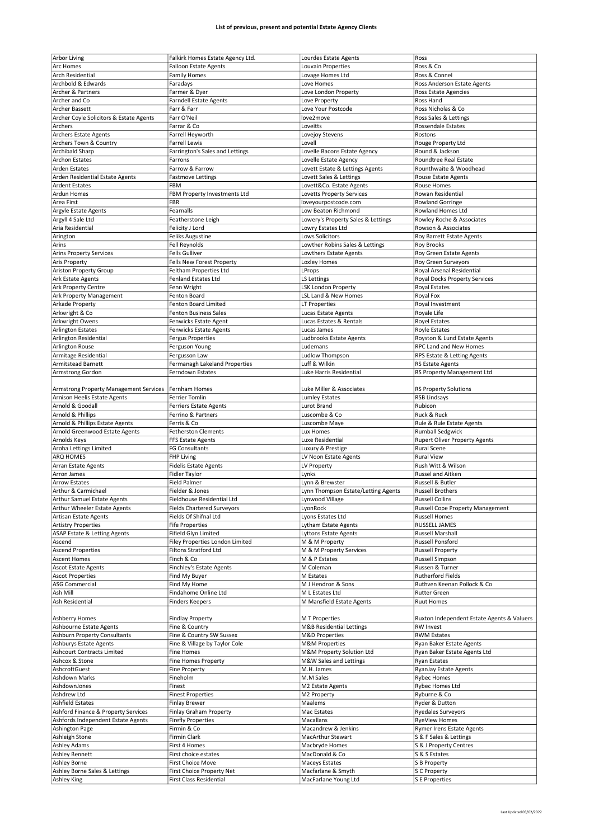|                                         |                                   |                                     | Ross                                       |
|-----------------------------------------|-----------------------------------|-------------------------------------|--------------------------------------------|
| <b>Arbor Living</b>                     | Falkirk Homes Estate Agency Ltd.  | Lourdes Estate Agents               |                                            |
| Arc Homes                               | <b>Falloon Estate Agents</b>      | Louvain Properties                  | Ross & Co                                  |
| Arch Residential                        | <b>Family Homes</b>               | Lovage Homes Ltd                    | Ross & Connel                              |
| Archbold & Edwards                      | Faradays                          | Love Homes                          | Ross Anderson Estate Agents                |
|                                         |                                   |                                     |                                            |
| Archer & Partners                       | Farmer & Dyer                     | Love London Property                | Ross Estate Agencies                       |
| Archer and Co                           | <b>Farndell Estate Agents</b>     | Love Property                       | Ross Hand                                  |
| <b>Archer Bassett</b>                   | Farr & Farr                       | Love Your Postcode                  | Ross Nicholas & Co                         |
| Archer Coyle Solicitors & Estate Agents | Farr O'Neil                       | love2move                           | Ross Sales & Lettings                      |
| Archers                                 |                                   |                                     |                                            |
|                                         | Farrar & Co                       | Loveitts                            | Rossendale Estates                         |
| <b>Archers Estate Agents</b>            | Farrell Heyworth                  | Lovejoy Stevens                     | Rostons                                    |
| Archers Town & Country                  | <b>Farrell Lewis</b>              | Lovell                              | Rouge Property Ltd                         |
| Archibald Sharp                         | Farrington's Sales and Lettings   | Lovelle Bacons Estate Agency        | Round & Jackson                            |
|                                         |                                   |                                     |                                            |
| <b>Archon Estates</b>                   | Farrons                           | Lovelle Estate Agency               | <b>Roundtree Real Estate</b>               |
| <b>Arden Estates</b>                    | Farrow & Farrow                   | Lovett Estate & Lettings Agents     | Rounthwaite & Woodhead                     |
| Arden Residential Estate Agents         | <b>Fastmove Lettings</b>          | Lovett Sales & Lettings             | Rouse Estate Agents                        |
| <b>Ardent Estates</b>                   | FBM                               | Lovett&Co. Estate Agents            | Rouse Homes                                |
|                                         |                                   |                                     |                                            |
| <b>Ardun Homes</b>                      | FBM Property Investments Ltd      | Lovetts Property Services           | Rowan Residential                          |
| Area First                              | FBR                               | loveyourpostcode.com                | <b>Rowland Gorringe</b>                    |
| Argyle Estate Agents                    | Fearnalls                         | Low Beaton Richmond                 | Rowland Homes Ltd                          |
|                                         |                                   |                                     |                                            |
| Argyll 4 Sale Ltd                       | Featherstone Leigh                | Lowery's Property Sales & Lettings  | Rowley Roche & Associates                  |
| Aria Residential                        | Felicity J Lord                   | Lowry Estates Ltd                   | Rowson & Associates                        |
| Arington                                | <b>Feliks Augustine</b>           | Lows Solicitors                     | Roy Barrett Estate Agents                  |
| Arins                                   | Fell Reynolds                     | Lowther Robins Sales & Lettings     | <b>Roy Brooks</b>                          |
|                                         |                                   |                                     |                                            |
| <b>Arins Property Services</b>          | <b>Fells Gulliver</b>             | Lowthers Estate Agents              | Roy Green Estate Agents                    |
| Aris Property                           | Fells New Forest Property         | Loxley Homes                        | Roy Green Surveyors                        |
| Ariston Property Group                  | Feltham Properties Ltd            | LProps                              | Royal Arsenal Residential                  |
|                                         |                                   |                                     |                                            |
| Ark Estate Agents                       | <b>Fenland Estates Ltd</b>        | LS Lettings                         | Royal Docks Property Services              |
| Ark Property Centre                     | Fenn Wright                       | <b>LSK London Property</b>          | Royal Estates                              |
| Ark Property Management                 | Fenton Board                      | LSL Land & New Homes                | Royal Fox                                  |
|                                         |                                   |                                     |                                            |
| Arkade Property                         | <b>Fenton Board Limited</b>       | <b>LT Properties</b>                | Royal Investment                           |
| Arkwright & Co                          | <b>Fenton Business Sales</b>      | Lucas Estate Agents                 | Royale Life                                |
| Arkwright Owens                         | <b>Fenwicks Estate Agent</b>      | Lucas Estates & Rentals             | <b>Royel Estates</b>                       |
|                                         |                                   |                                     |                                            |
| <b>Arlington Estates</b>                | <b>Fenwicks Estate Agents</b>     | Lucas James                         | <b>Royle Estates</b>                       |
| Arlington Residential                   | <b>Fergus Properties</b>          | Ludbrooks Estate Agents             | Royston & Lund Estate Agents               |
| Arlington Rouse                         | Ferguson Young                    | Ludemans                            | RPC Land and New Homes                     |
| Armitage Residential                    | Fergusson Law                     | Ludlow Thompson                     | RPS Estate & Letting Agents                |
|                                         |                                   |                                     |                                            |
| Armitstead Barnett                      | Fermanagh Lakeland Properties     | Luff & Wilkin                       | <b>RS Estate Agents</b>                    |
| Armstrong Gordon                        | Ferndown Estates                  | Luke Harris Residential             | RS Property Management Ltd                 |
|                                         |                                   |                                     |                                            |
|                                         |                                   |                                     |                                            |
| Armstrong Property Management Services  | Fernham Homes                     | Luke Miller & Associates            | <b>RS Property Solutions</b>               |
| Arnison Heelis Estate Agents            | Ferrier Tomlin                    | Lumley Estates                      | <b>RSB Lindsays</b>                        |
| Arnold & Goodall                        | Ferriers Estate Agents            | Lurot Brand                         | Rubicon                                    |
|                                         |                                   |                                     |                                            |
| Arnold & Phillips                       | Ferrino & Partners                | Luscombe & Co                       | Ruck & Ruck                                |
| Arnold & Phillips Estate Agents         | Ferris & Co                       | Luscombe Maye                       | Rule & Rule Estate Agents                  |
|                                         |                                   |                                     |                                            |
|                                         |                                   |                                     |                                            |
| Arnold Greenwood Estate Agents          | <b>Fetherston Clements</b>        | Lux Homes                           | <b>Rumball Sedgwick</b>                    |
| <b>Arnolds Keys</b>                     | <b>FFS Estate Agents</b>          | Luxe Residential                    | <b>Rupert Oliver Property Agents</b>       |
| Aroha Lettings Limited                  | FG Consultants                    | Luxury & Prestige                   | Rural Scene                                |
| ARQ HOMES                               |                                   |                                     | <b>Rural View</b>                          |
|                                         | <b>FHP Living</b>                 | LV Noon Estate Agents               |                                            |
| Arran Estate Agents                     | <b>Fidelis Estate Agents</b>      | LV Property                         | Rush Witt & Wilson                         |
| Arron James                             | Fidler Taylor                     | Lynks                               | Russel and Aitken                          |
| <b>Arrow Estates</b>                    | <b>Field Palmer</b>               | Lynn & Brewster                     | Russell & Butler                           |
|                                         |                                   |                                     |                                            |
| Arthur & Carmichael                     | Fielder & Jones                   | Lynn Thompson Estate/Letting Agents | <b>Russell Brothers</b>                    |
| Arthur Samuel Estate Agents             | Fieldhouse Residential Ltd        | Lynwood Village                     | Russell Collins                            |
| Arthur Wheeler Estate Agents            | <b>Fields Chartered Surveyors</b> | LyonRock                            | Russell Cope Property Management           |
| <b>Artisan Estate Agents</b>            | Fields Of Shifnal Ltd             | Lyons Estates Ltd                   | <b>Russell Homes</b>                       |
|                                         |                                   |                                     |                                            |
| <b>Artistry Properties</b>              | <b>Fife Properties</b>            | <b>Lytham Estate Agents</b>         | RUSSELL JAMES                              |
| ASAP Estate & Letting Agents            | Fifield Glyn Limited              | <b>Lyttons Estate Agents</b>        | Russell Marshall                           |
| Ascend                                  | Filey Properties London Limited   | M & M Property                      | Russell Ponsford                           |
|                                         | Filtons Stratford Ltd             | M & M Property Services             | <b>Russell Property</b>                    |
| <b>Ascend Properties</b>                |                                   |                                     |                                            |
| <b>Ascent Homes</b>                     | Finch & Co                        | M & P Estates                       | Russell Simpson                            |
| <b>Ascot Estate Agents</b>              | Finchley's Estate Agents          | M Coleman                           | Russen & Turner                            |
| <b>Ascot Properties</b>                 | Find My Buyer                     | M Estates                           | <b>Rutherford Fields</b>                   |
| <b>ASG Commercial</b>                   | Find My Home                      | M J Hendron & Sons                  | Ruthven Keenan Pollock & Co                |
|                                         |                                   |                                     |                                            |
| Ash Mill                                | Findahome Online Ltd              | M L Estates Ltd                     | <b>Rutter Green</b>                        |
| Ash Residential                         | <b>Finders Keepers</b>            | M Mansfield Estate Agents           | <b>Ruut Homes</b>                          |
|                                         |                                   |                                     |                                            |
|                                         |                                   |                                     |                                            |
| Ashberry Homes                          | <b>Findlay Property</b>           | M T Properties                      | Ruxton Independent Estate Agents & Valuers |
| Ashbourne Estate Agents                 | Fine & Country                    | <b>M&amp;B Residential Lettings</b> | <b>RW Invest</b>                           |
| <b>Ashburn Property Consultants</b>     | Fine & Country SW Sussex          | <b>M&amp;D Properties</b>           | <b>RWM Estates</b>                         |
| Ashburys Estate Agents                  | Fine & Village by Taylor Cole     | <b>M&amp;M Properties</b>           | Ryan Baker Estate Agents                   |
|                                         |                                   |                                     |                                            |
| <b>Ashcourt Contracts Limited</b>       | <b>Fine Homes</b>                 | M&M Property Solution Ltd           | Ryan Baker Estate Agents Ltd               |
| Ashcox & Stone                          | <b>Fine Homes Property</b>        | M&W Sales and Lettings              | Ryan Estates                               |
| AshcroftGuest                           | <b>Fine Property</b>              | M.H. James                          | RyanJay Estate Agents                      |
|                                         |                                   |                                     |                                            |
| Ashdown Marks                           | Fineholm                          | M.M Sales                           | <b>Rybec Homes</b>                         |
| AshdownJones                            | Finest                            | M2 Estate Agents                    | <b>Rybec Homes Ltd</b>                     |
| Ashdrew Ltd                             | <b>Finest Properties</b>          | M2 Property                         | Ryburne & Co                               |
|                                         |                                   |                                     |                                            |
| <b>Ashfield Estates</b>                 | <b>Finlay Brewer</b>              | Maalems                             | Ryder & Dutton                             |
| Ashford Finance & Property Services     | Finlay Graham Property            | Mac Estates                         | <b>Ryedales Surveyors</b>                  |
| Ashfords Independent Estate Agents      | <b>Firefly Properties</b>         | Macallans                           | <b>RyeView Homes</b>                       |
|                                         |                                   |                                     |                                            |
| Ashington Page                          | Firmin & Co                       | Macandrew & Jenkins                 | Rymer Irens Estate Agents                  |
| Ashleigh Stone                          | Firmin Clark                      | MacArthur Stewart                   | S & F Sales & Lettings                     |
| <b>Ashley Adams</b>                     | First 4 Homes                     | Macbryde Homes                      | S & J Property Centres                     |
|                                         | First choice estates              | MacDonald & Co                      | S & S Estates                              |
| Ashley Bennett                          |                                   |                                     |                                            |
| Ashley Borne                            | First Choice Move                 | Maceys Estates                      | S B Property                               |
| Ashley Borne Sales & Lettings           | First Choice Property Net         | Macfarlane & Smyth                  | S C Property                               |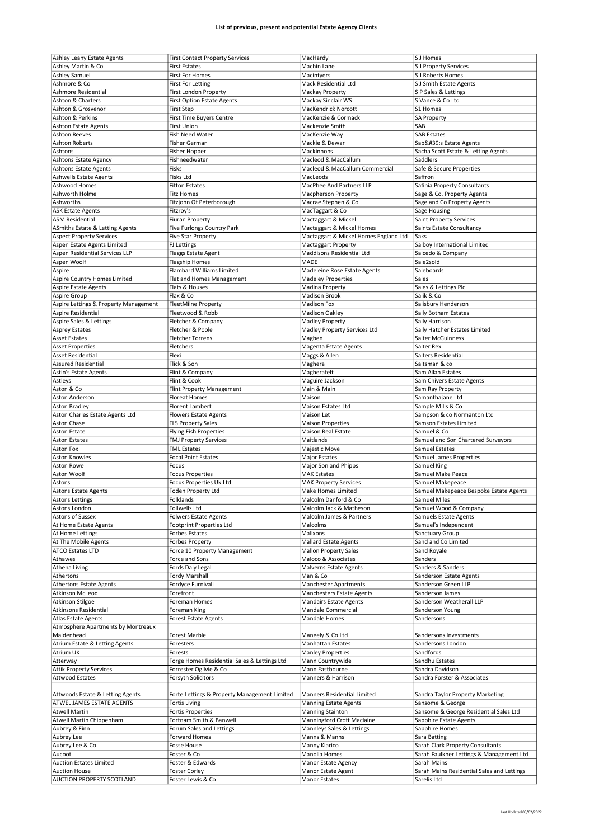| Ashley Leahy Estate Agents            | <b>First Contact Property Services</b>       | MacHardy                              | S J Homes                                  |
|---------------------------------------|----------------------------------------------|---------------------------------------|--------------------------------------------|
|                                       | <b>First Estates</b>                         |                                       |                                            |
| Ashley Martin & Co                    |                                              | Machin Lane                           | <b>S J Property Services</b>               |
| <b>Ashley Samuel</b>                  | <b>First For Homes</b>                       | Macintyers                            | S J Roberts Homes                          |
| Ashmore & Co                          | <b>First For Letting</b>                     | Mack Residential Ltd                  | S J Smith Estate Agents                    |
| Ashmore Residential                   | First London Property                        | Mackay Property                       | S P Sales & Lettings                       |
| Ashton & Charters                     | <b>First Option Estate Agents</b>            | Mackay Sinclair WS                    | S Vance & Co Ltd                           |
| Ashton & Grosvenor                    |                                              | MacKendrick Norcott                   | S1 Homes                                   |
|                                       | <b>First Step</b>                            |                                       |                                            |
| Ashton & Perkins                      | <b>First Time Buyers Centre</b>              | MacKenzie & Cormack                   | <b>SA Property</b>                         |
| <b>Ashton Estate Agents</b>           | First Union                                  | Mackenzie Smith                       | SAB                                        |
| <b>Ashton Reeves</b>                  | Fish Need Water                              | MacKenzie Way                         | <b>SAB Estates</b>                         |
| <b>Ashton Roberts</b>                 | <b>Fisher German</b>                         | Mackie & Dewar                        | Sab's Estate Agents                        |
| Ashtons                               |                                              |                                       |                                            |
|                                       | Fisher Hopper                                | Mackinnons                            | Sacha Scott Estate & Letting Agents        |
| <b>Ashtons Estate Agency</b>          | Fishneedwater                                | Macleod & MacCallum                   | Saddlers                                   |
| <b>Ashtons Estate Agents</b>          | Fisks                                        | Macleod & MacCallum Commercial        | Safe & Secure Properties                   |
| <b>Ashwells Estate Agents</b>         | Fisks Ltd                                    | MacLeods                              | Saffron                                    |
| Ashwood Homes                         | <b>Fitton Estates</b>                        | MacPhee And Partners LLP              |                                            |
|                                       |                                              |                                       | Safinia Property Consultants               |
| Ashworth Holme                        | <b>Fitz Homes</b>                            | Macpherson Property                   | Sage & Co. Property Agents                 |
| Ashworths                             | Fitzjohn Of Peterborough                     | Macrae Stephen & Co                   | Sage and Co Property Agents                |
| <b>ASK Estate Agents</b>              | Fitzroy's                                    | MacTaggart & Co                       | Sage Housing                               |
| <b>ASM Residential</b>                |                                              | Mactaggart & Mickel                   |                                            |
|                                       | <b>Fiuran Property</b>                       |                                       | Saint Property Services                    |
| ASmiths Estate & Letting Agents       | Five Furlongs Country Park                   | Mactaggart & Mickel Homes             | Saints Estate Consultancy                  |
| <b>Aspect Property Services</b>       | <b>Five Star Property</b>                    | Mactaggart & Mickel Homes England Ltd | Saks                                       |
| Aspen Estate Agents Limited           | <b>FJ Lettings</b>                           | Mactaggart Property                   | Salboy International Limited               |
|                                       |                                              | <b>Maddisons Residential Ltd</b>      |                                            |
| Aspen Residential Services LLP        | Flaggs Estate Agent                          |                                       | Salcedo & Company                          |
| Aspen Woolf                           | <b>Flagship Homes</b>                        | MADE                                  | Sale2sold                                  |
| Aspire                                | Flambard Williams Limited                    | Madeleine Rose Estate Agents          | Saleboards                                 |
| Aspire Country Homes Limited          | Flat and Homes Management                    | <b>Madeley Properties</b>             | Sales                                      |
| <b>Aspire Estate Agents</b>           |                                              |                                       |                                            |
|                                       | Flats & Houses                               | Madina Property                       | Sales & Lettings Plc                       |
| Aspire Group                          | Flax & Co                                    | <b>Madison Brook</b>                  | Salik & Co                                 |
| Aspire Lettings & Property Management | FleetMilne Property                          | <b>Madison Fox</b>                    | Salisbury Henderson                        |
| Aspire Residential                    | Fleetwood & Robb                             | Madison Oakley                        | Sally Botham Estates                       |
|                                       |                                              |                                       |                                            |
| Aspire Sales & Lettings               | Fletcher & Company                           | <b>Madley Property</b>                | Sally Harrison                             |
| <b>Asprey Estates</b>                 | Fletcher & Poole                             | Madley Property Services Ltd          | Sally Hatcher Estates Limited              |
| <b>Asset Estates</b>                  | <b>Fletcher Torrens</b>                      | Magben                                | Salter McGuinness                          |
| <b>Asset Properties</b>               | Fletchers                                    | Magenta Estate Agents                 | Salter Rex                                 |
|                                       |                                              |                                       |                                            |
| <b>Asset Residential</b>              | Flexi                                        | Maggs & Allen                         | Salters Residential                        |
| <b>Assured Residential</b>            | Flick & Son                                  | Maghera                               | Saltsman & co                              |
| Astin's Estate Agents                 | Flint & Company                              | Magherafelt                           | Sam Allan Estates                          |
| Astleys                               | Flint & Cook                                 | Maguire Jackson                       | Sam Chivers Estate Agents                  |
|                                       |                                              |                                       |                                            |
| Aston & Co                            | <b>Flint Property Management</b>             | Main & Main                           | Sam Ray Property                           |
| Aston Anderson                        | <b>Floreat Homes</b>                         | Maison                                | Samanthajane Ltd                           |
| <b>Aston Bradley</b>                  | <b>Florent Lambert</b>                       | Maison Estates Ltd                    | Sample Mills & Co                          |
| Aston Charles Estate Agents Ltd       | <b>Flowers Estate Agents</b>                 | Maison Let                            | Sampson & co Normanton Ltd                 |
|                                       |                                              |                                       |                                            |
|                                       |                                              |                                       |                                            |
| Aston Chase                           | <b>FLS Property Sales</b>                    | <b>Maison Properties</b>              | Samson Estates Limited                     |
| <b>Aston Estate</b>                   | <b>Flying Fish Properties</b>                | <b>Maison Real Estate</b>             | Samuel & Co                                |
| <b>Aston Estates</b>                  | <b>FMJ Property Services</b>                 | Maitlands                             | Samuel and Son Chartered Surveyors         |
|                                       |                                              |                                       |                                            |
| <b>Aston Fox</b>                      | <b>FML Estates</b>                           | Majestic Move                         | Samuel Estates                             |
| <b>Aston Knowles</b>                  | <b>Focal Point Estates</b>                   | Major Estates                         | Samuel James Properties                    |
| Aston Rowe                            | Focus                                        | Major Son and Phipps                  | Samuel King                                |
| Aston Woolf                           | <b>Focus Properties</b>                      | <b>MAK Estates</b>                    | Samuel Make Peace                          |
|                                       |                                              |                                       |                                            |
| Astons                                | Focus Properties Uk Ltd                      | <b>MAK Property Services</b>          | Samuel Makepeace                           |
| <b>Astons Estate Agents</b>           | Foden Property Ltd                           | <b>Make Homes Limited</b>             | Samuel Makepeace Bespoke Estate Agents     |
| Astons Lettings                       | Folklands                                    | Malcolm Danford & Co                  | Samuel Miles                               |
| Astons London                         | Follwells Ltd                                | Malcolm Jack & Matheson               | Samuel Wood & Company                      |
|                                       |                                              |                                       |                                            |
| Astons of Sussex                      | <b>Folwers Estate Agents</b>                 | Malcolm James & Partners              | Samuels Estate Agents                      |
| At Home Estate Agents                 | <b>Footprint Properties Ltd</b>              | Malcolms                              | Samuel's Independent                       |
| At Home Lettings                      | Forbes Estates                               | Malixons                              | Sanctuary Group                            |
| At The Mobile Agents                  | <b>Forbes Property</b>                       | Mallard Estate Agents                 | Sand and Co Limited                        |
|                                       |                                              |                                       |                                            |
| <b>ATCO Estates LTD</b>               | Force 10 Property Management                 | <b>Mallon Property Sales</b>          | Sand Royale                                |
| Athawes                               | Force and Sons                               | Maloco & Associates                   | Sanders                                    |
| Athena Living                         | Fords Daly Legal                             | Malverns Estate Agents                | Sanders & Sanders                          |
| Athertons                             | Fordy Marshall                               | Man & Co                              | Sanderson Estate Agents                    |
|                                       | Fordyce Furnivall                            |                                       |                                            |
| Athertons Estate Agents               |                                              | <b>Manchester Apartments</b>          | Sanderson Green LLP                        |
| Atkinson McLeod                       | Forefront                                    | Manchesters Estate Agents             | Sanderson James                            |
| Atkinson Stilgoe                      | Foreman Homes                                | <b>Mandairs Estate Agents</b>         | Sanderson Weatherall LLP                   |
| Atkinsons Residential                 | Foreman King                                 | Mandale Commercial                    | Sanderson Young                            |
| <b>Atlas Estate Agents</b>            |                                              | <b>Mandale Homes</b>                  | Sandersons                                 |
|                                       | Forest Estate Agents                         |                                       |                                            |
| Atmosphere Apartments by Montreaux    |                                              |                                       |                                            |
| Maidenhead                            | Forest Marble                                | Maneely & Co Ltd                      | Sandersons Investments                     |
| Atrium Estate & Letting Agents        | Foresters                                    | <b>Manhattan Estates</b>              | Sandersons London                          |
| Atrium UK                             | Forests                                      | <b>Manley Properties</b>              | Sandfords                                  |
|                                       |                                              |                                       |                                            |
| Atterway                              | Forge Homes Residential Sales & Lettings Ltd | Mann Countrywide                      | Sandhu Estates                             |
| <b>Attik Property Services</b>        | Forrester Ogilvie & Co                       | Mann Eastbourne                       | Sandra Davidson                            |
| <b>Attwood Estates</b>                | Forsyth Solicitors                           | Manners & Harrison                    | Sandra Forster & Associates                |
|                                       |                                              |                                       |                                            |
|                                       |                                              |                                       |                                            |
| Attwoods Estate & Letting Agents      | Forte Lettings & Property Management Limited | <b>Manners Residential Limited</b>    | Sandra Taylor Property Marketing           |
| ATWEL JAMES ESTATE AGENTS             | Fortis Living                                | <b>Manning Estate Agents</b>          | Sansome & George                           |
| <b>Atwell Martin</b>                  | <b>Fortis Properties</b>                     | <b>Manning Stainton</b>               | Sansome & George Residential Sales Ltd     |
|                                       |                                              |                                       |                                            |
| Atwell Martin Chippenham              | Fortnam Smith & Banwell                      | Manningford Croft Maclaine            | Sapphire Estate Agents                     |
| Aubrey & Finn                         | Forum Sales and Lettings                     | Mannleys Sales & Lettings             | Sapphire Homes                             |
| Aubrey Lee                            | Forward Homes                                | Manns & Manns                         | Sara Batting                               |
| Aubrey Lee & Co                       | Fosse House                                  | Manny Klarico                         | Sarah Clark Property Consultants           |
|                                       |                                              |                                       |                                            |
| Aucoot                                | Foster & Co                                  | Manolia Homes                         | Sarah Faulkner Lettings & Management Ltd   |
| <b>Auction Estates Limited</b>        | Foster & Edwards                             | Manor Estate Agency                   | Sarah Mains                                |
| <b>Auction House</b>                  | Foster Corley<br>Foster Lewis & Co           | Manor Estate Agent<br>Manor Estates   | Sarah Mains Residential Sales and Lettings |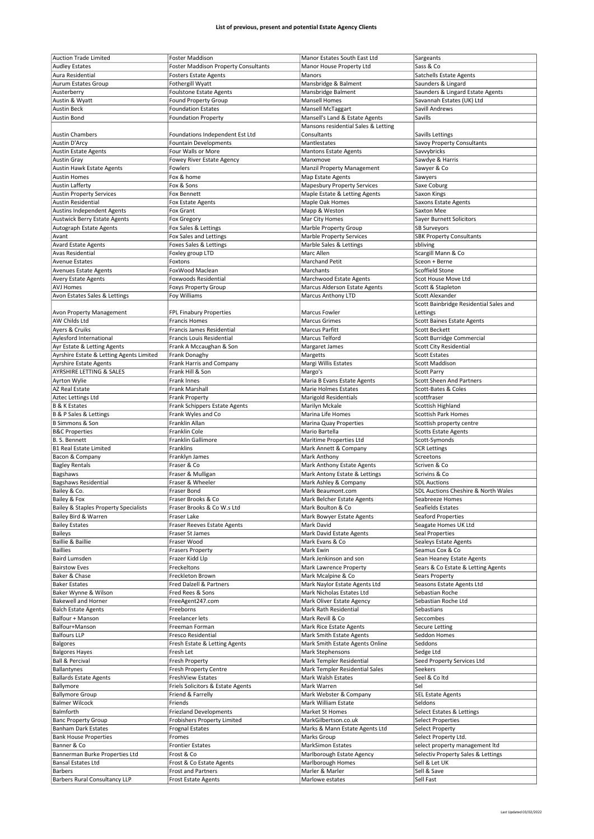| <b>Auction Trade Limited</b>                     | Foster Maddison                                  | Manor Estates South East Ltd        |                                        |
|--------------------------------------------------|--------------------------------------------------|-------------------------------------|----------------------------------------|
|                                                  |                                                  |                                     | Sargeants                              |
| <b>Audley Estates</b>                            | <b>Foster Maddison Property Consultants</b>      | Manor House Property Ltd            | Sass & Co                              |
| Aura Residential                                 | <b>Fosters Estate Agents</b>                     | Manors                              | Satchells Estate Agents                |
| Aurum Estates Group                              | Fothergill Wyatt                                 | Mansbridge & Balment                | Saunders & Lingard                     |
|                                                  |                                                  |                                     |                                        |
| Austerberry                                      | <b>Foulstone Estate Agents</b>                   | Mansbridge Balment                  | Saunders & Lingard Estate Agents       |
| Austin & Wyatt                                   | <b>Found Property Group</b>                      | <b>Mansell Homes</b>                | Savannah Estates (UK) Ltd              |
| <b>Austin Beck</b>                               | <b>Foundation Estates</b>                        | Mansell McTaggart                   | Savill Andrews                         |
| Austin Bond                                      | <b>Foundation Property</b>                       | Mansell's Land & Estate Agents      | Savills                                |
|                                                  |                                                  |                                     |                                        |
|                                                  |                                                  | Mansons residential Sales & Letting |                                        |
| <b>Austin Chambers</b>                           | Foundations Independent Est Ltd                  | Consultants                         | Savills Lettings                       |
| <b>Austin D'Arcy</b>                             | <b>Fountain Developments</b>                     | Mantlestates                        | Savoy Property Consultants             |
|                                                  |                                                  |                                     |                                        |
| <b>Austin Estate Agents</b>                      | Four Walls or More                               | <b>Mantons Estate Agents</b>        | Savvybricks                            |
| <b>Austin Gray</b>                               | Fowey River Estate Agency                        | Manxmove                            | Sawdye & Harris                        |
| Austin Hawk Estate Agents                        | Fowlers                                          | Manzil Property Management          | Sawyer & Co                            |
|                                                  |                                                  |                                     |                                        |
| <b>Austin Homes</b>                              | Fox & home                                       | Map Estate Agents                   | Sawyers                                |
| <b>Austin Lafferty</b>                           | Fox & Sons                                       | <b>Mapesbury Property Services</b>  | Saxe Coburg                            |
| <b>Austin Property Services</b>                  | Fox Bennett                                      | Maple Estate & Letting Agents       | Saxon Kings                            |
|                                                  |                                                  |                                     |                                        |
| <b>Austin Residential</b>                        | Fox Estate Agents                                | Maple Oak Homes                     | <b>Saxons Estate Agents</b>            |
| <b>Austins Independent Agents</b>                | Fox Grant                                        | Mapp & Weston                       | Saxton Mee                             |
| Austwick Berry Estate Agents                     | Fox Gregory                                      | Mar City Homes                      | Sayer Burnett Solicitors               |
|                                                  |                                                  |                                     |                                        |
| Autograph Estate Agents                          | Fox Sales & Lettings                             | Marble Property Group               | <b>SB Surveyors</b>                    |
| Avant                                            | Fox Sales and Lettings                           | Marble Property Services            | <b>SBK Property Consultants</b>        |
| <b>Avard Estate Agents</b>                       | Foxes Sales & Lettings                           | Marble Sales & Lettings             | sbliving                               |
|                                                  |                                                  | Marc Allen                          | Scargill Mann & Co                     |
| <b>Avas Residential</b>                          | Foxley group LTD                                 |                                     |                                        |
| <b>Avenue Estates</b>                            | Foxtons                                          | <b>Marchand Petit</b>               | Sceon + Berne                          |
| Avenues Estate Agents                            | FoxWood Maclean                                  | Marchants                           | Scoffield Stone                        |
|                                                  |                                                  |                                     |                                        |
| <b>Avery Estate Agents</b>                       | <b>Foxwoods Residential</b>                      | Marchwood Estate Agents             | Scot House Move Ltd                    |
| <b>AVJ Homes</b>                                 | <b>Foxys Property Group</b>                      | Marcus Alderson Estate Agents       | Scott & Stapleton                      |
| Avon Estates Sales & Lettings                    | Foy Williams                                     | Marcus Anthony LTD                  | Scott Alexander                        |
|                                                  |                                                  |                                     | Scott Bainbridge Residential Sales and |
|                                                  |                                                  |                                     |                                        |
| Avon Property Management                         | FPL Finabury Properties                          | Marcus Fowler                       | Lettings                               |
| AW Childs Ltd                                    | <b>Francis Homes</b>                             | <b>Marcus Grimes</b>                | Scott Baines Estate Agents             |
| Ayers & Cruiks                                   | Francis James Residential                        | Marcus Parfitt                      | Scott Beckett                          |
|                                                  |                                                  |                                     |                                        |
| Aylesford International                          | Francis Louis Residential                        | Marcus Telford                      | Scott Burridge Commercial              |
| Ayr Estate & Letting Agents                      | Frank A Mccaughan & Son                          | Margaret James                      | Scott City Residential                 |
| Ayrshire Estate & Letting Agents Limited         | Frank Donaghy                                    | Margetts                            | Scott Estates                          |
|                                                  |                                                  |                                     |                                        |
| <b>Ayrshire Estate Agents</b>                    | Frank Harris and Company                         | Margi Willis Estates                | Scott Maddison                         |
| AYRSHIRE LETTING & SALES                         | Frank Hill & Son                                 | Margo's                             | Scott Parry                            |
| Ayrton Wylie                                     | Frank Innes                                      | Maria B Evans Estate Agents         | <b>Scott Sheen And Partners</b>        |
|                                                  |                                                  |                                     |                                        |
| AZ Real Estate                                   | Frank Marshall                                   | Marie Holmes Estates                | Scott-Bates & Coles                    |
| Aztec Lettings Ltd                               | Frank Property                                   | Marigold Residentials               | scottfraser                            |
| <b>B &amp; K Estates</b>                         | Frank Schippers Estate Agents                    | Marilyn Mckale                      | Scottish Highland                      |
|                                                  |                                                  |                                     |                                        |
| B & P Sales & Lettings                           | Frank Wyles and Co                               | Marina Life Homes                   | Scottish Park Homes                    |
|                                                  |                                                  |                                     | Scottish property centre               |
| <b>B Simmons &amp; Son</b>                       | Franklin Allan                                   | Marina Quay Properties              |                                        |
|                                                  | Franklin Cole                                    |                                     |                                        |
| <b>B&amp;C Properties</b>                        |                                                  | Mario Bartella                      | Scotts Estate Agents                   |
| B. S. Bennett                                    | Franklin Gallimore                               | Maritime Properties Ltd             | Scott-Symonds                          |
| <b>B1 Real Estate Limited</b>                    | Franklins                                        | Mark Annett & Company               | <b>SCR Lettings</b>                    |
|                                                  |                                                  |                                     |                                        |
| Bacon & Company                                  | Franklyn James                                   | Mark Anthony                        | Screetons                              |
| <b>Bagley Rentals</b>                            | Fraser & Co                                      | Mark Anthony Estate Agents          | Scriven & Co                           |
| Bagshaws                                         | Fraser & Mulligan                                | Mark Antony Estate & Lettings       | Scrivins & Co                          |
|                                                  | Fraser & Wheeler                                 |                                     | <b>SDL Auctions</b>                    |
| <b>Bagshaws Residential</b>                      |                                                  | Mark Ashley & Company               |                                        |
| Bailey & Co.                                     | Fraser Bond                                      | Mark Beaumont.com                   | SDL Auctions Cheshire & North Wales    |
| Bailey & Fox                                     | Fraser Brooks & Co                               | Mark Belcher Estate Agents          | Seabreeze Homes                        |
| <b>Bailey &amp; Staples Property Specialists</b> | Fraser Brooks & Co W.s Ltd                       | Mark Boulton & Co                   | Seafields Estates                      |
|                                                  |                                                  |                                     |                                        |
| Bailey Bird & Warren                             | Fraser Lake                                      | Mark Bowyer Estate Agents           | <b>Seaford Properties</b>              |
| <b>Bailey Estates</b>                            | <b>Fraser Reeves Estate Agents</b>               | Mark David                          | Seagate Homes UK Ltd                   |
|                                                  | Fraser St James                                  | Mark David Estate Agents            | Seal Properties                        |
| Baileys                                          |                                                  |                                     |                                        |
| Baillie & Baillie                                | Fraser Wood                                      | Mark Evans & Co                     | Sealeys Estate Agents                  |
| <b>Baillies</b>                                  | <b>Frasers Property</b>                          | Mark Ewin                           | Seamus Cox & Co                        |
| Baird Lumsden                                    | Frazer Kidd Llp                                  | Mark Jenkinson and son              | Sean Heaney Estate Agents              |
| <b>Bairstow Eves</b>                             | Freckeltons                                      | Mark Lawrence Property              | Sears & Co Estate & Letting Agents     |
|                                                  |                                                  |                                     |                                        |
| Baker & Chase                                    | Freckleton Brown                                 | Mark Mcalpine & Co                  | Sears Property                         |
| <b>Baker Estates</b>                             | Fred Dalzell & Partners                          | Mark Naylor Estate Agents Ltd       | Seasons Estate Agents Ltd              |
| Baker Wynne & Wilson                             | Fred Rees & Sons                                 | Mark Nicholas Estates Ltd           | Sebastian Roche                        |
|                                                  |                                                  |                                     |                                        |
| <b>Bakewell and Horner</b>                       | FreeAgent247.com                                 | Mark Oliver Estate Agency           | Sebastian Roche Ltd                    |
| <b>Balch Estate Agents</b>                       | Freeborns                                        | Mark Rath Residential               | Sebastians                             |
| Balfour + Manson                                 | Freelancer lets                                  | Mark Revill & Co                    | Seccombes                              |
| Balfour+Manson                                   |                                                  |                                     |                                        |
|                                                  | Freeman Forman                                   | Mark Rice Estate Agents             | <b>Secure Letting</b>                  |
| <b>Balfours LLP</b>                              | Fresco Residential                               | Mark Smith Estate Agents            | Seddon Homes                           |
| Balgores                                         | Fresh Estate & Letting Agents                    | Mark Smith Estate Agents Online     | Seddons                                |
|                                                  |                                                  |                                     |                                        |
| <b>Balgores Hayes</b>                            | Fresh Let                                        | Mark Stephensons                    | Sedge Ltd                              |
| <b>Ball &amp; Percival</b>                       | Fresh Property                                   | Mark Templer Residential            | Seed Property Services Ltd             |
| Ballantynes                                      | <b>Fresh Property Centre</b>                     | Mark Templer Residential Sales      | Seekers                                |
| <b>Ballards Estate Agents</b>                    | FreshView Estates                                | Mark Walsh Estates                  | Seel & Coltd                           |
|                                                  |                                                  |                                     |                                        |
| Ballymore                                        | Friels Solicitors & Estate Agents                | Mark Warren                         | Sel                                    |
| <b>Ballymore Group</b>                           | Friend & Farrelly                                | Mark Webster & Company              | <b>SEL Estate Agents</b>               |
| <b>Balmer Wilcock</b>                            | Friends                                          | Mark William Estate                 | Seldons                                |
|                                                  |                                                  |                                     |                                        |
| Balmforth                                        | <b>Friezland Developments</b>                    | Market St Homes                     | Select Estates & Lettings              |
| <b>Banc Property Group</b>                       | Frobishers Property Limited                      | MarkGilbertson.co.uk                | Select Properties                      |
| <b>Banham Dark Estates</b>                       | <b>Frognal Estates</b>                           | Marks & Mann Estate Agents Ltd      | Select Property                        |
|                                                  |                                                  |                                     |                                        |
| <b>Bank House Properties</b>                     | Fromes                                           | Marks Group                         | Select Property Ltd.                   |
| Banner & Co                                      | <b>Frontier Estates</b>                          | <b>MarkSimon Estates</b>            | select property management Itd         |
| Bannerman Burke Properties Ltd                   | Frost & Co                                       | Marlborough Estate Agency           | Selectiv Property Sales & Lettings     |
|                                                  |                                                  |                                     |                                        |
| <b>Bansal Estates Ltd</b>                        | Frost & Co Estate Agents                         | Marlborough Homes                   | Sell & Let UK                          |
| <b>Barbers</b><br>Barbers Rural Consultancy LLP  | Frost and Partners<br><b>Frost Estate Agents</b> | Marler & Marler<br>Marlowe estates  | Sell & Save<br>Sell Fast               |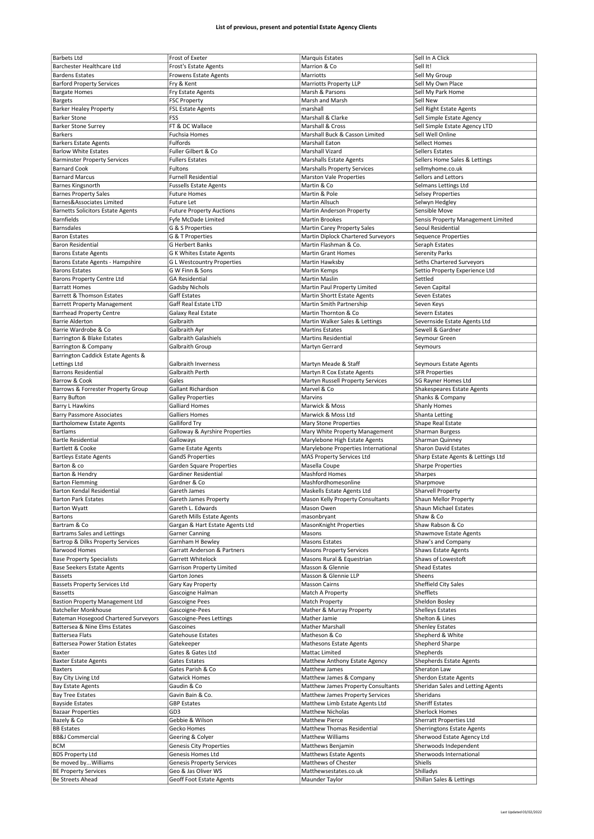| <b>Barbets Ltd</b>                                     | Frost of Exeter                                 | Marquis Estates                         | Sell In A Click                       |
|--------------------------------------------------------|-------------------------------------------------|-----------------------------------------|---------------------------------------|
| Barchester Healthcare Ltd                              | <b>Frost's Estate Agents</b>                    | Marrion & Co                            | Sell It!                              |
|                                                        |                                                 |                                         |                                       |
| <b>Bardens Estates</b>                                 | <b>Frowens Estate Agents</b>                    | Marriotts                               | Sell My Group                         |
| <b>Barford Property Services</b>                       | Fry & Kent                                      | Marriotts Property LLP                  | Sell My Own Place                     |
| <b>Bargate Homes</b>                                   | Fry Estate Agents                               | Marsh & Parsons                         | Sell My Park Home                     |
| <b>Bargets</b>                                         | <b>FSC Property</b>                             | Marsh and Marsh                         | Sell New                              |
| <b>Barker Healey Property</b>                          | <b>FSL Estate Agents</b>                        | marshall                                | Sell Right Estate Agents              |
| <b>Barker Stone</b>                                    | FSS                                             | Marshall & Clarke                       | Sell Simple Estate Agency             |
| <b>Barker Stone Surrey</b>                             | FT & DC Wallace                                 | Marshall & Cross                        | Sell Simple Estate Agency LTD         |
|                                                        |                                                 |                                         |                                       |
| <b>Barkers</b>                                         | Fuchsia Homes                                   | Marshall Buck & Casson Limited          | Sell Well Online                      |
| <b>Barkers Estate Agents</b>                           | Fulfords                                        | Marshall Eaton                          | Sellect Homes                         |
| <b>Barlow White Estates</b>                            | Fuller Gilbert & Co                             | Marshall Vizard                         | Sellers Estates                       |
| <b>Barminster Property Services</b>                    | <b>Fullers Estates</b>                          | Marshalls Estate Agents                 | Sellers Home Sales & Lettings         |
| <b>Barnard Cook</b>                                    | <b>Fultons</b>                                  | <b>Marshalls Property Services</b>      | sellmyhome.co.uk                      |
| <b>Barnard Marcus</b>                                  | <b>Furnell Residential</b>                      | <b>Marston Vale Properties</b>          | Sellors and Lettors                   |
| Barnes Kingsnorth                                      | <b>Fussells Estate Agents</b>                   | Martin & Co                             | Selmans Lettings Ltd                  |
|                                                        |                                                 |                                         |                                       |
| <b>Barnes Property Sales</b>                           | <b>Future Homes</b>                             | Martin & Pole                           | <b>Selsey Properties</b>              |
| Barnes&Associates Limited                              | Future Let                                      | Martin Allsuch                          | Selwyn Hedgley                        |
| <b>Barnetts Solicitors Estate Agents</b>               | <b>Future Property Auctions</b>                 | Martin Anderson Property                | Sensible Move                         |
| <b>Barnfields</b>                                      | Fyfe McDade Limited                             | Martin Brookes                          | Sensis Property Management Limited    |
| Barnsdales                                             | G & S Properties                                | Martin Carey Property Sales             | Seoul Residential                     |
| <b>Baron Estates</b>                                   | G & T Properties                                | Martin Diplock Chartered Surveyors      | Sequence Properties                   |
| <b>Baron Residential</b>                               | <b>G Herbert Banks</b>                          | Martin Flashman & Co.                   | Seraph Estates                        |
|                                                        |                                                 | <b>Martin Grant Homes</b>               |                                       |
| <b>Barons Estate Agents</b>                            | G K Whites Estate Agents                        |                                         | Serenity Parks                        |
| Barons Estate Agents - Hampshire                       | <b>GL Westcountry Properties</b>                | Martin Hawksby                          | Seths Chartered Surveyors             |
| <b>Barons Estates</b>                                  | G W Finn & Sons                                 | Martin Kemps                            | Settio Property Experience Ltd        |
| Barons Property Centre Ltd                             | <b>GA Residential</b>                           | Martin Maslin                           | Settled                               |
| <b>Barratt Homes</b>                                   | Gadsby Nichols                                  | Martin Paul Property Limited            | Seven Capital                         |
| Barrett & Thomson Estates                              | Gaff Estates                                    | Martin Shortt Estate Agents             | Seven Estates                         |
| <b>Barrett Property Management</b>                     | Gaff Real Estate LTD                            | Martin Smith Partnership                | Seven Keys                            |
| <b>Barrhead Property Centre</b>                        | Galaxy Real Estate                              | Martin Thornton & Co                    | Severn Estates                        |
| <b>Barrie Alderton</b>                                 |                                                 |                                         |                                       |
|                                                        | Galbraith                                       | Martin Walker Sales & Lettings          | Severnside Estate Agents Ltd          |
| Barrie Wardrobe & Co                                   | Galbraith Ayr                                   | <b>Martins Estates</b>                  | Sewell & Gardner                      |
| Barrington & Blake Estates                             | Galbraith Galashiels                            | <b>Martins Residential</b>              | Seymour Green                         |
| Barrington & Company                                   | Galbraith Group                                 | Martyn Gerrard                          | Seymours                              |
| Barrington Caddick Estate Agents &                     |                                                 |                                         |                                       |
| Lettings Ltd                                           | <b>Galbraith Inverness</b>                      | Martyn Meade & Staff                    | Seymours Estate Agents                |
| <b>Barrons Residential</b>                             | Galbraith Perth                                 | Martyn R Cox Estate Agents              | <b>SFR Properties</b>                 |
| Barrow & Cook                                          | Gales                                           |                                         |                                       |
|                                                        |                                                 | Martyn Russell Property Services        | SG Rayner Homes Ltd                   |
| Barrows & Forrester Property Group                     | Gallant Richardson                              | Marvel & Co                             | Shakespeares Estate Agents            |
| <b>Barry Bufton</b>                                    | <b>Galley Properties</b>                        | Marvins                                 | Shanks & Company                      |
| Barry L Hawkins                                        | <b>Galliard Homes</b>                           | Marwick & Moss                          | Shanly Homes                          |
| <b>Barry Passmore Associates</b>                       | <b>Galliers Homes</b>                           | Marwick & Moss Ltd                      | Shanta Letting                        |
|                                                        |                                                 | Mary Stone Properties                   | Shape Real Estate                     |
|                                                        |                                                 |                                         |                                       |
| <b>Bartholomew Estate Agents</b>                       | Galliford Try                                   |                                         |                                       |
| Bartlams                                               | Galloway & Ayrshire Properties                  | Mary White Property Management          | Sharman Burgess                       |
| <b>Bartle Residential</b>                              | Galloways                                       | Marylebone High Estate Agents           | Sharman Quinney                       |
| Bartlett & Cooke                                       | Game Estate Agents                              | Marylebone Properties International     | Sharon David Estates                  |
| <b>Bartleys Estate Agents</b>                          | <b>GandS Properties</b>                         | MAS Property Services Ltd               | Sharp Estate Agents & Lettings Ltd    |
| Barton & co                                            | Garden Square Properties                        | Masella Coupe                           | Sharpe Properties                     |
| Barton & Hendry                                        | Gardiner Residential                            | <b>Mashford Homes</b>                   | <b>Sharpes</b>                        |
| <b>Barton Flemming</b>                                 | Gardner & Co                                    | Mashfordhomesonline                     | Sharpmove                             |
|                                                        |                                                 |                                         |                                       |
| Barton Kendal Residential                              | Gareth James                                    | Maskells Estate Agents Ltd              | Sharvell Property                     |
| Barton Park Estates                                    | Gareth James Property                           | Mason Kelly Property Consultants        | Shaun Mellor Property                 |
| <b>Barton Wyatt</b>                                    | Gareth L. Edwards                               | Mason Owen                              | Shaun Michael Estates                 |
| Bartons                                                | Gareth Mills Estate Agents                      | masonbryant                             | Shaw & Co                             |
| Bartram & Co                                           | Gargan & Hart Estate Agents Ltd                 | MasonKnight Properties                  | Shaw Rabson & Co                      |
| Bartrams Sales and Lettings                            | <b>Garner Canning</b>                           | Masons                                  | Shawmove Estate Agents                |
| Bartrop & Dilks Property Services                      | Garnham H Bewley                                | Masons Estates                          | Shaw's and Company                    |
| <b>Barwood Homes</b>                                   | Garratt Anderson & Partners                     | <b>Masons Property Services</b>         | Shaws Estate Agents                   |
|                                                        |                                                 |                                         |                                       |
| <b>Base Property Specialists</b>                       | Garrett Whitelock                               | Masons Rural & Equestrian               | Shaws of Lowestoft                    |
| <b>Base Seekers Estate Agents</b>                      | <b>Garrison Property Limited</b>                | Masson & Glennie                        | Shead Estates                         |
| <b>Bassets</b>                                         | Garton Jones                                    | Masson & Glennie LLP                    | Sheens                                |
| <b>Bassets Property Services Ltd</b>                   | Gary Kay Property                               | <b>Masson Cairns</b>                    | Sheffield City Sales                  |
| <b>Bassetts</b>                                        | Gascoigne Halman                                | Match A Property                        | Shefflets                             |
| <b>Bastion Property Management Ltd</b>                 | Gascoigne Pees                                  | Match Property                          | Sheldon Bosley                        |
| <b>Batcheller Monkhouse</b>                            | Gascoigne-Pees                                  | Mather & Murray Property                | Shelleys Estates                      |
| Bateman Hosegood Chartered Surveyors                   |                                                 | Mather Jamie                            | Shelton & Lines                       |
|                                                        | Gascoigne-Pees Lettings                         |                                         |                                       |
| Battersea & Nine Elms Estates                          | Gascoines                                       | Mather Marshall                         | <b>Shenley Estates</b>                |
| <b>Battersea Flats</b>                                 | Gatehouse Estates                               | Matheson & Co                           | Shepherd & White                      |
| <b>Battersea Power Station Estates</b>                 | Gatekeeper                                      | Mathesons Estate Agents                 | Shepherd Sharpe                       |
| Baxter                                                 | Gates & Gates Ltd                               | Mattac Limited                          | Shepherds                             |
| <b>Baxter Estate Agents</b>                            | Gates Estates                                   | Matthew Anthony Estate Agency           | Shepherds Estate Agents               |
| <b>Baxters</b>                                         | Gates Parish & Co                               | Matthew James                           | Sheraton Law                          |
| Bay City Living Ltd                                    | Gatwick Homes                                   | Matthew James & Company                 | Sherdon Estate Agents                 |
|                                                        | Gaudin & Co                                     |                                         |                                       |
| <b>Bay Estate Agents</b>                               |                                                 | Matthew James Property Consultants      | Sheridan Sales and Letting Agents     |
| <b>Bay Tree Estates</b>                                | Gavin Bain & Co.                                | Matthew James Property Services         | Sheridans                             |
| <b>Bayside Estates</b>                                 | <b>GBP Estates</b>                              | Matthew Limb Estate Agents Ltd          | Sheriff Estates                       |
| <b>Bazaar Properties</b>                               | GD3                                             | <b>Matthew Nicholas</b>                 | Sherlock Homes                        |
| Bazely & Co                                            | Gebbie & Wilson                                 | <b>Matthew Pierce</b>                   | Sherratt Properties Ltd               |
| <b>BB</b> Estates                                      | Gecko Homes                                     | Matthew Thomas Residential              | Sherringtons Estate Agents            |
| <b>BB&amp;J Commercial</b>                             |                                                 | Matthew Williams                        |                                       |
|                                                        | Geering & Colyer                                |                                         | Sherwood Estate Agency Ltd            |
| <b>BCM</b>                                             | <b>Genesis City Properties</b>                  | Matthews Benjamin                       | Sherwoods Independent                 |
| <b>BDS Property Ltd</b>                                | Genesis Homes Ltd                               | Matthews Estate Agents                  | Sherwoods International               |
| Be moved byWilliams                                    | <b>Genesis Property Services</b>                | Matthews of Chester                     | Shiells                               |
| <b>BE Property Services</b><br><b>Be Streets Ahead</b> | Geo & Jas Oliver WS<br>Geoff Foot Estate Agents | Matthewsestates.co.uk<br>Maunder Taylor | Shilladys<br>Shillan Sales & Lettings |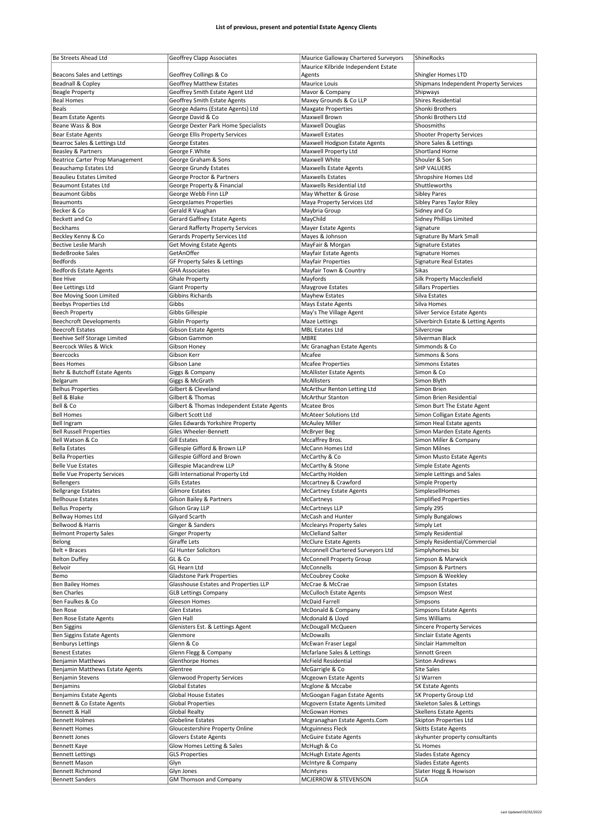| Be Streets Ahead Ltd                            | Geoffrey Clapp Associates                  | Maurice Galloway Chartered Surveyors | ShineRocks                                    |
|-------------------------------------------------|--------------------------------------------|--------------------------------------|-----------------------------------------------|
|                                                 |                                            | Maurice Kilbride Independent Estate  |                                               |
| Beacons Sales and Lettings                      | Geoffrey Collings & Co                     | Agents                               | Shingler Homes LTD                            |
| <b>Beadnall &amp; Copley</b>                    | <b>Geoffrey Matthew Estates</b>            | Maurice Louis                        | Shipmans Independent Property Services        |
| <b>Beagle Property</b>                          | Geoffrey Smith Estate Agent Ltd            | Mavor & Company                      | Shipways                                      |
| <b>Beal Homes</b>                               | <b>Geoffrey Smith Estate Agents</b>        | Maxey Grounds & Co LLP               | Shires Residential                            |
| Beals                                           | George Adams (Estate Agents) Ltd           | <b>Maxgate Properties</b>            | Shonki Brothers                               |
| Beam Estate Agents                              | George David & Co                          | Maxwell Brown                        | Shonki Brothers Ltd                           |
| Beane Wass & Box                                | George Dexter Park Home Specialists        | Maxwell Douglas                      | Shoosmiths                                    |
|                                                 |                                            |                                      |                                               |
| <b>Bear Estate Agents</b>                       | George Ellis Property Services             | <b>Maxwell Estates</b>               | <b>Shooter Property Services</b>              |
| Bearroc Sales & Lettings Ltd                    | George Estates                             | Maxwell Hodgson Estate Agents        | Shore Sales & Lettings                        |
| Beasley & Partners                              | George F.White                             | Maxwell Property Ltd                 | Shortland Horne                               |
| Beatrice Carter Prop Management                 | George Graham & Sons                       | Maxwell White                        | Shouler & Son                                 |
| Beauchamp Estates Ltd                           | George Grundy Estates                      | <b>Maxwells Estate Agents</b>        | <b>SHP VALUERS</b>                            |
| <b>Beaulieu Estates Limited</b>                 | George Proctor & Partners                  | Maxwells Estates                     | Shropshire Homes Ltd                          |
| <b>Beaumont Estates Ltd</b>                     | George Property & Financial                | Maxwells Residential Ltd             | Shuttleworths                                 |
| <b>Beaumont Gibbs</b>                           | George Webb Finn LLP                       | May Whetter & Grose                  | <b>Sibley Pares</b>                           |
| <b>Beaumonts</b>                                | GeorgeJames Properties                     | Maya Property Services Ltd           | Sibley Pares Taylor Riley                     |
| Becker & Co                                     | Gerald R Vaughan                           | Maybria Group                        | Sidney and Co                                 |
| Beckett and Co                                  | <b>Gerard Gaffney Estate Agents</b>        | MayChild                             | Sidney Phillips Limited                       |
| Beckhams                                        | <b>Gerard Rafferty Property Services</b>   | Mayer Estate Agents                  | Signature                                     |
| Beckley Kenny & Co                              | Gerards Property Services Ltd              | Mayes & Johnson                      | Signature By Mark Small                       |
| <b>Bective Leslie Marsh</b>                     | <b>Get Moving Estate Agents</b>            | MayFair & Morgan                     | Signature Estates                             |
| <b>BedeBrooke Sales</b>                         | GetAnOffer                                 | Mayfair Estate Agents                | Signature Homes                               |
| <b>Bedfords</b>                                 | GF Property Sales & Lettings               | <b>Mayfair Properties</b>            | Signature Real Estates                        |
| Bedfords Estate Agents                          | <b>GHA Associates</b>                      | Mayfair Town & Country               | Sikas                                         |
| Bee Hive                                        |                                            | Mayfords                             | Silk Property Macclesfield                    |
|                                                 | <b>Ghale Property</b>                      |                                      |                                               |
| Bee Lettings Ltd                                | <b>Giant Property</b>                      | Maygrove Estates                     | Sillars Properties                            |
| Bee Moving Soon Limited                         | Gibbins Richards                           | Mayhew Estates                       | Silva Estates                                 |
| Beebys Properties Ltd                           | Gibbs                                      | <b>Mays Estate Agents</b>            | Silva Homes                                   |
| <b>Beech Property</b>                           | Gibbs Gillespie                            | May's The Village Agent              | Silver Service Estate Agents                  |
| <b>Beechcroft Developments</b>                  | Giblin Property                            | Maze Lettings                        | Silverbirch Estate & Letting Agents           |
| <b>Beecroft Estates</b>                         | Gibson Estate Agents                       | MBL Estates Ltd                      | Silvercrow                                    |
| Beehive Self Storage Limited                    | Gibson Gammon                              | MBRE                                 | Silverman Black                               |
| Beercock Wiles & Wick                           | Gibson Honey                               | Mc Granaghan Estate Agents           | Simmonds & Co                                 |
| Beercocks                                       | Gibson Kerr                                | Mcafee                               | Simmons & Sons                                |
| <b>Bees Homes</b>                               | Gibson Lane                                | <b>Mcafee Properties</b>             | Simmons Estates                               |
| Behr & Butchoff Estate Agents                   | Giggs & Company                            | McAllister Estate Agents             | Simon & Co                                    |
| Belgarum                                        | Giggs & McGrath                            | McAllisters                          | Simon Blyth                                   |
| <b>Belhus Properties</b>                        | Gilbert & Cleveland                        | McArthur Renton Letting Ltd          | Simon Brien                                   |
| Bell & Blake                                    | Gilbert & Thomas                           | <b>McArthur Stanton</b>              | Simon Brien Residential                       |
| Bell & Co                                       |                                            |                                      |                                               |
|                                                 | Gilbert & Thomas Independent Estate Agents | <b>Mcatee Bros</b>                   | Simon Burt The Estate Agent                   |
| <b>Bell Homes</b>                               | Gilbert Scott Ltd                          | McAteer Solutions Ltd                | Simon Colligan Estate Agents                  |
| <b>Bell Ingram</b>                              | Giles Edwards Yorkshire Property           | <b>McAuley Miller</b>                | Simon Heal Estate agents                      |
| <b>Bell Russell Properties</b>                  | Giles Wheeler-Bennett                      | McBryer Beg                          | Simon Marden Estate Agents                    |
|                                                 |                                            | Mccaffrey Bros.                      | Simon Miller & Company                        |
| Bell Watson & Co                                | <b>Gill Estates</b>                        |                                      |                                               |
| <b>Bella Estates</b>                            | Gillespie Gifford & Brown LLP              | McCann Homes Ltd                     | Simon Milnes                                  |
| <b>Bella Properties</b>                         | Gillespie Gifford and Brown                | McCarthy & Co                        | Simon Musto Estate Agents                     |
| <b>Belle Vue Estates</b>                        | Gillespie Macandrew LLP                    | McCarthy & Stone                     | Simple Estate Agents                          |
| <b>Belle Vue Property Services</b>              | Gilli International Property Ltd           | McCarthy Holden                      | Simple Lettings and Sales                     |
| <b>Bellengers</b>                               | Gills Estates                              | Mccartney & Crawford                 | Simple Property                               |
| <b>Bellgrange Estates</b>                       | Gilmore Estates                            | <b>McCartney Estate Agents</b>       | SimplesellHomes                               |
|                                                 |                                            |                                      |                                               |
| <b>Bellhouse Estates</b>                        | Gilson Bailey & Partners                   | McCartneys                           | Simplified Properties                         |
| <b>Bellus Property</b>                          | Gilson Gray LLP                            | McCartneys LLP                       | Simply 295                                    |
| Bellway Homes Ltd                               | Gilyard Scarth                             | McCash and Hunter                    | Simply Bungalows                              |
| Bellwood & Harris                               | Ginger & Sanders                           | <b>Mcclearys Property Sales</b>      | Simply Let                                    |
| <b>Belmont Property Sales</b>                   | <b>Ginger Property</b>                     | McClelland Salter                    | Simply Residential                            |
| Belong                                          | Giraffe Lets                               | <b>McClure Estate Agents</b>         | Simply Residential/Commercial                 |
| Belt + Braces                                   | GJ Hunter Solicitors                       | Mcconnell Chartered Surveyors Ltd    | Simplyhomes.biz                               |
| <b>Belton Duffey</b>                            | GL & Co                                    | <b>McConnell Property Group</b>      | Simpson & Marwick                             |
| Belvoir                                         | GL Hearn Ltd                               | McConnells                           | Simpson & Partners                            |
| Bemo                                            | <b>Gladstone Park Properties</b>           | McCoubrey Cooke                      | Simpson & Weekley                             |
| <b>Ben Bailey Homes</b>                         | Glasshouse Estates and Properties LLP      | McCrae & McCrae                      | Simpson Estates                               |
| <b>Ben Charles</b>                              | <b>GLB Lettings Company</b>                | <b>McCulloch Estate Agents</b>       | Simpson West                                  |
| Ben Faulkes & Co                                | Gleeson Homes                              | <b>McDaid Farrell</b>                | Simpsons                                      |
| Ben Rose                                        | Glen Estates                               | McDonald & Company                   | Simpsons Estate Agents                        |
| Ben Rose Estate Agents                          | Glen Hall                                  | Mcdonald & Lloyd                     | Sims Williams                                 |
| <b>Ben Siggins</b>                              | Glenisters Est. & Lettings Agent           | McDougall McQueen                    | Sincere Property Services                     |
| Ben Siggins Estate Agents                       | Glenmore                                   | McDowalls                            | Sinclair Estate Agents                        |
| <b>Benburys Lettings</b>                        | Glenn & Co                                 | McEwan Fraser Legal                  | Sinclair Hammelton                            |
| <b>Benest Estates</b>                           |                                            | Mcfarlane Sales & Lettings           | Sinnott Green                                 |
|                                                 | Glenn Flegg & Company                      |                                      |                                               |
| <b>Benjamin Matthews</b>                        | Glenthorpe Homes                           | McField Residential                  | Sinton Andrews                                |
| Benjamin Matthews Estate Agents                 | Glentree                                   | McGarrigle & Co                      | Site Sales                                    |
| Benjamin Stevens                                | <b>Glenwood Property Services</b>          | Mcgeown Estate Agents                | SJ Warren                                     |
| Benjamins                                       | <b>Global Estates</b>                      | Mcglone & Mccabe                     | <b>SK Estate Agents</b>                       |
| <b>Benjamins Estate Agents</b>                  | <b>Global House Estates</b>                | McGoogan Fagan Estate Agents         | SK Property Group Ltd                         |
| Bennett & Co Estate Agents                      | <b>Global Properties</b>                   | Mcgovern Estate Agents Limited       | Skeleton Sales & Lettings                     |
| Bennett & Hall                                  | Global Realty                              | McGowan Homes                        | <b>Skellens Estate Agents</b>                 |
| <b>Bennett Holmes</b>                           | Globeline Estates                          | Mcgranaghan Estate Agents.Com        | Skipton Properties Ltd                        |
| <b>Bennett Homes</b>                            | Gloucestershire Property Online            | <b>Mcguinness Fleck</b>              | Skitts Estate Agents                          |
| <b>Bennett Jones</b>                            | <b>Glovers Estate Agents</b>               | <b>McGuire Estate Agents</b>         | skyhunter property consultants                |
| Bennett Kaye                                    | Glow Homes Letting & Sales                 | McHugh & Co                          | <b>SL Homes</b>                               |
| <b>Bennett Lettings</b>                         | <b>GLS Properties</b>                      |                                      | Slades Estate Agency                          |
|                                                 |                                            | McHugh Estate Agents                 |                                               |
| <b>Bennett Mason</b><br><b>Bennett Richmond</b> | Glyn<br>Glyn Jones                         | McIntyre & Company<br>Mcintyres      | Slades Estate Agents<br>Slater Hogg & Howison |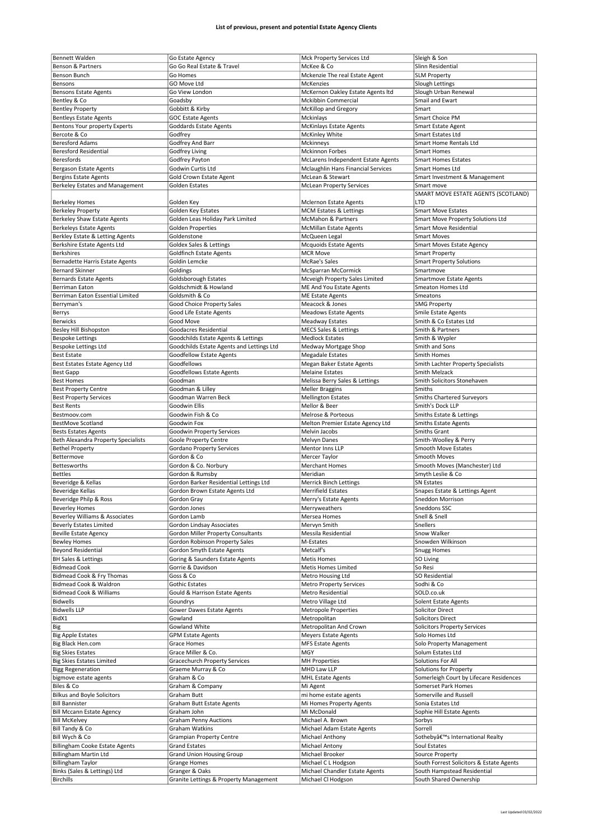| <b>Bennett Walden</b>                 | Go Estate Agency                          | Mck Property Services Ltd          | Sleigh & Son                             |
|---------------------------------------|-------------------------------------------|------------------------------------|------------------------------------------|
|                                       |                                           |                                    |                                          |
| <b>Benson &amp; Partners</b>          | Go Go Real Estate & Travel                | McKee & Co                         | Slinn Residential                        |
| Benson Bunch                          | Go Homes                                  | Mckenzie The real Estate Agent     | <b>SLM Property</b>                      |
| Bensons                               | GO Move Ltd                               | <b>McKenzies</b>                   | Slough Lettings                          |
|                                       |                                           |                                    |                                          |
| <b>Bensons Estate Agents</b>          | Go View London                            | McKernon Oakley Estate Agents Itd  | Slough Urban Renewal                     |
| Bentley & Co                          | Goadsby                                   | Mckibbin Commercial                | Smail and Ewart                          |
| <b>Bentley Property</b>               | Gobbitt & Kirby                           | McKillop and Gregory               | Smart                                    |
|                                       |                                           |                                    |                                          |
| <b>Bentleys Estate Agents</b>         | <b>GOC Estate Agents</b>                  | Mckinlays                          | Smart Choice PM                          |
| Bentons Your property Experts         | Goddards Estate Agents                    | <b>McKinlays Estate Agents</b>     | Smart Estate Agent                       |
| Bercote & Co                          | Godfrey                                   | McKinley White                     | Smart Estates Ltd                        |
|                                       |                                           |                                    |                                          |
| <b>Beresford Adams</b>                | Godfrey And Barr                          | Mckinneys                          | Smart Home Rentals Ltd                   |
| <b>Beresford Residential</b>          | <b>Godfrey Living</b>                     | <b>Mckinnon Forbes</b>             | <b>Smart Homes</b>                       |
|                                       |                                           |                                    |                                          |
| Beresfords                            | Godfrey Payton                            | McLarens Independent Estate Agents | <b>Smart Homes Estates</b>               |
| Bergason Estate Agents                | Godwin Curtis Ltd                         | Mclaughlin Hans Financial Services | Smart Homes Ltd                          |
|                                       | Gold Crown Estate Agent                   | McLean & Stewart                   |                                          |
| <b>Bergins Estate Agents</b>          |                                           |                                    | Smart Investment & Management            |
| Berkeley Estates and Management       | Golden Estates                            | <b>McLean Property Services</b>    | Smart move                               |
|                                       |                                           |                                    | SMART MOVE ESTATE AGENTS (SCOTLAND)      |
|                                       |                                           |                                    |                                          |
| <b>Berkeley Homes</b>                 | Golden Key                                | Mclernon Estate Agents             | LTD                                      |
| <b>Berkeley Property</b>              | Golden Key Estates                        | <b>MCM Estates &amp; Lettings</b>  | <b>Smart Move Estates</b>                |
| Berkeley Shaw Estate Agents           | Golden Leas Holiday Park Limited          | McMahon & Partners                 | Smart Move Property Solutions Ltd        |
|                                       |                                           |                                    |                                          |
| <b>Berkeleys Estate Agents</b>        | <b>Golden Properties</b>                  | <b>McMillan Estate Agents</b>      | <b>Smart Move Residential</b>            |
| Berkley Estate & Letting Agents       | Goldenstone                               | McQueen Legal                      | <b>Smart Moves</b>                       |
|                                       |                                           |                                    |                                          |
| Berkshire Estate Agents Ltd           | <b>Goldex Sales &amp; Lettings</b>        | <b>Mcquoids Estate Agents</b>      | <b>Smart Moves Estate Agency</b>         |
| <b>Berkshires</b>                     | <b>Goldfinch Estate Agents</b>            | <b>MCR Move</b>                    | <b>Smart Property</b>                    |
|                                       |                                           |                                    |                                          |
| Bernadette Harris Estate Agents       | Goldin Lemcke                             | <b>McRae's Sales</b>               | <b>Smart Property Solutions</b>          |
| <b>Bernard Skinner</b>                | Goldings                                  | McSparran McCormick                | Smartmove                                |
| <b>Bernards Estate Agents</b>         | <b>Goldsborough Estates</b>               | Mcveigh Property Sales Limited     | <b>Smartmove Estate Agents</b>           |
|                                       |                                           |                                    |                                          |
| Berriman Eaton                        | Goldschmidt & Howland                     | ME And You Estate Agents           | Smeaton Homes Ltd                        |
| Berriman Eaton Essential Limited      | Goldsmith & Co                            | ME Estate Agents                   | Smeatons                                 |
|                                       |                                           |                                    |                                          |
| Berryman's                            | Good Choice Property Sales                | Meacock & Jones                    | <b>SMG Property</b>                      |
| Berrys                                | Good Life Estate Agents                   | <b>Meadows Estate Agents</b>       | <b>Smile Estate Agents</b>               |
|                                       |                                           |                                    |                                          |
| Berwicks                              | Good Move                                 | Meadway Estates                    | Smith & Co Estates Ltd                   |
| Besley Hill Bishopston                | Goodacres Residential                     | <b>MECS Sales &amp; Lettings</b>   | Smith & Partners                         |
|                                       |                                           |                                    |                                          |
| <b>Bespoke Lettings</b>               | Goodchilds Estate Agents & Lettings       | <b>Medlock Estates</b>             | Smith & Wypler                           |
| Bespoke Lettings Ltd                  | Goodchilds Estate Agents and Lettings Ltd | Medway Mortgage Shop               | Smith and Sons                           |
| <b>Best Estate</b>                    | <b>Goodfellow Estate Agents</b>           | <b>Megadale Estates</b>            | <b>Smith Homes</b>                       |
|                                       |                                           |                                    |                                          |
| Best Estates Estate Agency Ltd        | Goodfellows                               | Megan Baker Estate Agents          | Smith Lachter Property Specialists       |
| <b>Best Gapp</b>                      | Goodfellows Estate Agents                 | <b>Melaine Estates</b>             | <b>Smith Melzack</b>                     |
|                                       |                                           |                                    |                                          |
| <b>Best Homes</b>                     | Goodman                                   | Melissa Berry Sales & Lettings     | Smith Solicitors Stonehaven              |
| <b>Best Property Centre</b>           | Goodman & Lilley                          | <b>Meller Braggins</b>             | Smiths                                   |
|                                       |                                           |                                    |                                          |
| <b>Best Property Services</b>         | Goodman Warren Beck                       | <b>Mellington Estates</b>          | <b>Smiths Chartered Surveyors</b>        |
| <b>Best Rents</b>                     | Goodwin Ellis                             | Mellor & Beer                      | Smith's Dock LLP                         |
| Bestmoov.com                          | Goodwin Fish & Co                         | Melrose & Porteous                 | Smiths Estate & Lettings                 |
|                                       |                                           |                                    |                                          |
|                                       |                                           |                                    |                                          |
| BestMove Scotland                     | Goodwin Fox                               | Melton Premier Estate Agency Ltd   | <b>Smiths Estate Agents</b>              |
|                                       |                                           |                                    |                                          |
| <b>Bests Estates Agents</b>           | Goodwin Property Services                 | Melvin Jacobs                      | Smiths Grant                             |
| Beth Alexandra Property Specialists   | Goole Property Centre                     | <b>Melvyn Danes</b>                | Smith-Woolley & Perry                    |
| <b>Bethel Property</b>                | <b>Gordano Property Services</b>          | Mentor Inns LLP                    | Smooth Move Estates                      |
|                                       |                                           |                                    |                                          |
| Bettermove                            | Gordon & Co                               | Mercer Taylor                      | Smooth Moves                             |
| Bettesworths                          | Gordon & Co. Norbury                      | <b>Merchant Homes</b>              | Smooth Moves (Manchester) Ltd            |
|                                       |                                           |                                    |                                          |
| <b>Bettles</b>                        | Gordon & Rumsby                           | Meridian                           | Smyth Leslie & Co                        |
| Beveridge & Kellas                    | Gordon Barker Residential Lettings Ltd    | <b>Merrick Binch Lettings</b>      | <b>SN Estates</b>                        |
|                                       |                                           | <b>Merrifield Estates</b>          |                                          |
| <b>Beveridge Kellas</b>               | Gordon Brown Estate Agents Ltd            |                                    | Snapes Estate & Lettings Agent           |
| Beveridge Philp & Ross                | Gordon Gray                               | Merry's Estate Agents              | Sneddon Morrison                         |
| <b>Beverley Homes</b>                 | Gordon Jones                              | Merryweathers                      | Sneddons SSC                             |
|                                       |                                           |                                    |                                          |
| Beverley Williams & Associates        | Gordon Lamb                               | Mersea Homes                       | Snell & Snell                            |
| <b>Beverly Estates Limited</b>        | Gordon Lindsay Associates                 | Mervyn Smith                       | Snellers                                 |
| <b>Beville Estate Agency</b>          | <b>Gordon Miller Property Consultants</b> | Messila Residential                | Snow Walker                              |
|                                       |                                           |                                    |                                          |
| <b>Bewley Homes</b>                   | Gordon Robinson Property Sales            | M-Estates                          | Snowden Wilkinson                        |
| <b>Beyond Residential</b>             | Gordon Smyth Estate Agents                | Metcalf's                          | Snugg Homes                              |
| <b>BH Sales &amp; Lettings</b>        |                                           | <b>Metis Homes</b>                 |                                          |
|                                       | Goring & Saunders Estate Agents           |                                    | SO Living                                |
| <b>Bidmead Cook</b>                   | Gorrie & Davidson                         | Metis Homes Limited                | So Resi                                  |
| Bidmead Cook & Fry Thomas             | Goss & Co                                 | Metro Housing Ltd                  | SO Residential                           |
|                                       |                                           |                                    |                                          |
| Bidmead Cook & Waldron                | Gothic Estates                            | <b>Metro Property Services</b>     | Sodhi & Co                               |
| <b>Bidmead Cook &amp; Williams</b>    | Gould & Harrison Estate Agents            | Metro Residential                  | SOLD.co.uk                               |
| <b>Bidwells</b>                       |                                           |                                    |                                          |
|                                       | Goundrys                                  | Metro Village Ltd                  | Solent Estate Agents                     |
| <b>Bidwells LLP</b>                   | Gower Dawes Estate Agents                 | <b>Metropole Properties</b>        | <b>Solicitor Direct</b>                  |
| BidX1                                 | Gowland                                   | Metropolitan                       | <b>Solicitors Direct</b>                 |
|                                       |                                           |                                    |                                          |
| Big                                   | Gowland White                             | Metropolitan And Crown             | <b>Solicitors Property Services</b>      |
| <b>Big Apple Estates</b>              | <b>GPM Estate Agents</b>                  | <b>Meyers Estate Agents</b>        | Solo Homes Ltd                           |
|                                       |                                           |                                    |                                          |
| Big Black Hen.com                     | Grace Homes                               | <b>MFS Estate Agents</b>           | Solo Property Management                 |
| <b>Big Skies Estates</b>              | Grace Miller & Co.                        | MGY                                | Solum Estates Ltd                        |
|                                       |                                           | <b>MH Properties</b>               | Solutions For All                        |
| <b>Big Skies Estates Limited</b>      | <b>Gracechurch Property Services</b>      |                                    |                                          |
| <b>Bigg Regeneration</b>              | Graeme Murray & Co                        | MHD Law LLP                        | Solutions for Property                   |
| bigmove estate agents                 | Graham & Co                               | <b>MHL Estate Agents</b>           | Somerleigh Court by Lifecare Residences  |
|                                       |                                           |                                    |                                          |
| Biles & Co                            | Graham & Company                          | Mi Agent                           | Somerset Park Homes                      |
| <b>Bilkus and Boyle Solicitors</b>    | Graham Butt                               | mi home estate agents              | Somerville and Russell                   |
|                                       |                                           |                                    |                                          |
| <b>Bill Bannister</b>                 | Graham Butt Estate Agents                 | Mi Homes Property Agents           | Sonia Estates Ltd                        |
| <b>Bill Mccann Estate Agency</b>      | Graham John                               | Mi McDonald                        | Sophie Hill Estate Agents                |
|                                       |                                           |                                    |                                          |
| <b>Bill McKelvey</b>                  | <b>Graham Penny Auctions</b>              | Michael A. Brown                   | Sorbys                                   |
| Bill Tandy & Co                       | Graham Watkins                            | Michael Adam Estate Agents         | Sorrell                                  |
|                                       |                                           |                                    |                                          |
| Bill Wych & Co                        | <b>Grampian Property Centre</b>           | Michael Anthony                    | Sotheby's International Realty           |
| <b>Billingham Cooke Estate Agents</b> | <b>Grand Estates</b>                      | Michael Antony                     | Soul Estates                             |
|                                       |                                           |                                    |                                          |
| <b>Billingham Martin Ltd</b>          | <b>Grand Union Housing Group</b>          | Michael Brooker                    | Source Property                          |
| <b>Billingham Taylor</b>              | Grange Homes                              | Michael C L Hodgson                | South Forrest Solicitors & Estate Agents |
| Binks (Sales & Lettings) Ltd          | Granger & Oaks                            | Michael Chandler Estate Agents     | South Hampstead Residential              |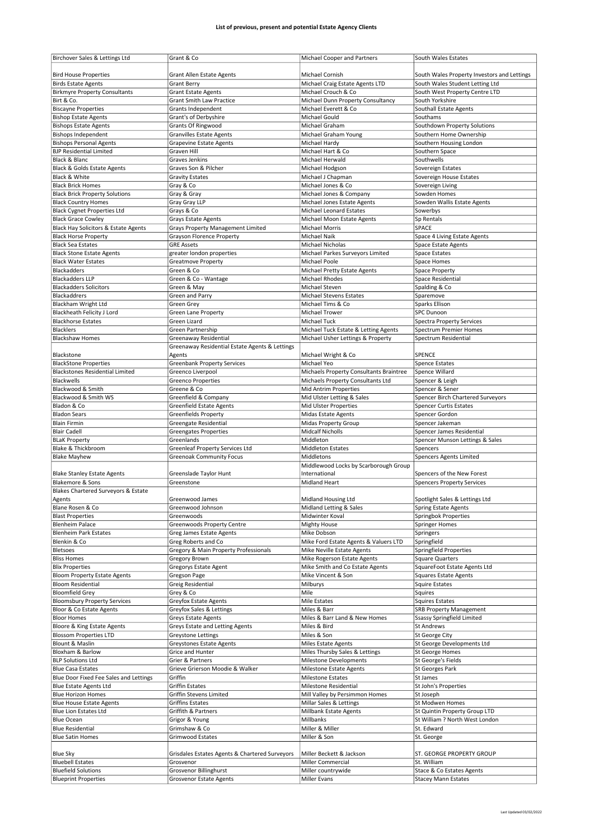| Birchover Sales & Lettings Ltd                            | Grant & Co                                               | Michael Cooper and Partners             | South Wales Estates                                     |
|-----------------------------------------------------------|----------------------------------------------------------|-----------------------------------------|---------------------------------------------------------|
|                                                           |                                                          |                                         |                                                         |
| <b>Bird House Properties</b>                              | <b>Grant Allen Estate Agents</b>                         | Michael Cornish                         | South Wales Property Investors and Lettings             |
| <b>Birds Estate Agents</b>                                | <b>Grant Berry</b>                                       | Michael Craig Estate Agents LTD         | South Wales Student Letting Ltd                         |
| <b>Birkmyre Property Consultants</b>                      | <b>Grant Estate Agents</b>                               | Michael Crouch & Co                     | South West Property Centre LTD                          |
|                                                           |                                                          |                                         |                                                         |
| Birt & Co.                                                | <b>Grant Smith Law Practice</b>                          | Michael Dunn Property Consultancy       | South Yorkshire                                         |
| <b>Biscayne Properties</b>                                | Grants Independent                                       | Michael Everett & Co                    | Southall Estate Agents                                  |
| <b>Bishop Estate Agents</b>                               | Grant's of Derbyshire                                    | Michael Gould                           | Southams                                                |
| <b>Bishops Estate Agents</b>                              | <b>Grants Of Ringwood</b>                                | Michael Graham                          | Southdown Property Solutions                            |
| <b>Bishops Independent</b>                                | <b>Granvilles Estate Agents</b>                          | Michael Graham Young                    | Southern Home Ownership                                 |
| <b>Bishops Personal Agents</b>                            | <b>Grapevine Estate Agents</b>                           | Michael Hardy                           | Southern Housing London                                 |
| <b>BJP Residential Limited</b>                            | Graven Hill                                              | Michael Hart & Co                       | Southern Space                                          |
| Black & Blanc                                             | Graves Jenkins                                           | Michael Herwald                         | Southwells                                              |
| Black & Golds Estate Agents                               | Graves Son & Pilcher                                     | Michael Hodgson                         | Sovereign Estates                                       |
|                                                           |                                                          |                                         |                                                         |
| Black & White                                             | <b>Gravity Estates</b>                                   | Michael J Chapman                       | Sovereign House Estates                                 |
| <b>Black Brick Homes</b>                                  | Gray & Co                                                | Michael Jones & Co                      | Sovereign Living                                        |
| <b>Black Brick Property Solutions</b>                     | Gray & Gray                                              | Michael Jones & Company                 | Sowden Homes                                            |
| <b>Black Country Homes</b>                                | Gray Gray LLP                                            | Michael Jones Estate Agents             | Sowden Wallis Estate Agents                             |
| <b>Black Cygnet Properties Ltd</b>                        | Grays & Co                                               | Michael Leonard Estates                 | Sowerbys                                                |
| <b>Black Grace Cowley</b>                                 | <b>Grays Estate Agents</b>                               | Michael Moon Estate Agents              | Sp Rentals                                              |
| Black Hay Solicitors & Estate Agents                      | Grays Property Management Limited                        | <b>Michael Morris</b>                   | SPACE                                                   |
| <b>Black Horse Property</b>                               | Grayson Florence Property                                | Michael Naik                            | Space 4 Living Estate Agents                            |
|                                                           |                                                          |                                         |                                                         |
| <b>Black Sea Estates</b>                                  | <b>GRE Assets</b>                                        | <b>Michael Nicholas</b>                 | Space Estate Agents                                     |
| <b>Black Stone Estate Agents</b>                          | greater london properties                                | Michael Parkes Surveyors Limited        | <b>Space Estates</b>                                    |
| <b>Black Water Estates</b>                                | <b>Greatmove Property</b>                                | Michael Poole                           | Space Homes                                             |
| <b>Blackadders</b>                                        | Green & Co                                               | Michael Pretty Estate Agents            | Space Property                                          |
| <b>Blackadders LLP</b>                                    | Green & Co - Wantage                                     | <b>Michael Rhodes</b>                   | Space Residential                                       |
| <b>Blackadders Solicitors</b>                             | Green & May                                              | Michael Steven                          | Spalding & Co                                           |
| <b>Blackaddrers</b>                                       | Green and Parry                                          | <b>Michael Stevens Estates</b>          | Sparemove                                               |
|                                                           |                                                          |                                         |                                                         |
| Blackham Wright Ltd                                       | Green Grey                                               | Michael Tims & Co                       | Sparks Ellison                                          |
| Blackheath Felicity J Lord                                | <b>Green Lane Property</b>                               | <b>Michael Trower</b>                   | <b>SPC Dunoon</b>                                       |
| <b>Blackhorse Estates</b>                                 | Green Lizard                                             | Michael Tuck                            | <b>Spectra Property Services</b>                        |
| <b>Blacklers</b>                                          | Green Partnership                                        | Michael Tuck Estate & Letting Agents    | Spectrum Premier Homes                                  |
| <b>Blackshaw Homes</b>                                    | Greenaway Residential                                    | Michael Usher Lettings & Property       | Spectrum Residential                                    |
|                                                           | Greenaway Residential Estate Agents & Lettings           |                                         |                                                         |
| Blackstone                                                | Agents                                                   | Michael Wright & Co                     | SPENCE                                                  |
|                                                           |                                                          |                                         |                                                         |
| <b>BlackStone Properties</b>                              | <b>Greenbank Property Services</b>                       | Michael Yeo                             | <b>Spence Estates</b>                                   |
| <b>Blackstones Residential Limited</b>                    | Greenco Liverpool                                        | Michaels Property Consultants Braintree | Spence Willard                                          |
| Blackwells                                                | <b>Greenco Properties</b>                                | Michaels Property Consultants Ltd       | Spencer & Leigh                                         |
| Blackwood & Smith                                         | Greene & Co                                              | <b>Mid Antrim Properties</b>            | Spencer & Sener                                         |
| Blackwood & Smith WS                                      | Greenfield & Company                                     | Mid Ulster Letting & Sales              | Spencer Birch Chartered Surveyors                       |
| Bladon & Co                                               | <b>Greenfield Estate Agents</b>                          | Mid Ulster Properties                   | <b>Spencer Curtis Estates</b>                           |
| <b>Bladon Sears</b>                                       | Greenfields Property                                     | <b>Midas Estate Agents</b>              | Spencer Gordon                                          |
|                                                           |                                                          |                                         |                                                         |
|                                                           |                                                          |                                         |                                                         |
| <b>Blain Firmin</b>                                       | Greengate Residential                                    | Midas Property Group                    | Spencer Jakeman                                         |
| <b>Blair Cadell</b>                                       | <b>Greengates Properties</b>                             | <b>Midcalf Nicholls</b>                 | Spencer James Residential                               |
| <b>BLaK Property</b>                                      | Greenlands                                               | Middleton                               | Spencer Munson Lettings & Sales                         |
| Blake & Thickbroom                                        | <b>Greenleaf Property Services Ltd</b>                   | <b>Middleton Estates</b>                | Spencers                                                |
| <b>Blake Mayhew</b>                                       | <b>Greenoak Community Focus</b>                          | Middletons                              | Spencers Agents Limited                                 |
|                                                           |                                                          |                                         |                                                         |
|                                                           |                                                          | Middlewood Locks by Scarborough Group   |                                                         |
| <b>Blake Stanley Estate Agents</b>                        | Greenslade Taylor Hunt                                   | International                           | Spencers of the New Forest                              |
| Blakemore & Sons                                          | Greenstone                                               | <b>Midland Heart</b>                    | <b>Spencers Property Services</b>                       |
| Blakes Chartered Surveyors & Estate                       |                                                          |                                         |                                                         |
| Agents                                                    | Greenwood James                                          | Midland Housing Ltd                     | Spotlight Sales & Lettings Ltd                          |
| Blane Rosen & Co                                          | Greenwood Johnson                                        | Midland Letting & Sales                 | <b>Spring Estate Agents</b>                             |
| <b>Blast Properties</b>                                   | Greenwoods                                               | Midwinter Koval                         | Springbok Properties                                    |
| <b>Blenheim Palace</b>                                    | Greenwoods Property Centre                               | Mighty House                            | <b>Springer Homes</b>                                   |
|                                                           |                                                          |                                         |                                                         |
| <b>Blenheim Park Estates</b>                              | Greg James Estate Agents                                 | Mike Dobson                             | Springers                                               |
| Blenkin & Co                                              | Greg Roberts and Co                                      | Mike Ford Estate Agents & Valuers LTD   | Springfield                                             |
| Bletsoes                                                  | Gregory & Main Property Professionals                    | Mike Neville Estate Agents              | Springfield Properties                                  |
| <b>Bliss Homes</b>                                        | Gregory Brown                                            | Mike Rogerson Estate Agents             | <b>Square Quarters</b>                                  |
| <b>Blix Properties</b>                                    | Gregorys Estate Agent                                    | Mike Smith and Co Estate Agents         | SquareFoot Estate Agents Ltd                            |
| <b>Bloom Property Estate Agents</b>                       | <b>Gregson Page</b>                                      | Mike Vincent & Son                      | <b>Squares Estate Agents</b>                            |
| <b>Bloom Residential</b>                                  | Greig Residential                                        | Milburys                                | <b>Squire Estates</b>                                   |
| <b>Bloomfield Grey</b>                                    | Grey & Co                                                | Mile                                    | Squires                                                 |
| <b>Bloomsbury Property Services</b>                       | Greyfox Estate Agents                                    | Mile Estates                            | <b>Squires Estates</b>                                  |
|                                                           |                                                          |                                         |                                                         |
| Bloor & Co Estate Agents                                  | Greyfox Sales & Lettings                                 | Miles & Barr                            | <b>SRB Property Management</b>                          |
| <b>Bloor Homes</b>                                        | <b>Greys Estate Agents</b>                               | Miles & Barr Land & New Homes           | <b>Ssassy Springfield Limited</b>                       |
| Bloore & King Estate Agents                               | Greys Estate and Letting Agents                          | Miles & Bird                            | <b>St Andrews</b>                                       |
| <b>Blossom Properties LTD</b>                             | <b>Greystone Lettings</b>                                | Miles & Son                             | St George City                                          |
| Blount & Maslin                                           | Greystones Estate Agents                                 | Miles Estate Agents                     | St George Developments Ltd                              |
| Bloxham & Barlow                                          | Grice and Hunter                                         | Miles Thursby Sales & Lettings          | St George Homes                                         |
| <b>BLP Solutions Ltd</b>                                  | Grier & Partners                                         | Milestone Developments                  | St George's Fields                                      |
| <b>Blue Casa Estates</b>                                  | Grieve Grierson Moodie & Walker                          | Milestone Estate Agents                 | St Georges Park                                         |
|                                                           | Griffin                                                  |                                         |                                                         |
| Blue Door Fixed Fee Sales and Lettings                    |                                                          | <b>Milestone Estates</b>                | St James                                                |
| <b>Blue Estate Agents Ltd</b>                             | <b>Griffin Estates</b>                                   | Milestone Residential                   | St John's Properties                                    |
| <b>Blue Horizon Homes</b>                                 | Griffin Stevens Limited                                  | Mill Valley by Persimmon Homes          | St Joseph                                               |
| <b>Blue House Estate Agents</b>                           | <b>Griffins Estates</b>                                  | Millar Sales & Lettings                 | St Modwen Homes                                         |
| <b>Blue Lion Estates Ltd</b>                              | Griffith & Partners                                      | Millbank Estate Agents                  | St Quintin Property Group LTD                           |
| <b>Blue Ocean</b>                                         | Grigor & Young                                           | Millbanks                               | St William ? North West London                          |
| <b>Blue Residential</b>                                   | Grimshaw & Co                                            | Miller & Miller                         | St. Edward                                              |
|                                                           |                                                          |                                         |                                                         |
| <b>Blue Satin Homes</b>                                   | Grimwood Estates                                         | Miller & Son                            | St. George                                              |
|                                                           |                                                          |                                         |                                                         |
| <b>Blue Sky</b>                                           | Grisdales Estates Agents & Chartered Surveyors           | Miller Beckett & Jackson                | ST. GEORGE PROPERTY GROUP                               |
| <b>Bluebell Estates</b>                                   | Grosvenor                                                | Miller Commercial                       | St. William                                             |
| <b>Bluefield Solutions</b><br><b>Blueprint Properties</b> | Grosvenor Billinghurst<br><b>Grosvenor Estate Agents</b> | Miller countrywide<br>Miller Evans      | Stace & Co Estates Agents<br><b>Stacey Mann Estates</b> |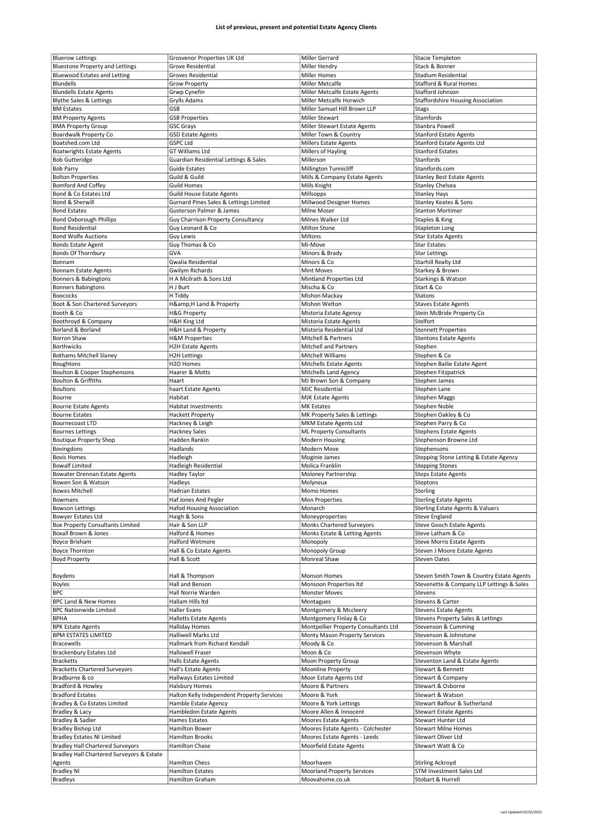| <b>Bluerow Lettings</b>                   | Grosvenor Properties UK Ltd                | Miller Gerrard                                       | Stacie Templeton                              |
|-------------------------------------------|--------------------------------------------|------------------------------------------------------|-----------------------------------------------|
| <b>Bluestone Property and Lettings</b>    | Grove Residential                          | Miller Hendry                                        | Stack & Bonner                                |
| <b>Bluewood Estates and Letting</b>       | <b>Groves Residential</b>                  | <b>Miller Homes</b>                                  | <b>Stadium Residential</b>                    |
| <b>Blundells</b>                          | <b>Grow Property</b>                       | Miller Metcalfe                                      | <b>Stafford &amp; Rural Homes</b>             |
|                                           |                                            |                                                      | Stafford Johnson                              |
| <b>Blundells Estate Agents</b>            | Grwp Cynefin                               | Miller Metcalfe Estate Agents                        |                                               |
| <b>Blythe Sales &amp; Lettings</b>        | Grylls Adams                               | Miller Metcalfe Horwich                              | <b>Staffordshire Housing Association</b>      |
| <b>BM Estates</b>                         | GSB                                        | Miller Samuel Hill Brown LLP                         | <b>Stags</b>                                  |
| <b>BM Property Agents</b>                 | <b>GSB Properties</b>                      | Miller Stewart                                       | Stamfords                                     |
| <b>BMA Property Group</b>                 |                                            |                                                      | Stanbra Powell                                |
|                                           | <b>GSC Grays</b>                           | Miller Stewart Estate Agents                         |                                               |
| Boardwalk Property Co                     | <b>GSD Estate Agents</b>                   | Miller Town & Country                                | <b>Stanford Estate Agents</b>                 |
| Boatshed.com Ltd                          | <b>GSPC Ltd</b>                            | <b>Millers Estate Agents</b>                         | <b>Stanford Estate Agents Ltd</b>             |
| <b>Boatwrights Estate Agents</b>          | <b>GT Williams Ltd</b>                     | Millers of Hayling                                   | <b>Stanford Estates</b>                       |
|                                           | Guardian Residential Lettings & Sales      | Millerson                                            | Stanfords                                     |
| <b>Bob Gutteridge</b>                     |                                            |                                                      |                                               |
| <b>Bob Parry</b>                          | <b>Guide Estates</b>                       | Millington Tunnicliff                                | Stanifords.com                                |
| <b>Bolton Properties</b>                  | Guild & Guild                              | Mills & Company Estate Agents                        | <b>Stanley Best Estate Agents</b>             |
| <b>Bomford And Coffey</b>                 | <b>Guild Homes</b>                         | Mills Knight                                         | Stanley Chelsea                               |
| Bond & Co Estates Ltd                     |                                            |                                                      |                                               |
|                                           | Guild House Estate Agents                  | Millsopps                                            | Stanley Hays                                  |
| Bond & Sherwill                           | Gurnard Pines Sales & Lettings Limited     | Millwood Designer Homes                              | Stanley Keates & Sons                         |
| <b>Bond Estates</b>                       | Gusterson Palmer & James                   | Milne Moser                                          | <b>Stanton Mortimer</b>                       |
| <b>Bond Oxborough Phillips</b>            | Guy Charrison Property Consultancy         | Milnes Walker Ltd                                    | Staples & King                                |
| <b>Bond Residential</b>                   | Guy Leonard & Co                           |                                                      | <b>Stapleton Long</b>                         |
|                                           |                                            | <b>Milton Stone</b>                                  |                                               |
| <b>Bond Wolfe Auctions</b>                | Guy Lewis                                  | Miltons                                              | <b>Star Estate Agents</b>                     |
| <b>Bonds Estate Agent</b>                 | Guy Thomas & Co                            | Mi-Move                                              | Star Estates                                  |
| <b>Bonds Of Thornbury</b>                 | GVA                                        | Minors & Brady                                       | <b>Star Lettings</b>                          |
|                                           |                                            |                                                      |                                               |
| Bonnam                                    | Gwalia Residential                         | Minors & Co                                          | <b>Starhill Realty Ltd</b>                    |
| <b>Bonnam Estate Agents</b>               | <b>Gwilym Richards</b>                     | <b>Mint Moves</b>                                    | Starkey & Brown                               |
| Bonners & Babingtons                      | H A Mcilrath & Sons Ltd                    | Mintland Properties Ltd                              | Starkings & Watson                            |
| <b>Bonners Babingtons</b>                 | H J Burt                                   | Mischa & Co                                          | Start & Co                                    |
|                                           |                                            |                                                      |                                               |
| <b>Boococks</b>                           | H Tiddy                                    | <b>Mishon Mackay</b>                                 | Statons                                       |
| Boot & Son Chartered Surveyors            | H&H Land & Property                        | Mishon Welton                                        | <b>Staves Estate Agents</b>                   |
| Booth & Co                                | <b>H&amp;G Property</b>                    | Mistoria Estate Agency                               | Stein McBride Property Co                     |
| Boothroyd & Company                       | <b>H&amp;H King Ltd</b>                    | Mistoria Estate Agents                               | Stelfort                                      |
|                                           |                                            |                                                      |                                               |
| Borland & Borland                         | <b>H&amp;H Land &amp; Property</b>         | Mistoria Residential Ltd                             | <b>Stennett Properties</b>                    |
| <b>Borron Shaw</b>                        | <b>H&amp;M Properties</b>                  | <b>Mitchell &amp; Partners</b>                       | <b>Stentons Estate Agents</b>                 |
| <b>Borthwicks</b>                         | <b>H2H Estate Agents</b>                   | <b>Mitchell and Partners</b>                         | Stephen                                       |
| <b>Bothams Mitchell Slaney</b>            | <b>H2H Lettings</b>                        | Mitchell Williams                                    | Stephen & Co                                  |
|                                           |                                            |                                                      |                                               |
| Boughtons                                 | H2O Homes                                  | Mitchells Estate Agents                              | Stephen Bailie Estate Agent                   |
| Boulton & Cooper Stephensons              | Haarer & Motts                             | Mitchells Land Agency                                | Stephen Fitzpatrick                           |
| <b>Boulton &amp; Griffiths</b>            | Haart                                      | MJ Brown Son & Company                               | Stephen James                                 |
|                                           |                                            |                                                      |                                               |
| <b>Boultons</b>                           | haart Estate Agents                        | <b>MJC Residential</b>                               | Stephen Lane                                  |
| Bourne                                    | Habitat                                    | <b>MJK Estate Agents</b>                             | Stephen Maggs                                 |
| <b>Bourne Estate Agents</b>               | <b>Habitat Investments</b>                 | <b>MK Estates</b>                                    | Stephen Noble                                 |
| <b>Bourne Estates</b>                     | <b>Hackett Property</b>                    | MK Property Sales & Lettings                         | Stephen Oakley & Co                           |
| <b>Bournecoast LTD</b>                    | Hackney & Leigh                            | MKM Estate Agents Ltd                                | Stephen Parry & Co                            |
|                                           |                                            |                                                      |                                               |
|                                           |                                            |                                                      |                                               |
| <b>Bournes Lettings</b>                   | <b>Hackney Sales</b>                       | <b>ML Property Consultants</b>                       | <b>Stephens Estate Agents</b>                 |
| <b>Boutique Property Shop</b>             | Hadden Rankin                              | Modern Housing                                       | Stephenson Browne Ltd                         |
|                                           |                                            |                                                      |                                               |
| Bovingdons                                | Hadlands                                   | Modern Move                                          | Stephensons                                   |
| <b>Bovis Homes</b>                        | Hadleigh                                   | Moginie James                                        | Stepping Stone Letting & Estate Agency        |
| <b>Bowalf Limited</b>                     | <b>Hadleigh Residential</b>                | Molica Franklin                                      | <b>Stepping Stones</b>                        |
| Bowater Drennan Estate Agents             | Hadley Taylor                              | Moloney Partnership                                  | <b>Steps Estate Agents</b>                    |
|                                           |                                            |                                                      |                                               |
| Bowen Son & Watson                        | Hadleys                                    | Molyneux                                             | Steptons                                      |
| <b>Bowes Mitchell</b>                     | <b>Hadrian Estates</b>                     | Momo Homes                                           | Sterling                                      |
| Bowmans                                   | Hat Jones And Pegler                       | Mon Properties                                       | Sterling Estate Agents                        |
| <b>Bowson Lettings</b>                    | Hafod Housing Association                  | Monarch                                              | Sterling Estate Agents & Valuers              |
|                                           |                                            |                                                      |                                               |
| <b>Bowyer Estates Ltd</b>                 | Haigh & Sons                               | Moneyproperties                                      | <b>Steve England</b>                          |
| <b>Box Property Consultants Limited</b>   | Hair & Son LLP                             | Monks Chartered Surveyors                            | <b>Steve Gooch Estate Agents</b>              |
| Boxall Brown & Jones                      | Halford & Homes                            | Monks Estate & Letting Agents                        | Steve Latham & Co                             |
| <b>Boyce Brixham</b>                      | <b>Halford Wetmore</b>                     | Monopoly                                             | <b>Steve Morris Estate Agents</b>             |
|                                           |                                            |                                                      |                                               |
| Boyce Thornton                            | Hall & Co Estate Agents                    | Monopoly Group                                       | Steven J Moore Estate Agents                  |
| <b>Boyd Property</b>                      | Hall & Scott                               | Monreal Shaw                                         | <b>Steven Oates</b>                           |
|                                           |                                            |                                                      |                                               |
| Boydens                                   | Hall & Thompson                            | Monson Homes                                         | Steven Smith Town & Country Estate Agents     |
| Boyles                                    | Hall and Benson                            | Monsoon Properties Itd                               | Stevenette & Company LLP Lettings & Sales     |
|                                           |                                            |                                                      |                                               |
| <b>BPC</b>                                | Hall Norrie Warden                         | <b>Monster Moves</b>                                 | Stevens                                       |
| BPC Land & New Homes                      | Hallam Hills ltd                           | Montagues                                            | Stevens & Carter                              |
| <b>BPC Nationwide Limited</b>             | Haller Evans                               | Montgomery & Mccleery                                | Stevens Estate Agents                         |
| <b>BPHA</b>                               | <b>Halletts Estate Agents</b>              | Montgomery Finlay & Co                               | <b>Stevens Property Sales &amp; Lettings</b>  |
|                                           |                                            |                                                      |                                               |
| <b>BPK Estate Agents</b>                  | <b>Halliday Homes</b>                      | Montpellier Property Consultants Ltd                 | Stevenson & Cumming                           |
| <b>BPM ESTATES LIMITED</b>                | Halliwell Marks Ltd                        | Monty Mason Property Services                        | Stevenson & Johnstone                         |
| <b>Bracewells</b>                         | Hallmark from Richard Kendall              | Moody & Co                                           | Stevenson & Marshall                          |
| Brackenbury Estates Ltd                   | <b>Hallowell Fraser</b>                    | Moon & Co                                            | Stevenson Whyte                               |
|                                           |                                            |                                                      |                                               |
| <b>Bracketts</b>                          | Halls Estate Agents                        | Moon Property Group                                  | Steventon Land & Estate Agents                |
| <b>Bracketts Chartered Surveyors</b>      | Hall's Estate Agents                       | Moonline Property                                    | Stewart & Bennett                             |
| Bradburne & co                            | Hallways Estates Limited                   | Moor Estate Agents Ltd                               | Stewart & Company                             |
| Bradford & Howley                         | <b>Halsbury Homes</b>                      | Moore & Partners                                     | Stewart & Osborne                             |
|                                           |                                            |                                                      |                                               |
| <b>Bradford Estates</b>                   | Halton Kelly Independent Property Services | Moore & York                                         | Stewart & Watson                              |
| Bradley & Co Estates Limited              | Hamble Estate Agency                       | Moore & York Lettings                                | Stewart Balfour & Sutherland                  |
| <b>Bradley &amp; Lacy</b>                 | Hambledon Estate Agents                    | Moore Allen & Innocent                               | <b>Stewart Estate Agents</b>                  |
| Bradley & Sadler                          | Hames Estates                              | Moores Estate Agents                                 | Stewart Hunter Ltd                            |
|                                           |                                            |                                                      |                                               |
| Bradley Bishop Ltd                        | <b>Hamilton Bower</b>                      | Moores Estate Agents - Colchester                    | <b>Stewart Milne Homes</b>                    |
| <b>Bradley Estates NI Limited</b>         | Hamilton Brooks                            | Moores Estate Agents - Leeds                         | Stewart Oliver Ltd                            |
| <b>Bradley Hall Chartered Surveyors</b>   | Hamilton Chase                             | Moorfield Estate Agents                              | Stewart Watt & Co                             |
| Bradley Hall Chartered Surveyors & Estate |                                            |                                                      |                                               |
|                                           |                                            |                                                      |                                               |
| Agents                                    | <b>Hamilton Chess</b>                      | Moorhaven                                            | <b>Stirling Ackroyd</b>                       |
| <b>Bradley NI</b><br><b>Bradleys</b>      | <b>Hamilton Estates</b><br>Hamilton Graham | <b>Moorland Property Services</b><br>Moovahome.co.uk | STM Investment Sales Ltd<br>Stobart & Hurrell |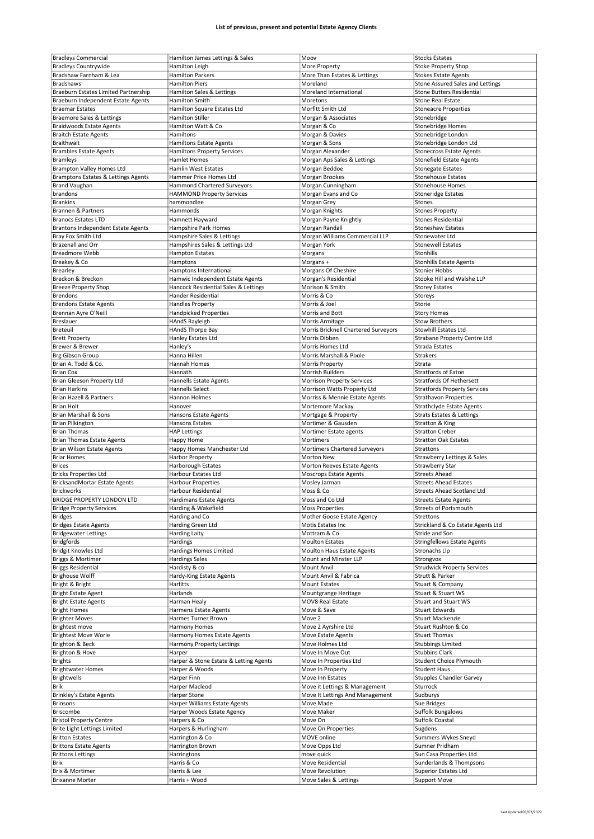|                                                           | Hamilton James Lettings & Sales        | Moov                                     | <b>Stocks Estates</b>                              |
|-----------------------------------------------------------|----------------------------------------|------------------------------------------|----------------------------------------------------|
| <b>Bradleys Commercial</b><br><b>Bradleys Countrywide</b> |                                        |                                          | <b>Stoke Property Shop</b>                         |
|                                                           | Hamilton Leigh                         | More Property                            |                                                    |
| Bradshaw Farnham & Lea                                    | <b>Hamilton Parkers</b>                | More Than Estates & Lettings             | <b>Stokes Estate Agents</b>                        |
| Bradshaws                                                 | <b>Hamilton Piers</b>                  | Moreland                                 | Stone Assured Sales and Lettings                   |
| Braeburn Estates Limited Partnership                      | Hamilton Sales & Lettings              | Moreland International                   | <b>Stone Butters Residential</b>                   |
| Braeburn Independent Estate Agents                        | Hamilton Smith                         | Moretons                                 | <b>Stone Real Estate</b>                           |
| <b>Braemar Estates</b>                                    | Hamilton Square Estates Ltd            | Morfitt Smith Ltd                        | <b>Stoneacre Properties</b>                        |
|                                                           |                                        |                                          |                                                    |
| Braemore Sales & Lettings                                 | <b>Hamilton Stiller</b>                | Morgan & Associates                      | Stonebridge                                        |
| <b>Braidwoods Estate Agents</b>                           | Hamilton Watt & Co                     | Morgan & Co                              | Stonebridge Homes                                  |
| <b>Braitch Estate Agents</b>                              | Hamiltons                              | Morgan & Davies                          | Stonebridge London                                 |
| Braithwait                                                | <b>Hamiltons Estate Agents</b>         | Morgan & Sons                            | Stonebridge London Ltd                             |
|                                                           | <b>Hamiltons Property Services</b>     | Morgan Alexander                         |                                                    |
| <b>Brambles Estate Agents</b>                             |                                        |                                          | <b>Stonecross Estate Agents</b>                    |
| <b>Bramleys</b>                                           | Hamlet Homes                           | Morgan Aps Sales & Lettings              | <b>Stonefield Estate Agents</b>                    |
| Brampton Valley Homes Ltd                                 | <b>Hamlin West Estates</b>             | Morgan Beddoe                            | <b>Stonegate Estates</b>                           |
| Bramptons Estates & Lettings Agents                       | Hammer Price Homes Ltd                 | Morgan Brookes                           | <b>Stonehouse Estates</b>                          |
|                                                           | <b>Hammond Chartered Surveyors</b>     | Morgan Cunningham                        | <b>Stonehouse Homes</b>                            |
| <b>Brand Vaughan</b>                                      |                                        |                                          |                                                    |
| brandons                                                  | <b>HAMMOND Property Services</b>       | Morgan Evans and Co                      | <b>Stoneridge Estates</b>                          |
| <b>Brankins</b>                                           | hammondlee                             | Morgan Grey                              | Stones                                             |
| <b>Brannen &amp; Partners</b>                             | Hammonds                               | Morgan Knights                           | <b>Stones Property</b>                             |
| <b>Branocs Estates LTD</b>                                | Hamnett Hayward                        | Morgan Payne Knightly                    | <b>Stones Residential</b>                          |
|                                                           |                                        |                                          |                                                    |
| Brantons Independent Estate Agents                        | Hampshire Park Homes                   | Morgan Randall                           | <b>Stoneshaw Estates</b>                           |
| Bray Fox Smith Ltd                                        | Hampshire Sales & Lettings             | Morgan Williams Commercial LLP           | Stonewater Ltd                                     |
| <b>Brazenall and Orr</b>                                  | Hampshires Sales & Lettings Ltd        | Morgan York                              | <b>Stonewell Estates</b>                           |
| <b>Breadmore Webb</b>                                     | <b>Hampton Estates</b>                 | Morgans                                  | Stonhills                                          |
|                                                           |                                        |                                          |                                                    |
| Breakey & Co                                              | Hamptons                               | Morgans +                                | <b>Stonhills Estate Agents</b>                     |
| Brearley                                                  | Hamptons International                 | Morgans Of Cheshire                      | <b>Stonier Hobbs</b>                               |
| Breckon & Breckon                                         | Hamwic Independent Estate Agents       | Morgan's Residential                     | Stooke Hill and Walshe LLP                         |
| <b>Breeze Property Shop</b>                               | Hancock Residential Sales & Lettings   | Morison & Smith                          | <b>Storey Estates</b>                              |
|                                                           |                                        |                                          |                                                    |
| <b>Brendons</b>                                           | Hander Residential                     | Morris & Co                              | Storeys                                            |
| <b>Brendons Estate Agents</b>                             | <b>Handles Property</b>                | Morris & Joel                            | Storie                                             |
| Brennan Ayre O'Neill                                      | <b>Handpicked Properties</b>           | Morris and Bott                          | <b>Story Homes</b>                                 |
| <b>Breslauer</b>                                          |                                        |                                          | <b>Stow Brothers</b>                               |
|                                                           | <b>HAndS Rayleigh</b>                  | Morris Armitage                          |                                                    |
| Breteuil                                                  | <b>HAndS Thorpe Bay</b>                | Morris Bricknell Chartered Surveyors     | <b>Stowhill Estates Ltd</b>                        |
| <b>Brett Property</b>                                     | Hanley Estates Ltd                     | Morris Dibben                            | Strabane Property Centre Ltd                       |
| Brewer & Brewer                                           | Hanley's                               | Morris Homes Ltd                         | Strada Estates                                     |
|                                                           |                                        |                                          | Strakers                                           |
| Brg Gibson Group                                          | Hanna Hillen                           | Morris Marshall & Poole                  |                                                    |
| Brian A. Todd & Co.                                       | Hannah Homes                           | Morris Property                          | Strata                                             |
| <b>Brian Cox</b>                                          | Hannath                                | Morrish Builders                         | <b>Stratfords of Eaton</b>                         |
| Brian Gleeson Property Ltd                                | Hannells Estate Agents                 | <b>Morrison Property Services</b>        | <b>Stratfords Of Hethersett</b>                    |
|                                                           |                                        |                                          |                                                    |
| <b>Brian Harkins</b>                                      | Hannells Select                        | Morrison Watts Property Ltd              | <b>Stratfords Property Services</b>                |
| <b>Brian Hazell &amp; Partners</b>                        | Hannon Holmes                          | Morriss & Mennie Estate Agents           | <b>Strathavon Properties</b>                       |
| <b>Brian Holt</b>                                         | Hanover                                | Mortemore Mackay                         | <b>Strathclyde Estate Agents</b>                   |
| Brian Marshall & Sons                                     | Hansons Estate Agents                  | Mortgage & Property                      | <b>Strats Estates &amp; Lettings</b>               |
|                                                           |                                        |                                          |                                                    |
| <b>Brian Pilkington</b>                                   | Hansons Estates                        | Mortimer & Gausden                       | Stratton & King                                    |
| <b>Brian Thomas</b>                                       | <b>HAP Lettings</b>                    | Mortimer Estate agents                   | <b>Stratton Creber</b>                             |
| <b>Brian Thomas Estate Agents</b>                         | Happy Home                             | Mortimers                                | <b>Stratton Oak Estates</b>                        |
| <b>Brian Wilson Estate Agents</b>                         | Happy Homes Manchester Ltd             | Mortimers Chartered Surveyors            | Strattons                                          |
|                                                           |                                        |                                          |                                                    |
| <b>Briar Homes</b>                                        | <b>Harbor Property</b>                 | Morton New                               | Strawberry Lettings & Sales                        |
| <b>Brices</b>                                             | Harborough Estates                     | Morton Reeves Estate Agents              | Strawberry Star                                    |
| <b>Bricks Properties Ltd</b>                              | Harbour Estates Ltd                    | Moscrops Estate Agents                   | <b>Streets Ahead</b>                               |
| <b>BricksandMortar Estate Agents</b>                      | <b>Harbour Properties</b>              | Mosley Jarman                            | <b>Streets Ahead Estates</b>                       |
|                                                           |                                        |                                          | <b>Streets Ahead Scotland Ltd</b>                  |
| <b>Brickworks</b>                                         | Harbour Residential                    | Moss & Co                                |                                                    |
| <b>BRIDGE PROPERTY LONDON LTD</b>                         | Hardimans Estate Agents                | Moss and Co Ltd                          | <b>Streets Estate Agents</b>                       |
| <b>Bridge Property Services</b>                           | Harding & Wakefield                    | <b>Moss Properties</b>                   | <b>Streets of Portsmouth</b>                       |
| <b>Bridges</b>                                            | Harding and Co                         | Mother Goose Estate Agency               | Strettons                                          |
| <b>Bridges Estate Agents</b>                              | Harding Green Ltd                      | Motis Estates Inc                        |                                                    |
|                                                           |                                        |                                          |                                                    |
|                                                           |                                        |                                          | Strickland & Co Estate Agents Ltd                  |
| <b>Bridgewater Lettings</b>                               | Harding Laity                          | Mottram & Co                             | Stride and Son                                     |
| <b>Bridgfords</b>                                         | Hardings                               | <b>Moulton Estates</b>                   | <b>Stringfellows Estate Agents</b>                 |
|                                                           |                                        |                                          |                                                    |
| Bridgit Knowles Ltd                                       | <b>Hardings Homes Limited</b>          | Moulton Haus Estate Agents               | Stronachs Llp                                      |
| Briggs & Mortimer                                         | <b>Hardings Sales</b>                  | Mount and Minster LLP                    | Strongvox                                          |
| <b>Briggs Residential</b>                                 | Hardisty & co                          | Mount Anvil                              | <b>Strudwick Property Services</b>                 |
| <b>Brighouse Wolff</b>                                    | Hardy-King Estate Agents               | Mount Anvil & Fabrica                    | Strutt & Parker                                    |
| Bright & Bright                                           | Harfitts                               | Mount Estates                            | Stuart & Company                                   |
|                                                           |                                        |                                          |                                                    |
| <b>Bright Estate Agent</b>                                | Harlands                               | Mountgrange Heritage                     | Stuart & Stuart WS                                 |
| <b>Bright Estate Agents</b>                               | Harman Healy                           | MOV8 Real Estate                         | Stuart and Stuart WS                               |
| <b>Bright Homes</b>                                       | Harmens Estate Agents                  | Move & Save                              | <b>Stuart Edwards</b>                              |
| <b>Brighter Moves</b>                                     | Harmes Turner Brown                    | Move 2                                   | Stuart Mackenzie                                   |
|                                                           |                                        |                                          |                                                    |
| Brightest move                                            | Harmony Homes                          | Move 2 Ayrshire Ltd                      | Stuart Rushton & Co                                |
| <b>Brightest Move Worle</b>                               | Harmony Homes Estate Agents            | Move Estate Agents                       | <b>Stuart Thomas</b>                               |
| Brighton & Beck                                           | Harmony Property Lettings              | Move Holmes Ltd                          | <b>Stubbings Limited</b>                           |
| Brighton & Hove                                           | Harper                                 | Move In Move Out                         | <b>Stubbins Clark</b>                              |
|                                                           |                                        |                                          |                                                    |
| <b>Brights</b>                                            | Harper & Stone Estate & Letting Agents | Move In Properties Ltd                   | Student Choice Plymouth                            |
| <b>Brightwater Homes</b>                                  | Harper & Woods                         | Move In Property                         | <b>Student Haus</b>                                |
| <b>Brightwells</b>                                        | Harper Finn                            | Move Inn Estates                         | <b>Stupples Chandler Garvey</b>                    |
| Brik                                                      | Harper Macleod                         | Move it Lettings & Management            | Sturrock                                           |
|                                                           |                                        |                                          |                                                    |
| <b>Brinkley's Estate Agents</b>                           | Harper Stone                           | Move It Lettings And Management          | Sudburys                                           |
| <b>Brinsons</b>                                           | Harper Williams Estate Agents          | Move Made                                | Sue Bridges                                        |
| Briscombe                                                 | Harper Woods Estate Agency             | Move Maker                               | Suffolk Bungalows                                  |
|                                                           |                                        | Move On                                  |                                                    |
| <b>Bristol Property Centre</b>                            | Harpers & Co                           |                                          | Suffolk Coastal                                    |
| <b>Brite Light Lettings Limited</b>                       | Harpers & Hurlingham                   | Move On Properties                       | Sugdens                                            |
| <b>Britton Estates</b>                                    | Harrington & Co                        | MOVE online                              | Summers Wykes Sneyd                                |
| <b>Brittons Estate Agents</b>                             | Harrington Brown                       | Move Opps Ltd                            | Sumner Pridham                                     |
|                                                           |                                        |                                          |                                                    |
| <b>Brittons Lettings</b>                                  | Harringtons                            | move quick                               | Sun Casa Properties Ltd                            |
| Brix                                                      | Harris & Co                            | Move Residential                         | Sunderlands & Thompsons                            |
| Brix & Mortimer<br><b>Brixanne Morter</b>                 | Harris & Lee<br>Harris + Wood          | Move Revolution<br>Move Sales & Lettings | <b>Superior Estates Ltd</b><br><b>Support Move</b> |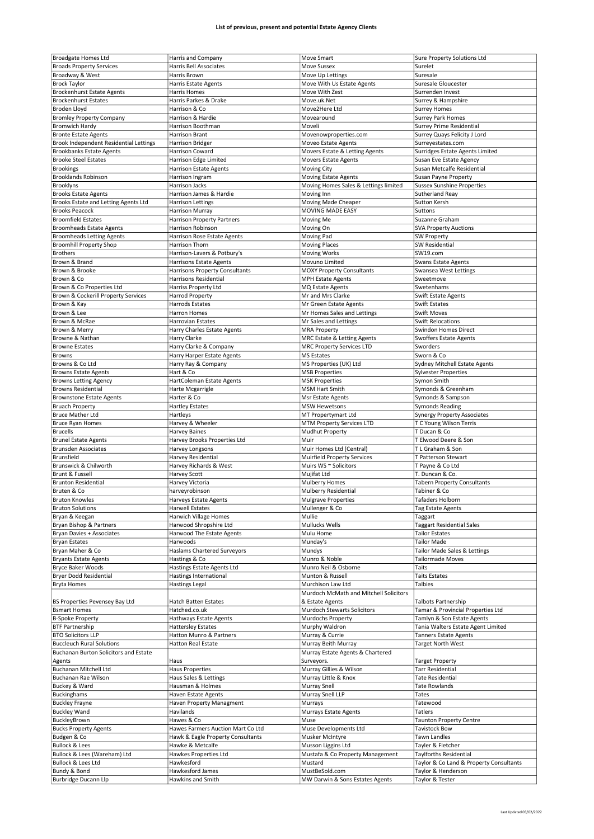| <b>Broadgate Homes Ltd</b>             | Harris and Company                | Move Smart                             | Sure Property Solutions Ltd             |
|----------------------------------------|-----------------------------------|----------------------------------------|-----------------------------------------|
| <b>Broads Property Services</b>        | Harris Bell Associates            | Move Sussex                            | Surelet                                 |
| Broadway & West                        | Harris Brown                      | Move Up Lettings                       | Suresale                                |
|                                        |                                   |                                        |                                         |
| <b>Brock Taylor</b>                    | Harris Estate Agents              | Move With Us Estate Agents             | Suresale Gloucester                     |
| <b>Brockenhurst Estate Agents</b>      | <b>Harris Homes</b>               | Move With Zest                         | Surrenden Invest                        |
| <b>Brockenhurst Estates</b>            | Harris Parkes & Drake             | Move.uk.Net                            | Surrey & Hampshire                      |
| Broden Lloyd                           | Harrison & Co                     | Move2Here Ltd                          | <b>Surrey Homes</b>                     |
|                                        | Harrison & Hardie                 | Movearound                             |                                         |
| <b>Bromley Property Company</b>        |                                   |                                        | <b>Surrey Park Homes</b>                |
| <b>Bromwich Hardy</b>                  | Harrison Boothman                 | Moveli                                 | <b>Surrey Prime Residential</b>         |
| <b>Bronte Estate Agents</b>            | Harrison Brant                    | Movenowproperties.com                  | Surrey Quays Felicity J Lord            |
| Brook Independent Residential Lettings | <b>Harrison Bridger</b>           | Moveo Estate Agents                    | Surreyestates.com                       |
|                                        |                                   |                                        |                                         |
| <b>Brookbanks Estate Agents</b>        | Harrison Coward                   | Movers Estate & Letting Agents         | Surridges Estate Agents Limited         |
| <b>Brooke Steel Estates</b>            | Harrison Edge Limited             | <b>Movers Estate Agents</b>            | Susan Eve Estate Agency                 |
| <b>Brookings</b>                       | Harrison Estate Agents            | Moving City                            | Susan Metcalfe Residential              |
| <b>Brooklands Robinson</b>             |                                   | <b>Moving Estate Agents</b>            | Susan Payne Property                    |
|                                        | Harrison Ingram                   |                                        |                                         |
| <b>Brooklyns</b>                       | Harrison Jacks                    | Moving Homes Sales & Lettings limited  | <b>Sussex Sunshine Properties</b>       |
| <b>Brooks Estate Agents</b>            | Harrison James & Hardie           | Moving Inn                             | Sutherland Reay                         |
| Brooks Estate and Letting Agents Ltd   | <b>Harrison Lettings</b>          | Moving Made Cheaper                    | Sutton Kersh                            |
| <b>Brooks Peacock</b>                  |                                   |                                        |                                         |
|                                        | <b>Harrison Murray</b>            | MOVING MADE EASY                       | Suttons                                 |
| <b>Broomfield Estates</b>              | <b>Harrison Property Partners</b> | Moving Me                              | Suzanne Graham                          |
| <b>Broomheads Estate Agents</b>        | Harrison Robinson                 | Moving On                              | <b>SVA Property Auctions</b>            |
| <b>Broomheads Letting Agents</b>       | Harrison Rose Estate Agents       | Moving Pad                             | <b>SW Property</b>                      |
|                                        |                                   |                                        |                                         |
| <b>Broomhill Property Shop</b>         | Harrison Thorn                    | <b>Moving Places</b>                   | <b>SW Residential</b>                   |
| <b>Brothers</b>                        | Harrison-Lavers & Potbury's       | <b>Moving Works</b>                    | SW19.com                                |
| Brown & Brand                          | <b>Harrisons Estate Agents</b>    | Movuno Limited                         | <b>Swans Estate Agents</b>              |
| Brown & Brooke                         | Harrisons Property Consultants    | <b>MOXY Property Consultants</b>       | Swansea West Lettings                   |
|                                        |                                   |                                        |                                         |
| Brown & Co                             | Harrisons Residential             | <b>MPH Estate Agents</b>               | Sweetmove                               |
| Brown & Co Properties Ltd              | Harriss Property Ltd              | MQ Estate Agents                       | Swetenhams                              |
| Brown & Cockerill Property Services    | <b>Harrod Property</b>            | Mr and Mrs Clarke                      | <b>Swift Estate Agents</b>              |
| Brown & Kay                            | <b>Harrods Estates</b>            | Mr Green Estate Agents                 | Swift Estates                           |
|                                        |                                   |                                        |                                         |
| Brown & Lee                            | Harron Homes                      | Mr Homes Sales and Lettings            | <b>Swift Moves</b>                      |
| Brown & McRae                          | Harrovian Estates                 | Mr Sales and Lettings                  | <b>Swift Relocations</b>                |
| Brown & Merry                          | Harry Charles Estate Agents       | <b>MRA Property</b>                    | Swindon Homes Direct                    |
|                                        |                                   |                                        |                                         |
| Browne & Nathan                        | Harry Clarke                      | MRC Estate & Letting Agents            | <b>Swoffers Estate Agents</b>           |
| <b>Browne Estates</b>                  | Harry Clarke & Company            | <b>MRC Property Services LTD</b>       | Sworders                                |
| <b>Browns</b>                          | Harry Harper Estate Agents        | <b>MS Estates</b>                      | Sworn & Co                              |
| Browns & Co Ltd                        | Harry Ray & Company               | MS Properties (UK) Ltd                 | Sydney Mitchell Estate Agents           |
|                                        |                                   |                                        |                                         |
| <b>Browns Estate Agents</b>            | Hart & Co                         | <b>MSB Properties</b>                  | <b>Sylvester Properties</b>             |
| <b>Browns Letting Agency</b>           | HartColeman Estate Agents         | <b>MSK Properties</b>                  | Symon Smith                             |
| <b>Browns Residential</b>              | Harte Mcgarrigle                  | <b>MSM Hart Smith</b>                  | Symonds & Greenham                      |
| <b>Brownstone Estate Agents</b>        | Harter & Co                       |                                        | Symonds & Sampson                       |
|                                        |                                   | Msr Estate Agents                      |                                         |
| <b>Bruach Property</b>                 | <b>Hartley Estates</b>            | <b>MSW Hewetsons</b>                   | <b>Symonds Reading</b>                  |
| <b>Bruce Mather Ltd</b>                | Hartleys                          | MT Propertymart Ltd                    | <b>Synergy Property Associates</b>      |
| <b>Bruce Ryan Homes</b>                | Harvey & Wheeler                  | <b>MTM Property Services LTD</b>       | T C Young Wilson Terris                 |
|                                        |                                   |                                        | T Ducan & Co                            |
| <b>Brucells</b>                        | <b>Harvey Baines</b>              | Mudhut Property                        |                                         |
| <b>Brunel Estate Agents</b>            | Harvey Brooks Properties Ltd      | Muir                                   | T Elwood Deere & Son                    |
| <b>Brunsden Associates</b>             | Harvey Longsons                   | Muir Homes Ltd (Central)               | T L Graham & Son                        |
| <b>Brunsfield</b>                      | Harvey Residential                | Muirfield Property Services            | T Patterson Stewart                     |
|                                        |                                   |                                        |                                         |
| Brunswick & Chilworth                  | Harvey Richards & West            | Muirs WS ~ Solicitors                  | T Payne & Co Ltd                        |
| Brunt & Fussell                        | Harvey Scott                      | Mujifat Ltd                            | T. Duncan & Co.                         |
| <b>Brunton Residential</b>             | Harvey Victoria                   | <b>Mulberry Homes</b>                  | <b>Tabern Property Consultants</b>      |
| Bruten & Co                            | harveyrobinson                    | Mulberry Residential                   | Tabiner & Co                            |
|                                        |                                   |                                        |                                         |
| <b>Bruton Knowles</b>                  | Harveys Estate Agents             | Mulgrave Properties                    | Tafaders Holborn                        |
| <b>Bruton Solutions</b>                | <b>Harwell Estates</b>            | Mullenger & Co                         | <b>Tag Estate Agents</b>                |
| Bryan & Keegan                         | Harwich Village Homes             | Mullie                                 | Taggart                                 |
| Bryan Bishop & Partners                | Harwood Shropshire Ltd            | Mullucks Wells                         |                                         |
|                                        |                                   |                                        |                                         |
| Bryan Davies + Associates              |                                   |                                        | Taggart Residential Sales               |
|                                        | Harwood The Estate Agents         | Mulu Home                              | <b>Tailor Estates</b>                   |
| <b>Bryan Estates</b>                   | Harwoods                          | Munday's                               | <b>Tailor Made</b>                      |
|                                        |                                   |                                        |                                         |
| Bryan Maher & Co                       | Haslams Chartered Surveyors       | Mundys                                 | Tailor Made Sales & Lettings            |
| <b>Bryants Estate Agents</b>           | Hastings & Co                     | Munro & Noble                          | Tailormade Moves                        |
| Bryce Baker Woods                      | Hastings Estate Agents Ltd        | Munro Neil & Osborne                   | Taits                                   |
| <b>Bryer Dodd Residential</b>          | Hastings International            | Munton & Russell                       | Taits Estates                           |
|                                        |                                   | Murchison Law Ltd                      |                                         |
| <b>Bryta Homes</b>                     | Hastings Legal                    |                                        | Talbies                                 |
|                                        |                                   | Murdoch McMath and Mitchell Solicitors |                                         |
| BS Properties Pevensey Bay Ltd         | <b>Hatch Batten Estates</b>       | & Estate Agents                        | Talbots Partnership                     |
| <b>Bsmart Homes</b>                    | Hatched.co.uk                     | Murdoch Stewarts Solicitors            | Tamar & Provincial Properties Ltd       |
|                                        |                                   |                                        |                                         |
| <b>B-Spoke Property</b>                | Hathways Estate Agents            | Murdochs Property                      | Tamlyn & Son Estate Agents              |
| <b>BTF Partnership</b>                 | <b>Hattersley Estates</b>         | Murphy Waldron                         | Tania Walters Estate Agent Limited      |
| <b>BTO Solicitors LLP</b>              | Hatton Munro & Partners           | Murray & Currie                        | Tanners Estate Agents                   |
| <b>Buccleuch Rural Solutions</b>       | Hatton Real Estate                | Murray Beith Murray                    | Target North West                       |
| Buchanan Burton Solicitors and Estate  |                                   | Murray Estate Agents & Chartered       |                                         |
|                                        |                                   |                                        |                                         |
| Agents                                 | Haus                              | Surveyors.                             | Target Property                         |
| Buchanan Mitchell Ltd                  | <b>Haus Properties</b>            | Murray Gillies & Wilson                | <b>Tarr Residential</b>                 |
| Buchanan Rae Wilson                    | Haus Sales & Lettings             | Murray Little & Knox                   | Tate Residential                        |
|                                        |                                   |                                        |                                         |
| Buckey & Ward                          | Hausman & Holmes                  | Murray Snell                           | Tate Rowlands                           |
| <b>Buckinghams</b>                     | Haven Estate Agents               | Murray Snell LLP                       | Tates                                   |
| <b>Buckley Frayne</b>                  | Haven Property Managment          | Murrays                                | Tatewood                                |
|                                        | Havilands                         |                                        | Tatlers                                 |
| <b>Buckley Wand</b>                    |                                   | Murrays Estate Agents                  |                                         |
| BuckleyBrown                           | Hawes & Co                        | Muse                                   | <b>Taunton Property Centre</b>          |
| <b>Bucks Property Agents</b>           | Hawes Farmers Auction Mart Co Ltd | Muse Developments Ltd                  | Tavistock Bow                           |
| Budgen & Co                            | Hawk & Eagle Property Consultants | Musker McIntyre                        | Tawn Landles                            |
|                                        |                                   |                                        |                                         |
| <b>Bullock &amp; Lees</b>              | Hawke & Metcalfe                  | Musson Liggins Ltd                     | Tayler & Fletcher                       |
| Bullock & Lees (Wareham) Ltd           | Hawkes Properties Ltd             | Mustafa & Co Property Management       | Taylforths Residential                  |
| Bullock & Lees Ltd                     | Hawkesford                        | Mustard                                | Taylor & Co Land & Property Consultants |
| Bundy & Bond                           | Hawkesford James                  | MustBeSold.com                         | Taylor & Henderson                      |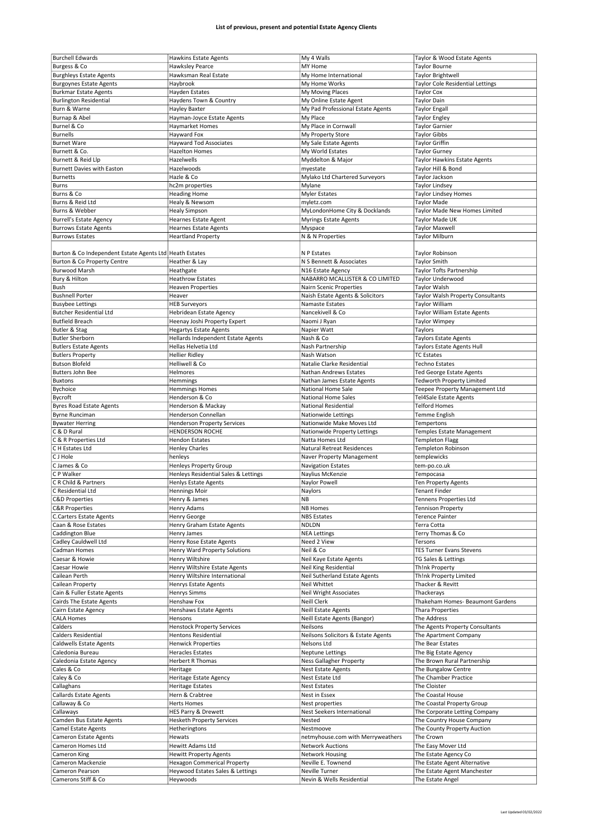| <b>Burchell Edwards</b>                                   |                                      | My 4 Walls                          | Taylor & Wood Estate Agents             |
|-----------------------------------------------------------|--------------------------------------|-------------------------------------|-----------------------------------------|
|                                                           | <b>Hawkins Estate Agents</b>         |                                     |                                         |
| Burgess & Co                                              | <b>Hawksley Pearce</b>               | MY Home                             | <b>Taylor Bourne</b>                    |
| <b>Burghleys Estate Agents</b>                            | Hawksman Real Estate                 | My Home International               | <b>Taylor Brightwell</b>                |
| <b>Burgoynes Estate Agents</b>                            | Haybrook                             | My Home Works                       | <b>Taylor Cole Residential Lettings</b> |
| <b>Burkmar Estate Agents</b>                              | Hayden Estates                       | My Moving Places                    | <b>Taylor Cox</b>                       |
|                                                           |                                      |                                     |                                         |
| <b>Burlington Residential</b>                             | Haydens Town & Country               | My Online Estate Agent              | <b>Taylor Dain</b>                      |
| Burn & Warne                                              | Hayley Baxter                        | My Pad Professional Estate Agents   | <b>Taylor Engall</b>                    |
| Burnap & Abel                                             | Hayman-Joyce Estate Agents           | My Place                            | <b>Taylor Engley</b>                    |
| Burnel & Co                                               | Haymarket Homes                      | My Place in Cornwall                | <b>Taylor Garnier</b>                   |
|                                                           |                                      |                                     |                                         |
| <b>Burnells</b>                                           | Hayward Fox                          | My Property Store                   | <b>Taylor Gibbs</b>                     |
| <b>Burnet Ware</b>                                        | <b>Hayward Tod Associates</b>        | My Sale Estate Agents               | <b>Taylor Griffin</b>                   |
| Burnett & Co.                                             | <b>Hazelton Homes</b>                | My World Estates                    | <b>Taylor Gurney</b>                    |
| Burnett & Reid Llp                                        | Hazelwells                           | Myddelton & Major                   | Taylor Hawkins Estate Agents            |
|                                                           |                                      |                                     |                                         |
| <b>Burnett Davies with Easton</b>                         | Hazelwoods                           | myestate                            | Taylor Hill & Bond                      |
| <b>Burnetts</b>                                           | Hazle & Co                           | Mylako Ltd Chartered Surveyors      | Taylor Jackson                          |
| <b>Burns</b>                                              | hc2m properties                      | Mylane                              | <b>Taylor Lindsey</b>                   |
| Burns & Co                                                | <b>Heading Home</b>                  | Myler Estates                       | <b>Taylor Lindsey Homes</b>             |
| Burns & Reid Ltd                                          | Healy & Newsom                       | myletz.com                          | <b>Taylor Made</b>                      |
|                                                           |                                      |                                     |                                         |
| Burns & Webber                                            | <b>Healy Simpson</b>                 | MyLondonHome City & Docklands       | Taylor Made New Homes Limited           |
| <b>Burrell's Estate Agency</b>                            | Hearnes Estate Agent                 | <b>Myrings Estate Agents</b>        | Taylor Made UK                          |
| <b>Burrows Estate Agents</b>                              | <b>Hearnes Estate Agents</b>         | Myspace                             | <b>Taylor Maxwell</b>                   |
| <b>Burrows Estates</b>                                    | <b>Heartland Property</b>            | N & N Properties                    | Taylor Milburn                          |
|                                                           |                                      |                                     |                                         |
|                                                           |                                      |                                     |                                         |
| Burton & Co Independent Estate Agents Ltd   Heath Estates |                                      | N P Estates                         | Taylor Robinson                         |
| Burton & Co Property Centre                               | Heather & Lay                        | N S Bennett & Associates            | <b>Taylor Smith</b>                     |
| <b>Burwood Marsh</b>                                      | Heathgate                            | N16 Estate Agency                   | Taylor Tofts Partnership                |
|                                                           |                                      |                                     |                                         |
| Bury & Hilton                                             | <b>Heathrow Estates</b>              | NABARRO MCALLISTER & CO LIMITED     | Taylor Underwood                        |
| Bush                                                      | <b>Heaven Properties</b>             | Nairn Scenic Properties             | <b>Taylor Walsh</b>                     |
| <b>Bushnell Porter</b>                                    | Heaver                               | Naish Estate Agents & Solicitors    | Taylor Walsh Property Consultants       |
| <b>Busybee Lettings</b>                                   | <b>HEB Surveyors</b>                 | Namaste Estates                     | Taylor William                          |
|                                                           |                                      |                                     |                                         |
| <b>Butcher Residential Ltd</b>                            | Hebridean Estate Agency              | Nancekivell & Co                    | Taylor William Estate Agents            |
| <b>Butfield Breach</b>                                    | Heenay Joshi Property Expert         | Naomi J Ryan                        | <b>Taylor Wimpey</b>                    |
| Butler & Stag                                             | <b>Hegartys Estate Agents</b>        | Napier Watt                         | Taylors                                 |
| <b>Butler Sherborn</b>                                    | Hellards Independent Estate Agents   | Nash & Co                           | <b>Taylors Estate Agents</b>            |
|                                                           |                                      |                                     |                                         |
| <b>Butlers Estate Agents</b>                              | Hellas Helvetia Ltd                  | Nash Partnership                    | <b>Taylors Estate Agents Hull</b>       |
| <b>Butlers Property</b>                                   | <b>Hellier Ridley</b>                | Nash Watson                         | <b>TC Estates</b>                       |
| <b>Butson Blofeld</b>                                     | Helliwell & Co                       | Natalie Clarke Residential          | <b>Techno Estates</b>                   |
| Butters John Bee                                          | Helmores                             | Nathan Andrews Estates              | Ted George Estate Agents                |
|                                                           |                                      |                                     |                                         |
| <b>Buxtons</b>                                            | Hemmings                             | Nathan James Estate Agents          | <b>Tedworth Property Limited</b>        |
| Bychoice                                                  | <b>Hemmings Homes</b>                | National Home Sale                  | Teepee Property Management Ltd          |
| Bycroft                                                   | Henderson & Co                       | National Home Sales                 | <b>Tel4Sale Estate Agents</b>           |
| <b>Byres Road Estate Agents</b>                           | Henderson & Mackay                   | National Residential                | <b>Telford Homes</b>                    |
|                                                           |                                      |                                     |                                         |
| <b>Byrne Runciman</b>                                     | Henderson Connellan                  | Nationwide Lettings                 | Temme English                           |
| <b>Bywater Herring</b>                                    | <b>Henderson Property Services</b>   | Nationwide Make Moves Ltd           | Tempertons                              |
| C & D Rural                                               | <b>HENDERSON ROCHE</b>               | Nationwide Property Lettings        | Temples Estate Management               |
| C & R Properties Ltd                                      | <b>Hendon Estates</b>                | Natta Homes Ltd                     | <b>Templeton Flagg</b>                  |
| C H Estates Ltd                                           |                                      |                                     |                                         |
|                                                           | <b>Henley Charles</b>                | Natural Retreat Residences          | Templeton Robinson                      |
|                                                           |                                      |                                     | templewicks                             |
| C J Hole                                                  | henleys                              | Naver Property Management           |                                         |
| C James & Co                                              | <b>Henleys Property Group</b>        | <b>Navigation Estates</b>           | tem-po.co.uk                            |
|                                                           |                                      |                                     |                                         |
| C P Walker                                                | Henleys Residential Sales & Lettings | Naylius McKenzie                    | Tempocasa                               |
| C R Child & Partners                                      | <b>Henlys Estate Agents</b>          | Naylor Powell                       | Ten Property Agents                     |
| C Residential Ltd                                         | <b>Hennings Moir</b>                 | Naylors                             | <b>Tenant Finder</b>                    |
| <b>C&amp;D Properties</b>                                 | Henry & James                        | NВ                                  | Tennens Properties Ltd                  |
|                                                           |                                      |                                     |                                         |
| <b>C&amp;R Properties</b>                                 | Henry Adams                          | <b>NB Homes</b>                     | <b>Tennison Property</b>                |
| <b>C.Carters Estate Agents</b>                            | Henry George                         | <b>NBS Estates</b>                  | <b>Terence Painter</b>                  |
| Caan & Rose Estates                                       | Henry Graham Estate Agents           | <b>NDLDN</b>                        | Terra Cotta                             |
| Caddington Blue                                           | Henry James                          | <b>NEA Lettings</b>                 | Terry Thomas & Co                       |
| Cadley Cauldwell Ltd                                      | Henry Rose Estate Agents             | Need 2 View                         | Tersons                                 |
|                                                           |                                      |                                     |                                         |
| Cadman Homes                                              | Henry Ward Property Solutions        | Neil & Co                           | <b>TES Turner Evans Stevens</b>         |
| Caesar & Howie                                            | Henry Wiltshire                      | Neil Kaye Estate Agents             | TG Sales & Lettings                     |
| Caesar Howie                                              | Henry Wiltshire Estate Agents        | <b>Neil King Residential</b>        | Th!nk Property                          |
| Cailean Perth                                             | Henry Wiltshire International        | Neil Sutherland Estate Agents       | Th!nk Property Limited                  |
| Cailean Property                                          | Henrys Estate Agents                 | Neil Whittet                        | Thacker & Revitt                        |
|                                                           |                                      |                                     |                                         |
| Cain & Fuller Estate Agents                               | Henrys Simms                         | Neil Wright Associates              | Thackerays                              |
| Cairds The Estate Agents                                  | Henshaw Fox                          | Neill Clerk                         | Thakeham Homes- Beaumont Gardens        |
| Cairn Estate Agency                                       | Henshaws Estate Agents               | <b>Neill Estate Agents</b>          | <b>Thara Properties</b>                 |
| <b>CALA Homes</b>                                         | Hensons                              | Neill Estate Agents (Bangor)        | The Address                             |
| Calders                                                   | <b>Henstock Property Services</b>    | Neilsons                            | The Agents Property Consultants         |
|                                                           |                                      |                                     |                                         |
| <b>Calders Residential</b>                                | <b>Hentons Residential</b>           | Neilsons Solicitors & Estate Agents | The Apartment Company                   |
| Caldwells Estate Agents                                   | <b>Henwick Properties</b>            | Nelsons Ltd                         | The Bear Estates                        |
| Caledonia Bureau                                          | Heracles Estates                     | <b>Neptune Lettings</b>             | The Big Estate Agency                   |
| Caledonia Estate Agency                                   | Herbert R Thomas                     | Ness Gallagher Property             | The Brown Rural Partnership             |
|                                                           |                                      |                                     |                                         |
| Cales & Co                                                | Heritage                             | <b>Nest Estate Agents</b>           | The Bungalow Centre                     |
| Caley & Co                                                | Heritage Estate Agency               | Nest Estate Ltd                     | The Chamber Practice                    |
| Callaghans                                                | <b>Heritage Estates</b>              | <b>Nest Estates</b>                 | The Cloister                            |
| <b>Callards Estate Agents</b>                             | Hern & Crabtree                      | Nest in Essex                       | The Coastal House                       |
|                                                           |                                      |                                     |                                         |
| Callaway & Co                                             | <b>Herts Homes</b>                   | Nest properties                     | The Coastal Property Group              |
| Callaways                                                 | HES Parry & Drewett                  | Nest Seekers International          | The Corporate Letting Company           |
| Camden Bus Estate Agents                                  | <b>Hesketh Property Services</b>     | Nested                              | The Country House Company               |
| <b>Camel Estate Agents</b>                                | Hetheringtons                        | Nestmoove                           | The County Property Auction             |
|                                                           |                                      |                                     |                                         |
| Cameron Estate Agents                                     | Hewats                               | netmyhouse.com with Merryweathers   | The Crown                               |
| Cameron Homes Ltd                                         | Hewitt Adams Ltd                     | <b>Network Auctions</b>             | The Easy Mover Ltd                      |
| Cameron King                                              | <b>Hewitt Property Agents</b>        | <b>Network Housing</b>              | The Estate Agency Co                    |
| Cameron Mackenzie                                         | <b>Hexagon Commerical Property</b>   | Neville E. Townend                  | The Estate Agent Alternative            |
| Cameron Pearson                                           | Heywood Estates Sales & Lettings     | Neville Turner                      | The Estate Agent Manchester             |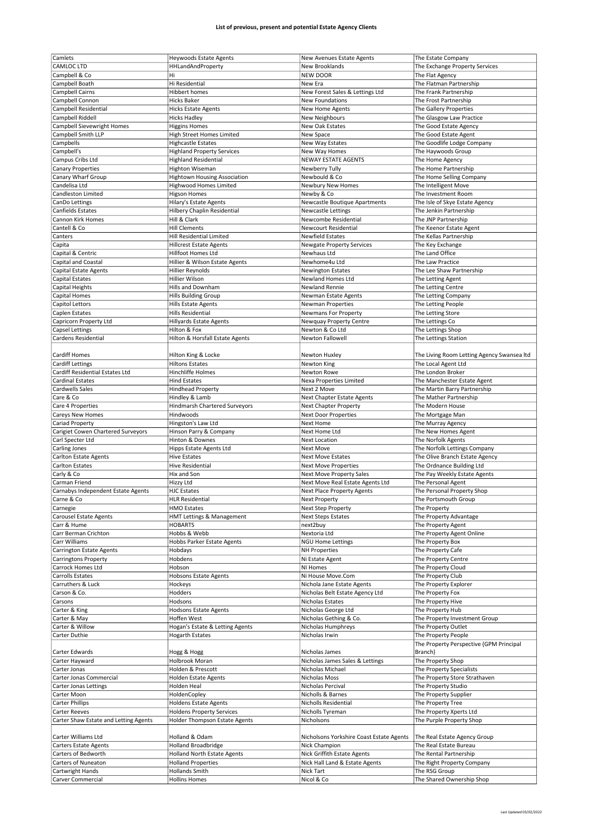| Camlets                               | <b>Heywoods Estate Agents</b>                 | New Avenues Estate Agents                | The Estate Company                         |
|---------------------------------------|-----------------------------------------------|------------------------------------------|--------------------------------------------|
| <b>CAMLOC LTD</b>                     |                                               |                                          |                                            |
|                                       | <b>HHLandAndProperty</b>                      | New Brooklands                           | The Exchange Property Services             |
| Campbell & Co                         | Hi                                            | <b>NEW DOOR</b>                          | The Flat Agency                            |
| Campbell Boath                        | Hi Residential                                | New Era                                  | The Flatman Partnership                    |
| Campbell Cairns                       | <b>Hibbert homes</b>                          | New Forest Sales & Lettings Ltd          | The Frank Partnership                      |
| Campbell Connon                       | <b>Hicks Baker</b>                            | New Foundations                          | The Frost Partnership                      |
| Campbell Residential                  | <b>Hicks Estate Agents</b>                    | New Home Agents                          | The Gallery Properties                     |
| Campbell Riddell                      |                                               |                                          |                                            |
|                                       | <b>Hicks Hadley</b>                           | New Neighbours                           | The Glasgow Law Practice                   |
| Campbell Sievewright Homes            | <b>Higgins Homes</b>                          | New Oak Estates                          | The Good Estate Agency                     |
| Campbell Smith LLP                    | High Street Homes Limited                     | New Space                                | The Good Estate Agent                      |
| Campbells                             | <b>Highcastle Estates</b>                     | New Way Estates                          | The Goodlife Lodge Company                 |
| Campbell's                            | <b>Highland Property Services</b>             | New Way Homes                            | The Haywoods Group                         |
| Campus Cribs Ltd                      | <b>Highland Residential</b>                   | <b>NEWAY ESTATE AGENTS</b>               | The Home Agency                            |
|                                       |                                               |                                          |                                            |
| <b>Canary Properties</b>              | Highton Wiseman                               | Newberry Tully                           | The Home Partnership                       |
| Canary Wharf Group                    | <b>Hightown Housing Association</b>           | Newbould & Co                            | The Home Selling Company                   |
| Candelisa Ltd                         | <b>Highwood Homes Limited</b>                 | Newbury New Homes                        | The Intelligent Move                       |
| Candleston Limited                    | <b>Higson Homes</b>                           | Newby & Co                               | The Investment Room                        |
| CanDo Lettings                        | Hilary's Estate Agents                        | Newcastle Boutique Apartments            | The Isle of Skye Estate Agency             |
|                                       |                                               |                                          |                                            |
| Canfields Estates                     | Hilbery Chaplin Residential                   | <b>Newcastle Lettings</b>                | The Jenkin Partnership                     |
| Cannon Kirk Homes                     | Hill & Clark                                  | Newcombe Residential                     | The JNP Partnership                        |
| Cantell & Co                          | <b>Hill Clements</b>                          | Newcourt Residential                     | The Keenor Estate Agent                    |
| Canters                               | Hill Residential Limited                      | <b>Newfield Estates</b>                  | The Kellas Partnership                     |
| Capita                                | <b>Hillcrest Estate Agents</b>                | <b>Newgate Property Services</b>         | The Key Exchange                           |
|                                       |                                               |                                          |                                            |
| Capital & Centric                     | Hillfoot Homes Ltd                            | Newhaus Ltd                              | The Land Office                            |
| Capital and Coastal                   | Hillier & Wilson Estate Agents                | Newhome4u Ltd                            | The Law Practice                           |
| <b>Capital Estate Agents</b>          | <b>Hillier Reynolds</b>                       | <b>Newington Estates</b>                 | The Lee Shaw Partnership                   |
| Capital Estates                       | Hillier Wilson                                | Newland Homes Ltd                        | The Letting Agent                          |
| Capital Heights                       | Hills and Downham                             | Newland Rennie                           | The Letting Centre                         |
|                                       |                                               |                                          |                                            |
| Capital Homes                         | <b>Hills Building Group</b>                   | Newman Estate Agents                     | The Letting Company                        |
| Capitol Lettors                       | Hills Estate Agents                           | <b>Newman Properties</b>                 | The Letting People                         |
| Caplen Estates                        | Hills Residential                             | Newmans For Property                     | The Letting Store                          |
| Capricorn Property Ltd                | <b>Hillyards Estate Agents</b>                | Newquay Property Centre                  | The Lettings Co                            |
| <b>Capsel Lettings</b>                | Hilton & Fox                                  | Newton & Co Ltd                          | The Lettings Shop                          |
|                                       |                                               |                                          |                                            |
| Cardens Residential                   | Hilton & Horsfall Estate Agents               | <b>Newton Fallowell</b>                  | The Lettings Station                       |
|                                       |                                               |                                          |                                            |
| <b>Cardiff Homes</b>                  | Hilton King & Locke                           | Newton Huxley                            | The Living Room Letting Agency Swansea Itd |
| <b>Cardiff Lettings</b>               | <b>Hiltons Estates</b>                        | Newton King                              | The Local Agent Ltd                        |
| Cardiff Residential Estates Ltd       | Hinchliffe Holmes                             | Newton Rowe                              | The London Broker                          |
|                                       |                                               |                                          |                                            |
| <b>Cardinal Estates</b>               | <b>Hind Estates</b>                           | Nexa Properties Limited                  | The Manchester Estate Agent                |
| Cardwells Sales                       | <b>Hindhead Property</b>                      | Next 2 Move                              | The Martin Barry Partnership               |
| Care & Co                             | Hindley & Lamb                                | Next Chapter Estate Agents               | The Mather Partnership                     |
| Care 4 Properties                     | <b>Hindmarsh Chartered Surveyors</b>          | Next Chapter Property                    | The Modern House                           |
|                                       | Hindwoods                                     |                                          |                                            |
| Careys New Homes                      |                                               | <b>Next Door Properties</b>              | The Mortgage Man                           |
| Cariad Property                       | Hingston's Law Ltd                            | Next Home                                | The Murray Agency                          |
| Carigiet Cowen Chartered Surveyors    | Hinson Parry & Company                        | Next Home Ltd                            | The New Homes Agent                        |
| Carl Specter Ltd                      | Hinton & Downes                               | <b>Next Location</b>                     | The Norfolk Agents                         |
|                                       |                                               |                                          |                                            |
|                                       |                                               |                                          |                                            |
| Carling Jones                         | Hipps Estate Agents Ltd                       | <b>Next Move</b>                         | The Norfolk Lettings Company               |
| Carlton Estate Agents                 | <b>Hive Estates</b>                           | <b>Next Move Estates</b>                 | The Olive Branch Estate Agency             |
| <b>Carlton Estates</b>                | <b>Hive Residential</b>                       | <b>Next Move Properties</b>              | The Ordnance Building Ltd                  |
| Carly & Co                            | Hix and Son                                   | Next Move Property Sales                 | The Pay Weekly Estate Agents               |
| Carman Friend                         | Hizzy Ltd                                     | Next Move Real Estate Agents Ltd         | The Personal Agent                         |
|                                       |                                               |                                          |                                            |
| Carnabys Independent Estate Agents    | <b>HJC Estates</b>                            | Next Place Property Agents               | The Personal Property Shop                 |
| Carne & Co                            | <b>HLR Residential</b>                        | Next Property                            | The Portsmouth Group                       |
| Carnegie                              | <b>HMO Estates</b>                            | Next Step Property                       | The Property                               |
| <b>Carousel Estate Agents</b>         | HMT Lettings & Management                     | <b>Next Steps Estates</b>                | The Property Advantage                     |
| Carr & Hume                           | <b>HOBARTS</b>                                | next2buy                                 | The Property Agent                         |
| Carr Berman Crichton                  | Hobbs & Webb                                  | Nextoria Ltd                             | The Property Agent Online                  |
|                                       |                                               |                                          |                                            |
| Carr Williams                         | Hobbs Parker Estate Agents                    | <b>NGU Home Lettings</b>                 | The Property Box                           |
| Carrington Estate Agents              | Hobdays                                       | <b>NH Properties</b>                     | The Property Cafe                          |
| <b>Carringtons Property</b>           | Hobdens                                       | Ni Estate Agent                          | The Property Centre                        |
| Carrock Homes Ltd                     | Hobson                                        | NI Homes                                 | The Property Cloud                         |
| Carrolls Estates                      | <b>Hobsons Estate Agents</b>                  | Ni House Move.Com                        | The Property Club                          |
| Carruthers & Luck                     |                                               |                                          | The Property Explorer                      |
|                                       | Hockeys                                       | Nichola Jane Estate Agents               |                                            |
| Carson & Co.                          | Hodders                                       | Nicholas Belt Estate Agency Ltd          | The Property Fox                           |
| Carsons                               | Hodsons                                       | Nicholas Estates                         | The Property Hive                          |
| Carter & King                         | <b>Hodsons Estate Agents</b>                  | Nicholas George Ltd                      | The Property Hub                           |
| Carter & May                          | Hoffen West                                   | Nicholas Gething & Co.                   | The Property Investment Group              |
| Carter & Willow                       |                                               | Nicholas Humphreys                       | The Property Outlet                        |
|                                       | Hogan's Estate & Letting Agents               |                                          |                                            |
| Carter Duthie                         | <b>Hogarth Estates</b>                        | Nicholas Irwin                           | The Property People                        |
|                                       |                                               |                                          | The Property Perspective (GPM Principal    |
| Carter Edwards                        | Hogg & Hogg                                   | Nicholas James                           | Branch)                                    |
| Carter Hayward                        | Holbrook Moran                                | Nicholas James Sales & Lettings          | The Property Shop                          |
| Carter Jonas                          | Holden & Prescott                             | Nicholas Michael                         | The Property Specialists                   |
|                                       |                                               |                                          |                                            |
| Carter Jonas Commercial               | Holden Estate Agents                          | Nicholas Moss                            | The Property Store Strathaven              |
| Carter Jonas Lettings                 | Holden Heal                                   | Nicholas Percival                        | The Property Studio                        |
| Carter Moon                           | HoldenCopley                                  | Nicholls & Barnes                        | The Property Supplier                      |
| <b>Carter Phillips</b>                | <b>Holdens Estate Agents</b>                  | Nicholls Residential                     | The Property Tree                          |
|                                       |                                               |                                          |                                            |
| Carter Reeves                         | <b>Holdens Property Services</b>              | Nicholls Tyreman                         | The Property Xperts Ltd                    |
| Carter Shaw Estate and Letting Agents | Holder Thompson Estate Agents                 | Nicholsons                               | The Purple Property Shop                   |
|                                       |                                               |                                          |                                            |
| Carter Williams Ltd                   | Holland & Odam                                | Nicholsons Yorkshire Coast Estate Agents | The Real Estate Agency Group               |
| <b>Carters Estate Agents</b>          | <b>Holland Broadbridge</b>                    | Nick Champion                            | The Real Estate Bureau                     |
|                                       |                                               |                                          |                                            |
| Carters of Bedworth                   | <b>Holland North Estate Agents</b>            | Nick Griffith Estate Agents              | The Rental Partnership                     |
| Carters of Nuneaton                   | <b>Holland Properties</b>                     | Nick Hall Land & Estate Agents           | The Right Property Company                 |
| Cartwright Hands<br>Carver Commercial | <b>Hollands Smith</b><br><b>Hollins Homes</b> | Nick Tart<br>Nicol & Co                  | The RSG Group<br>The Shared Ownership Shop |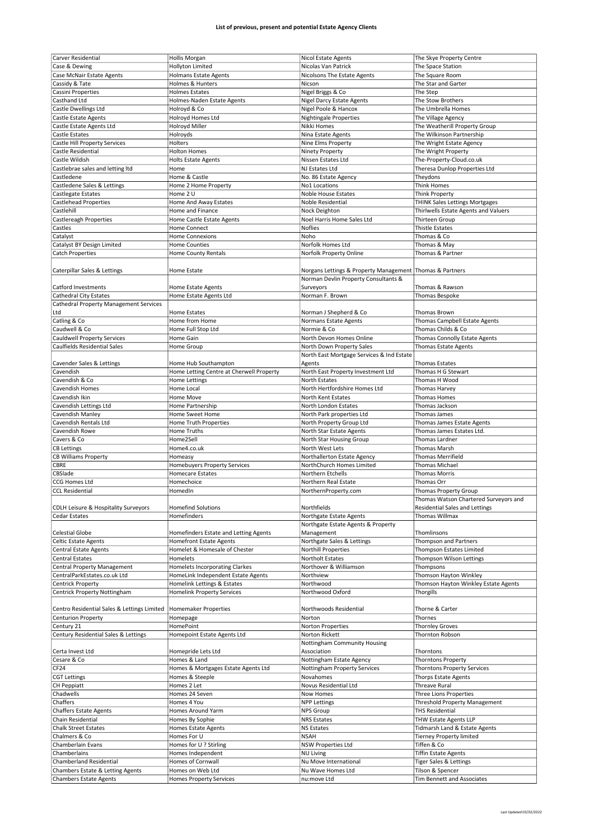| Carver Residential                            | <b>Hollis Morgan</b>                     | Nicol Estate Agents                                        | The Skye Property Centre              |
|-----------------------------------------------|------------------------------------------|------------------------------------------------------------|---------------------------------------|
|                                               |                                          |                                                            |                                       |
| Case & Dewing                                 | Hollyton Limited                         | Nicolas Van Patrick                                        | The Space Station                     |
| Case McNair Estate Agents                     | <b>Holmans Estate Agents</b>             | Nicolsons The Estate Agents                                | The Square Room                       |
| Cassidy & Tate                                | Holmes & Hunters                         | Nicson                                                     | The Star and Garter                   |
|                                               | <b>Holmes Estates</b>                    |                                                            | The Step                              |
| Cassini Properties                            |                                          | Nigel Briggs & Co                                          |                                       |
| Casthand Ltd                                  | Holmes-Naden Estate Agents               | Nigel Darcy Estate Agents                                  | The Stow Brothers                     |
| Castle Dwellings Ltd                          | Holroyd & Co                             | Nigel Poole & Hancox                                       | The Umbrella Homes                    |
| Castle Estate Agents                          | Holroyd Homes Ltd                        | <b>Nightingale Properties</b>                              | The Village Agency                    |
|                                               |                                          |                                                            |                                       |
| Castle Estate Agents Ltd                      | Holroyd Miller                           | Nikki Homes                                                | The Weatherill Property Group         |
| Castle Estates                                | Holroyds                                 | Nina Estate Agents                                         | The Wilkinson Partnership             |
| Castle Hill Property Services                 | Holters                                  | Nine Elms Property                                         | The Wright Estate Agency              |
|                                               |                                          |                                                            |                                       |
| Castle Residential                            | <b>Holton Homes</b>                      | Ninety Property                                            | The Wright Property                   |
| Castle Wildish                                | <b>Holts Estate Agents</b>               | Nissen Estates Ltd                                         | The-Property-Cloud.co.uk              |
| Castlebrae sales and letting Itd              | Home                                     | NJ Estates Ltd                                             | Theresa Dunlop Properties Ltd         |
|                                               |                                          |                                                            |                                       |
| Castledene                                    | Home & Castle                            | No. 86 Estate Agency                                       | Theydons                              |
| Castledene Sales & Lettings                   | Home 2 Home Property                     | No1 Locations                                              | <b>Think Homes</b>                    |
| Castlegate Estates                            | Home 2 U                                 | Noble House Estates                                        | Think Property                        |
|                                               |                                          |                                                            |                                       |
| <b>Castlehead Properties</b>                  | Home And Away Estates                    | Noble Residential                                          | THINK Sales Lettings Mortgages        |
| Castlehill                                    | Home and Finance                         | Nock Deighton                                              | Thirlwells Estate Agents and Valuers  |
| Castlereagh Properties                        | Home Castle Estate Agents                | Noel Harris Home Sales Ltd                                 | Thirteen Group                        |
|                                               | <b>Home Connect</b>                      | <b>Noflies</b>                                             | <b>Thistle Estates</b>                |
| Castles                                       |                                          |                                                            |                                       |
| Catalyst                                      | <b>Home Connexions</b>                   | Noho                                                       | Thomas & Co                           |
| Catalyst BY Design Limited                    | <b>Home Counties</b>                     | Norfolk Homes Ltd                                          | Thomas & May                          |
| <b>Catch Properties</b>                       |                                          | Norfolk Property Online                                    | Thomas & Partner                      |
|                                               | Home County Rentals                      |                                                            |                                       |
|                                               |                                          |                                                            |                                       |
| Caterpillar Sales & Lettings                  | Home Estate                              | Norgans Lettings & Property Management   Thomas & Partners |                                       |
|                                               |                                          | Norman Devlin Property Consultants &                       |                                       |
|                                               |                                          |                                                            |                                       |
| Catford Investments                           | Home Estate Agents                       | Surveyors                                                  | Thomas & Rawson                       |
| <b>Cathedral City Estates</b>                 | Home Estate Agents Ltd                   | Norman F. Brown                                            | Thomas Bespoke                        |
| <b>Cathedral Property Management Services</b> |                                          |                                                            |                                       |
|                                               |                                          |                                                            |                                       |
| Ltd                                           | Home Estates                             | Norman J Shepherd & Co                                     | Thomas Brown                          |
| Catling & Co                                  | Home from Home                           | Normans Estate Agents                                      | Thomas Campbell Estate Agents         |
| Caudwell & Co                                 | Home Full Stop Ltd                       | Normie & Co                                                | Thomas Childs & Co                    |
|                                               |                                          |                                                            |                                       |
| <b>Cauldwell Property Services</b>            | Home Gain                                | North Devon Homes Online                                   | Thomas Connolly Estate Agents         |
| Caulfields Residential Sales                  | Home Group                               | North Down Property Sales                                  | Thomas Estate Agents                  |
|                                               |                                          | North East Mortgage Services & Ind Estate                  |                                       |
|                                               |                                          |                                                            |                                       |
| Cavender Sales & Lettings                     | Home Hub Southampton                     | Agents                                                     | <b>Thomas Estates</b>                 |
| Cavendish                                     | Home Letting Centre at Cherwell Property | North East Property Investment Ltd                         | Thomas H G Stewart                    |
| Cavendish & Co                                | Home Lettings                            | North Estates                                              | Thomas H Wood                         |
| Cavendish Homes                               | Home Local                               | North Hertfordshire Homes Ltd                              |                                       |
|                                               |                                          |                                                            | Thomas Harvey                         |
| Cavendish Ikin                                | Home Move                                | North Kent Estates                                         | <b>Thomas Homes</b>                   |
| Cavendish Lettings Ltd                        | Home Partnership                         | North London Estates                                       | Thomas Jackson                        |
|                                               |                                          |                                                            |                                       |
| Cavendish Manley                              | Home Sweet Home                          | North Park properties Ltd                                  | Thomas James                          |
|                                               |                                          |                                                            |                                       |
| Cavendish Rentals Ltd                         | Home Truth Properties                    | North Property Group Ltd                                   | Thomas James Estate Agents            |
| Cavendish Rowe                                |                                          |                                                            |                                       |
|                                               | Home Truths                              | North Star Estate Agents                                   | Thomas James Estates Ltd.             |
| Cavers & Co                                   | Home2Sell                                | North Star Housing Group                                   | Thomas Lardner                        |
| <b>CB Lettings</b>                            | Home4.co.uk                              | North West Lets                                            | <b>Thomas Marsh</b>                   |
|                                               |                                          |                                                            | <b>Thomas Merrifield</b>              |
| <b>CB Williams Property</b>                   | Homeasy                                  | Northallerton Estate Agency                                |                                       |
| CBRE                                          | <b>Homebuyers Property Services</b>      | NorthChurch Homes Limited                                  | <b>Thomas Michael</b>                 |
| CBSlade                                       | <b>Homecare Estates</b>                  | Northern Etchells                                          | <b>Thomas Morris</b>                  |
|                                               |                                          |                                                            |                                       |
| <b>CCG Homes Ltd</b>                          | Homechoice                               | Northern Real Estate                                       | Thomas Orr                            |
| <b>CCL Residential</b>                        | HomedIn                                  | NorthernProperty.com                                       | Thomas Property Group                 |
|                                               |                                          |                                                            | Thomas Watson Chartered Surveyors and |
| CDLH Leisure & Hospitality Surveyors          | <b>Homefind Solutions</b>                | Northfields                                                | <b>Residential Sales and Lettings</b> |
|                                               |                                          |                                                            |                                       |
| Cedar Estates                                 | Homefinders                              | Northgate Estate Agents                                    | Thomas Willmax                        |
|                                               |                                          | Northgate Estate Agents & Property                         |                                       |
| <b>Celestial Globe</b>                        | Homefinders Estate and Letting Agents    | Management                                                 | Thomlinsons                           |
|                                               |                                          |                                                            |                                       |
| Celtic Estate Agents                          | <b>Homefront Estate Agents</b>           | Northgate Sales & Lettings                                 | Thompson and Partners                 |
| <b>Central Estate Agents</b>                  | Homelet & Homesale of Chester            | Northill Properties                                        | Thompson Estates Limited              |
| <b>Central Estates</b>                        | Homelets                                 | <b>Northolt Estates</b>                                    | Thompson Wilson Lettings              |
|                                               |                                          | Northover & Williamson                                     |                                       |
| Central Property Management                   | <b>Homelets Incorporating Clarkes</b>    |                                                            | Thompsons                             |
| CentralParkEstates.co.uk Ltd                  | HomeLink Independent Estate Agents       | Northview                                                  | Thomson Hayton Winkley                |
| Centrick Property                             | Homelink Lettings & Estates              | Northwood                                                  | Thomson Hayton Winkley Estate Agents  |
| Centrick Property Nottingham                  | <b>Homelink Property Services</b>        | Northwood Oxford                                           | Thorgills                             |
|                                               |                                          |                                                            |                                       |
|                                               |                                          |                                                            |                                       |
| Centro Residential Sales & Lettings Limited   | Homemaker Properties                     | Northwoods Residential                                     | Thorne & Carter                       |
| <b>Centurion Property</b>                     | Homepage                                 | Norton                                                     | Thornes                               |
|                                               |                                          |                                                            |                                       |
| Century 21                                    | <b>HomePoint</b>                         | Norton Properties                                          | <b>Thornley Groves</b>                |
| Century Residential Sales & Lettings          | Homepoint Estate Agents Ltd              | Norton Rickett                                             | Thornton Robson                       |
|                                               |                                          | Nottingham Community Housing                               |                                       |
| Certa Invest Ltd                              |                                          | Association                                                | Thorntons                             |
|                                               | Homepride Lets Ltd                       |                                                            |                                       |
| Cesare & Co                                   | Homes & Land                             | Nottingham Estate Agency                                   | <b>Thorntons Property</b>             |
| CF <sub>24</sub>                              | Homes & Mortgages Estate Agents Ltd      | Nottingham Property Services                               | <b>Thorntons Property Services</b>    |
|                                               |                                          |                                                            |                                       |
| <b>CGT Lettings</b>                           | Homes & Steeple                          | Novahomes                                                  | <b>Thorps Estate Agents</b>           |
| CH Peppiatt                                   | Homes 2 Let                              | Novus Residential Ltd                                      | <b>Threave Rural</b>                  |
| Chadwells                                     | Homes 24 Seven                           | Now Homes                                                  | Three Lions Properties                |
|                                               |                                          |                                                            |                                       |
| Chaffers                                      | Homes 4 You                              | <b>NPP Lettings</b>                                        | <b>Threshold Property Management</b>  |
| <b>Chaffers Estate Agents</b>                 | Homes Around Yarm                        | <b>NPS Group</b>                                           | <b>THS Residential</b>                |
| Chain Residential                             | Homes By Sophie                          | <b>NRS Estates</b>                                         | THW Estate Agents LLP                 |
|                                               |                                          |                                                            |                                       |
| <b>Chalk Street Estates</b>                   | Homes Estate Agents                      | <b>NS Estates</b>                                          | Tidmarsh Land & Estate Agents         |
| Chalmers & Co                                 | Homes For U                              | <b>NSAH</b>                                                | <b>Tierney Property limited</b>       |
| Chamberlain Evans                             | Homes for U ? Stirling                   | <b>NSW Properties Ltd</b>                                  | Tiffen & Co                           |
| Chamberlains                                  |                                          |                                                            |                                       |
|                                               | Homes Independent                        | <b>NU Living</b>                                           | <b>Tiffin Estate Agents</b>           |
| Chamberland Residential                       | Homes of Cornwall                        | Nu Move International                                      | <b>Tiger Sales &amp; Lettings</b>     |
| Chambers Estate & Letting Agents              | Homes on Web Ltd                         | Nu Wave Homes Ltd                                          | Tilson & Spencer                      |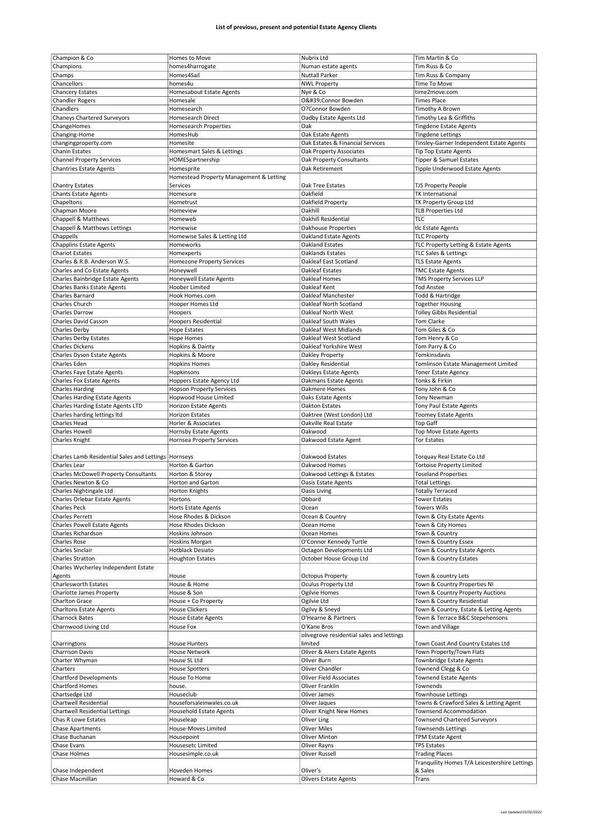| Champion & Co                               | Homes to Move                           | Nubrix Ltd                                | Tim Martin & Co                               |
|---------------------------------------------|-----------------------------------------|-------------------------------------------|-----------------------------------------------|
| Champions                                   | homes4harrogate                         | Numan estate agents                       | Tim Russ & Co                                 |
| Champs                                      | Homes4Sail                              | <b>Nuttall Parker</b>                     | Tim Russ & Company                            |
|                                             |                                         |                                           |                                               |
| Chancellors                                 | homes4u                                 | <b>NWL Property</b>                       | Time To Move                                  |
| <b>Chancery Estates</b>                     | Homesabout Estate Agents                | Nye & Co                                  | time2move.com                                 |
| <b>Chandler Rogers</b>                      | Homesale                                | O'Connor Bowden                           | <b>Times Place</b>                            |
| Chandlers                                   | Homesearch                              | O?Connor Bowden                           | Timothy A Brown                               |
| <b>Chaneys Chartered Surveyors</b>          | <b>Homesearch Direct</b>                | Oadby Estate Agents Ltd                   | Timothy Lea & Griffiths                       |
| ChangeHomes                                 | Homesearch Properties                   | Oak                                       | <b>Tingdene Estate Agents</b>                 |
| Changing-Home                               | HomesHub                                | Oak Estate Agents                         | <b>Tingdene Lettings</b>                      |
| changingproperty.com                        | Homesite                                | Oak Estates & Financial Services          | Tinsley-Garner Independent Estate Agents      |
| Chanin Estates                              | Homesmart Sales & Lettings              | Oak Property Associates                   | Tip Top Estate Agents                         |
| <b>Channel Property Services</b>            | HOMESpartnership                        | Oak Property Consultants                  | Tipper & Samuel Estates                       |
|                                             |                                         |                                           |                                               |
| <b>Chantries Estate Agents</b>              | Homesprite                              | Oak Retirement                            | Tipple Underwood Estate Agents                |
|                                             | Homestead Property Management & Letting |                                           |                                               |
| <b>Chantry Estates</b>                      | Services                                | Oak Tree Estates                          | <b>TJS Property People</b>                    |
| <b>Chants Estate Agents</b>                 | Homesure                                | Oakfield                                  | <b>TK International</b>                       |
| Chapeltons                                  | Hometrust                               | Oakfield Property                         | TK Property Group Ltd                         |
| Chapman Moore                               | Homeview                                | Oakhill                                   | <b>TLB Properties Ltd</b>                     |
| Chappell & Matthews                         | Homeweb                                 | Oakhill Residential                       | TLC                                           |
| Chappell & Matthews Lettings                | Homewise                                | <b>Oakhouse Properties</b>                | tlc Estate Agents                             |
|                                             | Homewise Sales & Letting Ltd            | <b>Oakland Estate Agents</b>              | <b>TLC Property</b>                           |
| Chappells                                   |                                         |                                           |                                               |
| <b>Chapplins Estate Agents</b>              | Homeworks                               | Oakland Estates                           | TLC Property Letting & Estate Agents          |
| <b>Chariot Estates</b>                      | Homexperts                              | Oaklands Estates                          | <b>TLC Sales &amp; Lettings</b>               |
| Charles & R.B. Anderson W.S.                | <b>Homezone Property Services</b>       | Oakleaf East Scotland                     | <b>TLS Estate Agents</b>                      |
| Charles and Co Estate Agents                | Honeywell                               | Oakleaf Estates                           | <b>TMC Estate Agents</b>                      |
| Charles Bainbridge Estate Agents            | Honeywell Estate Agents                 | Oakleaf Homes                             | <b>TMS Property Services LLP</b>              |
| <b>Charles Banks Estate Agents</b>          | Hoober Limited                          | Oakleaf Kent                              | <b>Tod Anstee</b>                             |
| <b>Charles Barnard</b>                      | Hook Homes.com                          | Oakleaf Manchester                        | Todd & Hartridge                              |
|                                             |                                         |                                           |                                               |
| <b>Charles Church</b>                       | Hooper Homes Ltd                        | Oakleaf North Scotland                    | <b>Together Housing</b>                       |
| Charles Darrow                              | Hoopers                                 | Oakleaf North West                        | <b>Tolley Gibbs Residential</b>               |
| Charles David Casson                        | <b>Hoopers Residential</b>              | Oakleaf South Wales                       | <b>Tom Clarke</b>                             |
| Charles Derby                               | <b>Hope Estates</b>                     | Oakleaf West Midlands                     | Tom Giles & Co                                |
| <b>Charles Derby Estates</b>                | <b>Hope Homes</b>                       | Oakleaf West Scotland                     | Tom Henry & Co                                |
| <b>Charles Dickens</b>                      | Hopkins & Dainty                        | Oakleaf Yorkshire West                    | Tom Parry & Co                                |
| Charles Dyson Estate Agents                 | Hopkins & Moore                         | Oakley Property                           | Tomkinsdavis                                  |
|                                             |                                         |                                           |                                               |
| Charles Eden                                | <b>Hopkins Homes</b>                    | Oakley Residential                        | Tomlinson Estate Management Limited           |
| Charles Faye Estate Agents                  | Hopkinsons                              | Oakleys Estate Agents                     | <b>Toner Estate Agency</b>                    |
| <b>Charles Fox Estate Agents</b>            | Hoppers Estate Agency Ltd               | Oakmans Estate Agents                     | Tonks & Firkin                                |
| <b>Charles Harding</b>                      | <b>Hopson Property Services</b>         | Oakmere Homes                             | Tony John & Co                                |
| <b>Charles Harding Estate Agents</b>        | Hopwood House Limited                   | Oaks Estate Agents                        | <b>Tony Newman</b>                            |
| Charles Harding Estate Agents LTD           | Horizon Estate Agents                   | Oakton Estates                            | Tony Paul Estate Agents                       |
| Charles harding lettings ltd                | <b>Horizon Estates</b>                  | Oaktree (West London) Ltd                 | <b>Toomey Estate Agents</b>                   |
| Charles Head                                | Horler & Associates                     | Oakville Real Estate                      |                                               |
|                                             |                                         |                                           | <b>Top Gaff</b>                               |
| Charles Howell                              | Hornsby Estate Agents                   | Oakwood                                   | Top Move Estate Agents                        |
| Charles Knight                              | <b>Hornsea Property Services</b>        | Oakwood Estate Agent                      | <b>Tor Estates</b>                            |
|                                             |                                         |                                           |                                               |
|                                             |                                         |                                           |                                               |
|                                             | Hornseys                                | Oakwood Estates                           | Torquay Real Estate Co Ltd                    |
| Charles Lamb Residential Sales and Lettings |                                         |                                           |                                               |
| Charles Lear                                | Horton & Garton                         | Oakwood Homes                             | <b>Tortoise Property Limited</b>              |
| Charles McDowell Property Consultants       | Horton & Storey                         | Oakwood Lettings & Estates                | <b>Toseland Properties</b>                    |
| Charles Newton & Co                         | <b>Horton and Garton</b>                | Oasis Estate Agents                       | <b>Total Lettings</b>                         |
| Charles Nightingale Ltd                     | <b>Horton Knights</b>                   | Oasis Living                              | <b>Totally Terraced</b>                       |
| Charles Orlebar Estate Agents               | Hortons                                 | Obbard                                    | Tower Estates                                 |
| <b>Charles Peck</b>                         | Horts Estate Agents                     | Ocean                                     | <b>Towers Wills</b>                           |
| Charles Perrett                             | Hose Rhodes & Dickson                   | Ocean & Country                           | Town & City Estate Agents                     |
| <b>Charles Powell Estate Agents</b>         | Hose Rhodes Dickson                     | Ocean Home                                | Town & City Homes                             |
| Charles Richardson                          | Hoskins Johnson                         | Ocean Homes                               |                                               |
|                                             |                                         |                                           | Town & Country                                |
| Charles Rose                                | Hoskins Morgan                          | O'Connor Kennedy Turtle                   | Town & Country Essex                          |
| Charles Sinclair                            | <b>Hotblack Desiato</b>                 | Octagon Developments Ltd                  | Town & Country Estate Agents                  |
| Charles Stratton                            | <b>Houghton Estates</b>                 | October House Group Ltd                   | Town & Country Estates                        |
| Charles Wycherley Independent Estate        |                                         |                                           |                                               |
| Agents                                      | House                                   | <b>Octopus Property</b>                   | Town & country Lets                           |
| <b>Charlesworth Estates</b>                 | House & Home                            | Oculus Property Ltd                       | Town & Country Properties NI                  |
| Charlotte James Property                    | House & Son                             | Ogilvie Homes                             | Town & Country Property Auctions              |
| Charlton Grace                              | House + Co Property                     | Ogilvie Ltd                               | Town & Country Residential                    |
|                                             |                                         |                                           |                                               |
| <b>Charltons Estate Agents</b>              | <b>House Clickers</b>                   | Ogilvy & Sneyd                            | Town & Country, Estate & Letting Agents       |
| <b>Charnock Bates</b>                       | <b>House Estate Agents</b>              | O'Hearne & Partners                       | Town & Terrace B&C Stepehensons               |
| Charnwood Living Ltd                        | House Fox                               | O'Kane Bros                               | Town and Village                              |
|                                             |                                         | olivegrove residential sales and lettings |                                               |
| Charringtons                                | House Hunters                           | limited                                   | Town Coast And Country Estates Ltd            |
| <b>Charrison Davis</b>                      | House Network                           | Oliver & Akers Estate Agents              | Town Property/Town Flats                      |
| Charter Whyman                              | House SL Ltd                            | Oliver Burn                               | Townbridge Estate Agents                      |
|                                             |                                         |                                           |                                               |
| Charters                                    | <b>House Spotters</b>                   | Oliver Chandler                           | Townend Clegg & Co                            |
| <b>Chartford Developments</b>               | House To Home                           | Oliver Field Associates                   | <b>Townend Estate Agents</b>                  |
| Chartford Homes                             | house.                                  | Oliver Franklin                           | Townends                                      |
| Chartsedge Ltd                              | Houseclub                               | Oliver James                              | <b>Townhouse Lettings</b>                     |
| Chartwell Residential                       | houseforsaleinwales.co.uk               | Oliver Jaques                             | Towns & Crawford Sales & Letting Agent        |
| <b>Chartwell Residential Lettings</b>       | <b>Household Estate Agents</b>          | Oliver Knight New Homes                   | Townsend Accommodation                        |
| Chas R Lowe Estates                         | Houseleap                               | Oliver Ling                               | <b>Townsend Chartered Surveyors</b>           |
|                                             |                                         |                                           |                                               |
| <b>Chase Apartments</b>                     | House-Moves Limited                     | <b>Oliver Miles</b>                       | <b>Townsends Lettings</b>                     |
| Chase Buchanan                              | Housepoint                              | Oliver Minton                             | <b>TPM Estate Agent</b>                       |
| Chase Evans                                 | Housesetc Limited                       | Oliver Rayns                              | <b>TPS Estates</b>                            |
| Chase Holmes                                | Housesimple.co.uk                       | <b>Oliver Russell</b>                     | <b>Trading Places</b>                         |
|                                             |                                         |                                           | Tranquility Homes T/A Leicestershire Lettings |
| Chase Independent                           | Hoveden Homes                           | Oliver's                                  | & Sales                                       |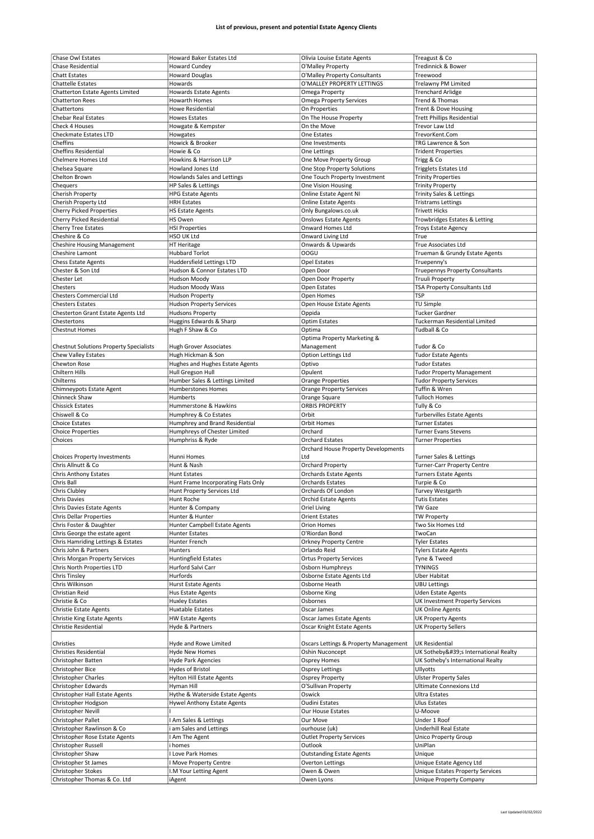| <b>Chase Owl Estates</b>                           | Howard Baker Estates Ltd            | Olivia Louise Estate Agents           | Treagust & Co                                               |
|----------------------------------------------------|-------------------------------------|---------------------------------------|-------------------------------------------------------------|
| <b>Chase Residential</b>                           |                                     | O'Malley Property                     |                                                             |
|                                                    | <b>Howard Cundey</b>                |                                       | Tredinnick & Bower                                          |
| <b>Chatt Estates</b>                               | <b>Howard Douglas</b>               | O'Malley Property Consultants         | Treewood                                                    |
| <b>Chattelle Estates</b>                           | Howards                             | O'MALLEY PROPERTY LETTINGS            | Trelawny PM Limited                                         |
| Chatterton Estate Agents Limited                   | <b>Howards Estate Agents</b>        | Omega Property                        | <b>Trenchard Arlidge</b>                                    |
| <b>Chatterton Rees</b>                             | <b>Howarth Homes</b>                | <b>Omega Property Services</b>        | Trend & Thomas                                              |
| Chattertons                                        | Howe Residential                    |                                       |                                                             |
|                                                    |                                     | On Properties                         | Trent & Dove Housing                                        |
| <b>Chebar Real Estates</b>                         | <b>Howes Estates</b>                | On The House Property                 | <b>Trett Phillips Residential</b>                           |
| Check 4 Houses                                     | Howgate & Kempster                  | On the Move                           | Trevor Law Ltd                                              |
| <b>Checkmate Estates LTD</b>                       | Howgates                            | One Estates                           | TrevorKent.Com                                              |
| Cheffins                                           | Howick & Brooker                    | One Investments                       | TRG Lawrence & Son                                          |
| <b>Cheffins Residential</b>                        | Howie & Co                          |                                       |                                                             |
|                                                    |                                     | One Lettings                          | <b>Trident Properties</b>                                   |
| Chelmere Homes Ltd                                 | Howkins & Harrison LLP              | One Move Property Group               | Trigg & Co                                                  |
| Chelsea Square                                     | Howland Jones Ltd                   | One Stop Property Solutions           | <b>Trigglets Estates Ltd</b>                                |
| Chelton Brown                                      | Howlands Sales and Lettings         | One Touch Property Investment         | <b>Trinity Properties</b>                                   |
|                                                    |                                     |                                       |                                                             |
| Chequers                                           | HP Sales & Lettings                 | One Vision Housing                    | <b>Trinity Property</b>                                     |
| Cherish Property                                   | <b>HPG Estate Agents</b>            | Online Estate Agent NI                | Trinity Sales & Lettings                                    |
| Cherish Property Ltd                               | <b>HRH Estates</b>                  | <b>Online Estate Agents</b>           | <b>Tristrams Lettings</b>                                   |
| <b>Cherry Picked Properties</b>                    | <b>HS Estate Agents</b>             | Only Bungalows.co.uk                  | <b>Trivett Hicks</b>                                        |
| Cherry Picked Residential                          |                                     | <b>Onslows Estate Agents</b>          |                                                             |
|                                                    | HS Owen                             |                                       | Trowbridges Estates & Letting                               |
| Cherry Tree Estates                                | <b>HSI Properties</b>               | Onward Homes Ltd                      | <b>Troys Estate Agency</b>                                  |
| Cheshire & Co                                      | HSO UK Ltd                          | Onward Living Ltd                     | True                                                        |
| <b>Cheshire Housing Management</b>                 | HT Heritage                         | Onwards & Upwards                     | True Associates Ltd                                         |
|                                                    |                                     | OOGU                                  |                                                             |
| Cheshire Lamont                                    | <b>Hubbard Torlot</b>               |                                       | Trueman & Grundy Estate Agents                              |
| <b>Chess Estate Agents</b>                         | Huddersfield Lettings LTD           | <b>Opel Estates</b>                   | Truepenny's                                                 |
| Chester & Son Ltd                                  | Hudson & Connor Estates LTD         | Open Door                             | Truepennys Property Consultants                             |
| Chester Let                                        | Hudson Moody                        | Open Door Property                    | Truuli Property                                             |
| Chesters                                           | Hudson Moody Wass                   | Open Estates                          | TSA Property Consultants Ltd                                |
|                                                    |                                     |                                       |                                                             |
| <b>Chesters Commercial Ltd</b>                     | <b>Hudson Property</b>              | Open Homes                            | <b>TSP</b>                                                  |
| <b>Chesters Estates</b>                            | <b>Hudson Property Services</b>     | Open House Estate Agents              | TU Simple                                                   |
| Chesterton Grant Estate Agents Ltd                 | <b>Hudsons Property</b>             | Oppida                                | <b>Tucker Gardner</b>                                       |
|                                                    |                                     |                                       |                                                             |
| Chestertons                                        | Huggins Edwards & Sharp             | <b>Optim Estates</b>                  | Tuckerman Residential Limited                               |
| <b>Chestnut Homes</b>                              | Hugh F Shaw & Co                    | Optima                                | Tudball & Co                                                |
|                                                    |                                     | Optima Property Marketing &           |                                                             |
| <b>Chestnut Solutions Property Specialists</b>     | <b>Hugh Grover Associates</b>       | Management                            | Tudor & Co                                                  |
|                                                    |                                     |                                       |                                                             |
| Chew Valley Estates                                | Hugh Hickman & Son                  | Option Lettings Ltd                   | <b>Tudor Estate Agents</b>                                  |
| Chewton Rose                                       | Hughes and Hughes Estate Agents     | Optivo                                | <b>Tudor Estates</b>                                        |
| Chiltern Hills                                     | Hull Gregson Hull                   | Opulent                               | <b>Tudor Property Management</b>                            |
| Chilterns                                          | Humber Sales & Lettings Limited     | <b>Orange Properties</b>              | <b>Tudor Property Services</b>                              |
|                                                    |                                     |                                       |                                                             |
| Chimneypots Estate Agent                           | <b>Humberstones Homes</b>           | <b>Orange Property Services</b>       | Tuffin & Wren                                               |
| Chinneck Shaw                                      | Humberts                            | Orange Square                         | <b>Tulloch Homes</b>                                        |
| <b>Chissick Estates</b>                            | Hummerstone & Hawkins               | <b>ORBIS PROPERTY</b>                 | Tully & Co                                                  |
| Chiswell & Co                                      | Humphrey & Co Estates               | Orbit                                 | <b>Turbervilles Estate Agents</b>                           |
|                                                    |                                     |                                       |                                                             |
|                                                    |                                     |                                       |                                                             |
| <b>Choice Estates</b>                              | Humphrey and Brand Residential      | Orbit Homes                           | <b>Turner Estates</b>                                       |
| <b>Choice Properties</b>                           | Humphreys of Chester Limited        | Orchard                               | <b>Turner Evans Stevens</b>                                 |
| Choices                                            |                                     | <b>Orchard Estates</b>                |                                                             |
|                                                    | Humphriss & Ryde                    |                                       | <b>Turner Properties</b>                                    |
|                                                    |                                     | Orchard House Property Developments   |                                                             |
| <b>Choices Property Investments</b>                | Hunni Homes                         | Ltd                                   | Turner Sales & Lettings                                     |
| Chris Allnutt & Co                                 | Hunt & Nash                         | <b>Orchard Property</b>               | <b>Turner-Carr Property Centre</b>                          |
| <b>Chris Anthony Estates</b>                       | <b>Hunt Estates</b>                 | <b>Orchards Estate Agents</b>         |                                                             |
|                                                    |                                     |                                       | <b>Turners Estate Agents</b>                                |
| Chris Ball                                         | Hunt Frame Incorporating Flats Only | <b>Orchards Estates</b>               | Turpie & Co                                                 |
| Chris Clubley                                      | Hunt Property Services Ltd          | Orchards Of London                    | Turvey Westgarth                                            |
| Chris Davies                                       | Hunt Roche                          | Orchid Estate Agents                  | Tutis Estates                                               |
| Chris Davies Estate Agents                         | Hunter & Company                    | Oriel Living                          | <b>TW Gaze</b>                                              |
|                                                    |                                     |                                       |                                                             |
| <b>Chris Dellar Properties</b>                     | Hunter & Hunter                     | <b>Orient Estates</b>                 | <b>TW Property</b>                                          |
| Chris Foster & Daughter                            | Hunter Campbell Estate Agents       | <b>Orion Homes</b>                    | Two Six Homes Ltd                                           |
| Chris George the estate agent                      | Hunter Estates                      | O'Riordan Bond                        | TwoCan                                                      |
| Chris Hamriding Lettings & Estates                 | Hunter French                       | <b>Orkney Property Centre</b>         | <b>Tyler Estates</b>                                        |
|                                                    |                                     |                                       |                                                             |
| Chris John & Partners                              | Hunters                             | Orlando Reid                          | <b>Tylers Estate Agents</b>                                 |
| Chris Morgan Property Services                     | <b>Huntingfield Estates</b>         | <b>Ortus Property Services</b>        | Tyne & Tweed                                                |
| Chris North Properties LTD                         | Hurford Salvi Carr                  | Osborn Humphreys                      | <b>TYNINGS</b>                                              |
| <b>Chris Tinsley</b>                               | Hurfords                            | Osborne Estate Agents Ltd             | <b>Uber Habitat</b>                                         |
| Chris Wilkinson                                    |                                     | Osborne Heath                         | <b>UBU Lettings</b>                                         |
|                                                    | Hurst Estate Agents                 |                                       |                                                             |
| Christian Reid                                     | Hus Estate Agents                   | Osborne King                          | Uden Estate Agents                                          |
| Christie & Co                                      | <b>Huxley Estates</b>               | Osbornes                              | UK Investment Property Services                             |
| <b>Christie Estate Agents</b>                      | Huxtable Estates                    | Oscar James                           | <b>UK Online Agents</b>                                     |
|                                                    |                                     |                                       |                                                             |
| Christie King Estate Agents                        | <b>HW Estate Agents</b>             | Oscar James Estate Agents             | <b>UK Property Agents</b>                                   |
| Christie Residential                               | Hyde & Partners                     | Oscar Knight Estate Agents            | <b>UK Property Sellers</b>                                  |
|                                                    |                                     |                                       |                                                             |
| Christies                                          | Hyde and Rowe Limited               | Oscars Lettings & Property Management | <b>UK Residential</b>                                       |
| <b>Christies Residential</b>                       | <b>Hyde New Homes</b>               | Oshin Nuconcept                       | UK Sotheby's International Realty                           |
|                                                    |                                     |                                       |                                                             |
| Christopher Batten                                 | Hyde Park Agencies                  | Osprey Homes                          | UK Sotheby's International Realty                           |
| Christopher Bice                                   | <b>Hydes of Bristol</b>             | <b>Osprey Lettings</b>                | Ullyotts                                                    |
| <b>Christopher Charles</b>                         | <b>Hylton Hill Estate Agents</b>    | Osprey Property                       | <b>Ulster Property Sales</b>                                |
| Christopher Edwards                                | Hyman Hill                          | O'Sullivan Property                   | <b>Ultimate Connexions Ltd</b>                              |
|                                                    |                                     |                                       |                                                             |
| Christopher Hall Estate Agents                     | Hythe & Waterside Estate Agents     | Oswick                                | <b>Ultra Estates</b>                                        |
| Christopher Hodgson                                | Hywel Anthony Estate Agents         | <b>Oudini Estates</b>                 | Ulus Estates                                                |
| Christopher Nevill                                 |                                     | Our House Estates                     | U-Moove                                                     |
|                                                    |                                     |                                       |                                                             |
| Christopher Pallet                                 | Am Sales & Lettings                 | Our Move                              | Under 1 Roof                                                |
| Christopher Rawlinson & Co                         | am Sales and Lettings               | ourhouse (uk)                         | Underhill Real Estate                                       |
| Christopher Rose Estate Agents                     | Am The Agent                        | <b>Outlet Property Services</b>       | <b>Unico Property Group</b>                                 |
| Christopher Russell                                | homes                               | Outlook                               | UniPlan                                                     |
|                                                    |                                     |                                       |                                                             |
| Christopher Shaw                                   | Love Park Homes                     | <b>Outstanding Estate Agents</b>      | Unique                                                      |
| Christopher St James                               | Move Property Centre                | Overton Lettings                      | Unique Estate Agency Ltd                                    |
| Christopher Stokes<br>Christopher Thomas & Co. Ltd | I.M Your Letting Agent              | Owen & Owen                           | Unique Estates Property Services<br>Unique Property Company |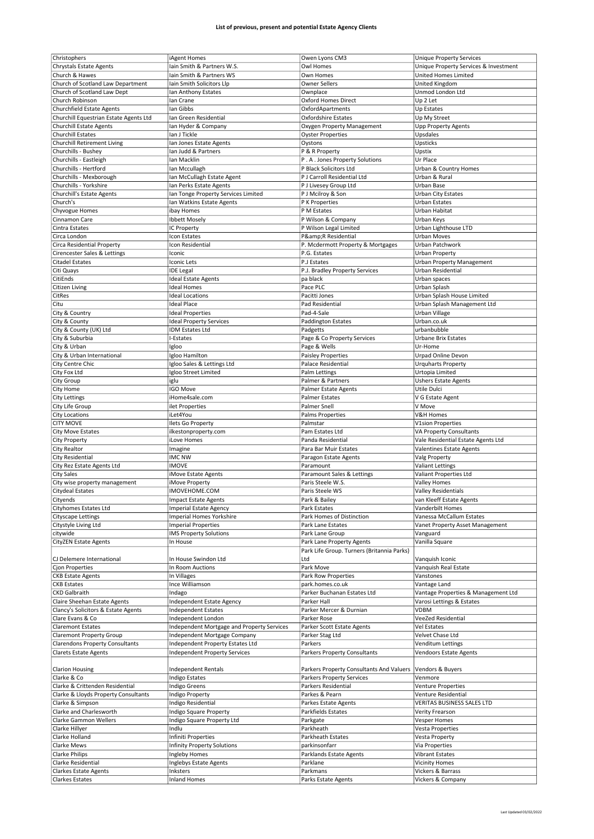| Christophers                                           | iAgent Homes                               | Owen Lyons CM3                             | <b>Unique Property Services</b>        |
|--------------------------------------------------------|--------------------------------------------|--------------------------------------------|----------------------------------------|
| <b>Chrystals Estate Agents</b>                         |                                            |                                            |                                        |
|                                                        | Iain Smith & Partners W.S.                 | Owl Homes                                  | Unique Property Services & Investment  |
| Church & Hawes                                         | lain Smith & Partners WS                   | Own Homes                                  | United Homes Limited                   |
| Church of Scotland Law Department                      | lain Smith Solicitors Llp                  | <b>Owner Sellers</b>                       | United Kingdom                         |
| Church of Scotland Law Dept                            | Ian Anthony Estates                        | Ownplace                                   | Unmod London Ltd                       |
| Church Robinson                                        | Ian Crane                                  | Oxford Homes Direct                        | Up 2 Let                               |
| <b>Churchfield Estate Agents</b>                       | lan Gibbs                                  |                                            | Up Estates                             |
|                                                        |                                            | OxfordApartments                           |                                        |
| Churchill Equestrian Estate Agents Ltd                 | Ian Green Residential                      | Oxfordshire Estates                        | Up My Street                           |
| Churchill Estate Agents                                | Ian Hyder & Company                        | Oxygen Property Management                 | Upp Property Agents                    |
| <b>Churchill Estates</b>                               | Ian J Tickle                               | <b>Oyster Properties</b>                   | Upsdales                               |
| <b>Churchill Retirement Living</b>                     | Ian Jones Estate Agents                    | Oystons                                    | Upsticks                               |
|                                                        | lan Judd & Partners                        |                                            |                                        |
| Churchills - Bushey                                    |                                            | P & R Property                             | Upstix                                 |
| Churchills - Eastleigh                                 | Ian Macklin                                | P.A. Jones Property Solutions              | Ur Place                               |
| Churchills - Hertford                                  | Ian Mccullagh                              | P Black Solicitors Ltd                     | Urban & Country Homes                  |
| Churchills - Mexborough                                | Ian McCullagh Estate Agent                 | P J Carroll Residential Ltd                | Urban & Rural                          |
| Churchills - Yorkshire                                 | Ian Perks Estate Agents                    |                                            | Urban Base                             |
|                                                        |                                            | P J Livesey Group Ltd                      |                                        |
| Churchill's Estate Agents                              | Ian Tonge Property Services Limited        | P J Mcilroy & Son                          | <b>Urban City Estates</b>              |
| Church's                                               | Ian Watkins Estate Agents                  | P K Properties                             | <b>Urban Estates</b>                   |
| Chyvogue Homes                                         | ibay Homes                                 | P M Estates                                | Urban Habitat                          |
| Cinnamon Care                                          | Ibbett Mosely                              | P Wilson & Company                         | Urban Keys                             |
|                                                        |                                            |                                            |                                        |
| Cintra Estates                                         | IC Property                                | P Wilson Legal Limited                     | Urban Lighthouse LTD                   |
| Circa London                                           | Icon Estates                               | P&R Residential                            | Urban Moves                            |
| Circa Residential Property                             | Icon Residential                           | P. Mcdermott Property & Mortgages          | Urban Patchwork                        |
| Cirencester Sales & Lettings                           | Iconic                                     | P.G. Estates                               | Urban Property                         |
|                                                        |                                            |                                            |                                        |
| <b>Citadel Estates</b>                                 | Iconic Lets                                | P.J Estates                                | Urban Property Management              |
| Citi Quays                                             | <b>IDE Legal</b>                           | P.J. Bradley Property Services             | Urban Residential                      |
| CitiEnds                                               | <b>Ideal Estate Agents</b>                 | pa black                                   | Urban spaces                           |
| <b>Citizen Living</b>                                  | <b>Ideal Homes</b>                         | Pace PLC                                   | Urban Splash                           |
| CitRes                                                 | Ideal Locations                            | Pacitti Jones                              | Urban Splash House Limited             |
|                                                        |                                            |                                            |                                        |
| Citu                                                   | <b>Ideal Place</b>                         | Pad Residential                            | Urban Splash Management Ltd            |
| City & Country                                         | <b>Ideal Properties</b>                    | Pad-4-Sale                                 | Urban Village                          |
| City & County                                          | <b>Ideal Property Services</b>             | Paddington Estates                         | Urban.co.uk                            |
| City & County (UK) Ltd                                 | <b>IDM Estates Ltd</b>                     | Padgetts                                   | urbanbubble                            |
|                                                        |                                            |                                            |                                        |
| City & Suburbia                                        | I-Estates                                  | Page & Co Property Services                | <b>Urbane Brix Estates</b>             |
| City & Urban                                           | Igloo                                      | Page & Wells                               | Ur-Home                                |
| City & Urban International                             | Igloo Hamilton                             | <b>Paisley Properties</b>                  | Urpad Online Devon                     |
| City Centre Chic                                       | Igloo Sales & Lettings Ltd                 | Palace Residential                         | <b>Urquharts Property</b>              |
|                                                        |                                            |                                            |                                        |
| City Fox Ltd                                           | Igloo Street Limited                       | Palm Lettings                              | Urtopia Limited                        |
| City Group                                             | iglu                                       | Palmer & Partners                          | <b>Ushers Estate Agents</b>            |
| City Home                                              | IGO Move                                   | Palmer Estate Agents                       | Utile Dulci                            |
| <b>City Lettings</b>                                   | iHome4sale.com                             | <b>Palmer Estates</b>                      | V G Estate Agent                       |
|                                                        |                                            |                                            |                                        |
| City Life Group                                        | ilet Properties                            | <b>Palmer Snell</b>                        | V Move                                 |
| <b>City Locations</b>                                  | iLet4You                                   | Palms Properties                           | V&H Homes                              |
| <b>CITY MOVE</b>                                       | <b>Ilets Go Property</b>                   | Palmstar                                   | <b>V1sion Properties</b>               |
|                                                        |                                            |                                            |                                        |
|                                                        |                                            |                                            |                                        |
| City Move Estates                                      | ilkestonproperty.com                       | Pam Estates Ltd                            | VA Property Consultants                |
| <b>City Property</b>                                   | iLove Homes                                | Panda Residential                          | Vale Residential Estate Agents Ltd     |
| <b>City Realtor</b>                                    | Imagine                                    | Para Bar Muir Estates                      | <b>Valentines Estate Agents</b>        |
|                                                        | <b>IMC NW</b>                              |                                            |                                        |
| City Residential                                       |                                            | Paragon Estate Agents                      | Valg Property                          |
| City Rez Estate Agents Ltd                             | <b>IMOVE</b>                               | Paramount                                  | <b>Valiant Lettings</b>                |
| <b>City Sales</b>                                      | iMove Estate Agents                        | Paramount Sales & Lettings                 | Valiant Properties Ltd                 |
| City wise property management                          | iMove Property                             | Paris Steele W.S.                          | Valley Homes                           |
| Citydeal Estates                                       | IMOVEHOME.COM                              | Paris Steele WS                            | Valley Residentials                    |
|                                                        |                                            |                                            |                                        |
| Cityends                                               | Impact Estate Agents                       | Park & Bailey                              | van Kleeff Estate Agents               |
| Cityhomes Estates Ltd                                  | <b>Imperial Estate Agency</b>              | Park Estates                               | Vanderbilt Homes                       |
| Cityscape Lettings                                     | <b>Imperial Homes Yorkshire</b>            | Park Homes of Distinction                  | Vanessa McCallum Estates               |
| Citystyle Living Ltd                                   | <b>Imperial Properties</b>                 | Park Lane Estates                          | Vanet Property Asset Management        |
| citywide                                               | <b>IMS Property Solutions</b>              | Park Lane Group                            | Vanguard                               |
|                                                        |                                            |                                            |                                        |
| <b>CityZEN Estate Agents</b>                           | In House                                   | Park Lane Property Agents                  | Vanilla Square                         |
|                                                        |                                            | Park Life Group. Turners (Britannia Parks) |                                        |
| CJ Delemere International                              | In House Swindon Ltd                       | Ltd                                        | Vanquish Iconic                        |
| <b>Cion Properties</b>                                 | In Room Auctions                           | Park Move                                  | Vanquish Real Estate                   |
| <b>CKB Estate Agents</b>                               | In Villages                                | Park Row Properties                        | Vanstones                              |
|                                                        |                                            |                                            |                                        |
| <b>CKB Estates</b>                                     | Ince Williamson                            | park.homes.co.uk                           | Vantage Land                           |
| <b>CKD Galbraith</b>                                   | Indago                                     | Parker Buchanan Estates Ltd                | Vantage Properties & Management Ltd    |
| Claire Sheehan Estate Agents                           | <b>Independent Estate Agency</b>           | Parker Hall                                | Varosi Lettings & Estates              |
| Clancy's Solicitors & Estate Agents                    | <b>Independent Estates</b>                 | Parker Mercer & Durnian                    | <b>VDBM</b>                            |
| Clare Evans & Co                                       |                                            | Parker Rose                                | VeeZed Residential                     |
|                                                        | Independent London                         |                                            |                                        |
| <b>Claremont Estates</b>                               | Independent Mortgage and Property Services | Parker Scott Estate Agents                 | Vel Estates                            |
| <b>Claremont Property Group</b>                        | Independent Mortgage Company               | Parker Stag Ltd                            | Velvet Chase Ltd                       |
| <b>Clarendons Property Consultants</b>                 | Independent Property Estates Ltd           | Parkers                                    | Venditum Lettings                      |
| <b>Clarets Estate Agents</b>                           | <b>Independent Property Services</b>       | Parkers Property Consultants               | Vendoors Estate Agents                 |
|                                                        |                                            |                                            |                                        |
|                                                        |                                            |                                            |                                        |
| <b>Clarion Housing</b>                                 | <b>Independent Rentals</b>                 | Parkers Property Consultants And Valuers   | Vendors & Buyers                       |
| Clarke & Co                                            | Indigo Estates                             | <b>Parkers Property Services</b>           | Venmore                                |
| Clarke & Crittenden Residential                        | Indigo Greens                              | Parkers Residential                        | Venture Properties                     |
|                                                        |                                            |                                            |                                        |
| Clarke & Lloyds Property Consultants                   | Indigo Property                            | Parkes & Pearn                             | Venture Residential                    |
| Clarke & Simpson                                       | Indigo Residential                         | Parkes Estate Agents                       | VERITAS BUSINESS SALES LTD             |
| Clarke and Charlesworth                                | Indigo Square Property                     | Parkfields Estates                         | Verity Frearson                        |
| Clarke Gammon Wellers                                  | Indigo Square Property Ltd                 | Parkgate                                   | Vesper Homes                           |
|                                                        |                                            |                                            |                                        |
| Clarke Hillyer                                         | Indlu                                      | Parkheath                                  | Vesta Properties                       |
| Clarke Holland                                         | Infiniti Properties                        | Parkheath Estates                          | Vesta Property                         |
| Clarke Mews                                            | <b>Infinity Property Solutions</b>         | parkinsonfarr                              | Via Properties                         |
| <b>Clarke Philips</b>                                  | Ingleby Homes                              | Parklands Estate Agents                    | Vibrant Estates                        |
|                                                        |                                            |                                            |                                        |
| Clarke Residential                                     | Inglebys Estate Agents                     | Parklane                                   | <b>Vicinity Homes</b>                  |
| <b>Clarkes Estate Agents</b><br><b>Clarkes Estates</b> | Inksters<br><b>Inland Homes</b>            | Parkmans<br>Parks Estate Agents            | Vickers & Barrass<br>Vickers & Company |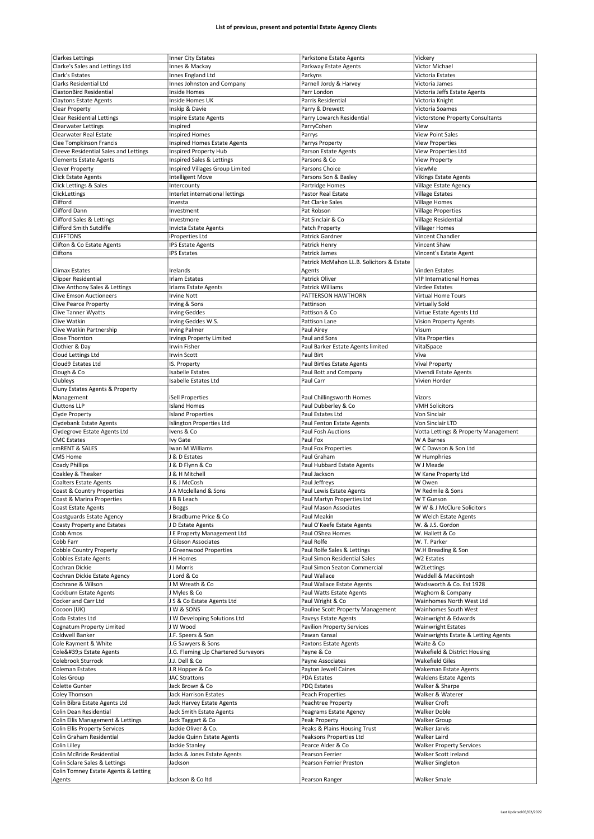| <b>Clarkes Lettings</b>                        | Inner City Estates                   | Parkstone Estate Agents                   | Vickery                              |
|------------------------------------------------|--------------------------------------|-------------------------------------------|--------------------------------------|
|                                                |                                      |                                           |                                      |
| Clarke's Sales and Lettings Ltd                | Innes & Mackay                       | Parkway Estate Agents                     | Victor Michael                       |
| Clark's Estates                                | Innes England Ltd                    | Parkyns                                   | Victoria Estates                     |
| <b>Clarks Residential Ltd</b>                  | Innes Johnston and Company           | Parnell Jordy & Harvey                    | Victoria James                       |
| ClaxtonBird Residential                        | Inside Homes                         | Parr London                               | Victoria Jeffs Estate Agents         |
|                                                |                                      |                                           |                                      |
| <b>Claytons Estate Agents</b>                  | Inside Homes UK                      | Parris Residential                        | Victoria Knight                      |
| Clear Property                                 | Inskip & Davie                       | Parry & Drewett                           | Victoria Soames                      |
| <b>Clear Residential Lettings</b>              | Inspire Estate Agents                | Parry Lowarch Residential                 | Victorstone Property Consultants     |
| <b>Clearwater Lettings</b>                     | Inspired                             | ParryCohen                                | View                                 |
| Clearwater Real Estate                         | <b>Inspired Homes</b>                | Parrys                                    | <b>View Point Sales</b>              |
|                                                |                                      |                                           |                                      |
| Clee Tompkinson Francis                        | <b>Inspired Homes Estate Agents</b>  | Parrys Property                           | <b>View Properties</b>               |
| Cleeve Residential Sales and Lettings          | Inspired Property Hub                | Parson Estate Agents                      | View Properties Ltd                  |
| <b>Clements Estate Agents</b>                  | Inspired Sales & Lettings            | Parsons & Co                              | <b>View Property</b>                 |
| Clever Property                                | Inspired Villages Group Limited      | Parsons Choice                            | ViewMe                               |
| <b>Click Estate Agents</b>                     | <b>Intelligent Move</b>              | Parsons Son & Basley                      | <b>Vikings Estate Agents</b>         |
| Click Lettings & Sales                         |                                      |                                           |                                      |
|                                                | Intercounty                          | Partridge Homes                           | Village Estate Agency                |
| ClickLettings                                  | Interlet international lettings      | <b>Pastor Real Estate</b>                 | <b>Village Estates</b>               |
| Clifford                                       | Investa                              | Pat Clarke Sales                          | <b>Village Homes</b>                 |
| Clifford Dann                                  | Investment                           | Pat Robson                                | <b>Village Properties</b>            |
| Clifford Sales & Lettings                      | Investmore                           | Pat Sinclair & Co                         | Village Residential                  |
| Clifford Smith Sutcliffe                       | Invicta Estate Agents                | Patch Property                            | <b>Villager Homes</b>                |
|                                                |                                      |                                           |                                      |
| <b>CLIFFTONS</b>                               | iProperties Ltd                      | Patrick Gardner                           | Vincent Chandler                     |
| Clifton & Co Estate Agents                     | <b>IPS Estate Agents</b>             | Patrick Henry                             | Vincent Shaw                         |
| Cliftons                                       | <b>IPS Estates</b>                   | Patrick James                             | Vincent's Estate Agent               |
|                                                |                                      | Patrick McMahon LL.B. Solicitors & Estate |                                      |
| <b>Climax Estates</b>                          | Irelands                             | Agents                                    | Vinden Estates                       |
|                                                |                                      |                                           |                                      |
| <b>Clipper Residential</b>                     | <b>Irlam Estates</b>                 | Patrick Oliver                            | <b>VIP International Homes</b>       |
| Clive Anthony Sales & Lettings                 | <b>Irlams Estate Agents</b>          | Patrick Williams                          | <b>Virdee Estates</b>                |
| <b>Clive Emson Auctioneers</b>                 | <b>Irvine Nott</b>                   | PATTERSON HAWTHORN                        | <b>Virtual Home Tours</b>            |
| <b>Clive Pearce Property</b>                   | Irving & Sons                        | Pattinson                                 | <b>Virtually Sold</b>                |
| <b>Clive Tanner Wyatts</b>                     | <b>Irving Geddes</b>                 | Pattison & Co                             | Virtue Estate Agents Ltd             |
|                                                |                                      |                                           |                                      |
| Clive Watkin                                   | Irving Geddes W.S.                   | Pattison Lane                             | <b>Vision Property Agents</b>        |
| Clive Watkin Partnership                       | <b>Irving Palmer</b>                 | Paul Airey                                | Visum                                |
| Close Thornton                                 | Irvings Property Limited             | Paul and Sons                             | Vita Properties                      |
| Clothier & Day                                 | Irwin Fisher                         | Paul Barker Estate Agents limited         | VitalSpace                           |
| Cloud Lettings Ltd                             | <b>Irwin Scott</b>                   | Paul Birt                                 | Viva                                 |
|                                                |                                      |                                           |                                      |
| Cloud9 Estates Ltd                             | IS. Property                         | Paul Birtles Estate Agents                | Vival Property                       |
| Clough & Co                                    | <b>Isabelle Estates</b>              | Paul Bott and Company                     | Vivendi Estate Agents                |
| Clubleys                                       | Isabelle Estates Ltd                 | Paul Carr                                 | Vivien Horder                        |
| Cluny Estates Agents & Property                |                                      |                                           |                                      |
| Management                                     | <b>iSell Properties</b>              | Paul Chillingsworth Homes                 | Vizors                               |
|                                                |                                      |                                           |                                      |
| <b>Cluttons LLP</b>                            | <b>Island Homes</b>                  | Paul Dubberley & Co                       | <b>VMH Solicitors</b>                |
| Clyde Property                                 | <b>Island Properties</b>             | Paul Estates Ltd                          | Von Sinclair                         |
| Clydebank Estate Agents                        | Islington Properties Ltd             | Paul Fenton Estate Agents                 | Von Sinclair LTD                     |
| Clydegrove Estate Agents Ltd                   | Ivens & Co                           | Paul Fosh Auctions                        | Votta Lettings & Property Management |
| <b>CMC</b> Estates                             | Ivy Gate                             | Paul Fox                                  | W A Barnes                           |
|                                                |                                      |                                           | W C Dawson & Son Ltd                 |
| cmRENT & SALES                                 | Iwan M Williams                      | Paul Fox Properties                       |                                      |
| CMS Home                                       | J & D Estates                        | Paul Graham                               | W Humphries                          |
| <b>Coady Phillips</b>                          | J & D Flynn & Co                     | Paul Hubbard Estate Agents                | W J Meade                            |
| Coakley & Theaker                              | J & H Mitchell                       | Paul Jackson                              | W Kane Property Ltd                  |
|                                                |                                      | Paul Jeffreys                             | W Owen                               |
|                                                |                                      |                                           |                                      |
| <b>Coalters Estate Agents</b>                  | J & J McCosh                         |                                           |                                      |
| Coast & Country Properties                     | J A Mcclelland & Sons                | Paul Lewis Estate Agents                  | W Redmile & Sons                     |
| Coast & Marina Properties                      | J B B Leach                          | Paul Martyn Properties Ltd                | W I Gunson                           |
| <b>Coast Estate Agents</b>                     | J Boggs                              | Paul Mason Associates                     | WW & J McClure Solicitors            |
| Coastguards Estate Agency                      | J Bradburne Price & Co               | Paul Meakin                               | W Welch Estate Agents                |
|                                                |                                      |                                           | W. & J.S. Gordon                     |
| Coasty Property and Estates                    | JD Estate Agents                     | Paul O'Keefe Estate Agents                |                                      |
| Cobb Amos                                      | J E Property Management Ltd          | Paul OShea Homes                          | W. Hallett & Co                      |
| Cobb Farr                                      | J Gibson Associates                  | Paul Rolfe                                | W. T. Parker                         |
| Cobble Country Property                        | J Greenwood Properties               | Paul Rolfe Sales & Lettings               | W.H Breading & Son                   |
| <b>Cobbles Estate Agents</b>                   | J H Homes                            | Paul Simon Residential Sales              | W2 Estates                           |
| Cochran Dickie                                 | J J Morris                           | Paul Simon Seaton Commercial              | W2Lettings                           |
|                                                |                                      |                                           |                                      |
| Cochran Dickie Estate Agency                   | J Lord & Co                          | Paul Wallace                              | Waddell & Mackintosh                 |
| Cochrane & Wilson                              | J M Wreath & Co                      | Paul Wallace Estate Agents                | Wadsworth & Co. Est 1928             |
| Cockburn Estate Agents                         | J Myles & Co                         | Paul Watts Estate Agents                  | Waghorn & Company                    |
| Cocker and Carr Ltd                            | J S & Co Estate Agents Ltd           | Paul Wright & Co                          | Wainhomes North West Ltd             |
| Cocoon (UK)                                    | JW&SONS                              | Pauline Scott Property Management         | Wainhomes South West                 |
|                                                |                                      |                                           |                                      |
| Coda Estates Ltd                               | J W Developing Solutions Ltd         | Paveys Estate Agents                      | Wainwright & Edwards                 |
| Cognatum Property Limited                      | J W Wood                             | Pavilion Property Services                | <b>Wainwright Estates</b>            |
| Coldwell Banker                                | J.F. Speers & Son                    | Pawan Kansal                              | Wainwrights Estate & Letting Agents  |
| Cole Rayment & White                           | J.G Sawyers & Sons                   | Paxtons Estate Agents                     | Waite & Co                           |
| Cole's Estate Agents                           | J.G. Fleming Llp Chartered Surveyors | Payne & Co                                | Wakefield & District Housing         |
| Colebrook Sturrock                             | J.J. Dell & Co                       | Payne Associates                          | <b>Wakefield Giles</b>               |
|                                                |                                      |                                           |                                      |
| Coleman Estates                                | J.R Hopper & Co                      | Payton Jewell Caines                      | Wakeman Estate Agents                |
| Coles Group                                    | <b>JAC Strattons</b>                 | <b>PDA Estates</b>                        | <b>Waldens Estate Agents</b>         |
| Colette Gunter                                 | Jack Brown & Co                      | PDQ Estates                               | Walker & Sharpe                      |
| Coley Thomson                                  | <b>Jack Harrison Estates</b>         | Peach Properties                          | Walker & Waterer                     |
| Colin Bibra Estate Agents Ltd                  | Jack Harvey Estate Agents            | Peachtree Property                        | Walker Croft                         |
|                                                |                                      |                                           |                                      |
| Colin Dean Residential                         | Jack Smith Estate Agents             | Peagrams Estate Agency                    | Walker Doble                         |
| Colin Ellis Management & Lettings              | Jack Taggart & Co                    | Peak Property                             | <b>Walker Group</b>                  |
| <b>Colin Ellis Property Services</b>           | Jackie Oliver & Co.                  | Peaks & Plains Housing Trust              | Walker Jarvis                        |
| Colin Graham Residential                       | Jackie Quinn Estate Agents           | Peaksons Properties Ltd                   | Walker Laird                         |
| Colin Lilley                                   | Jackie Stanley                       | Pearce Alder & Co                         | <b>Walker Property Services</b>      |
|                                                |                                      |                                           |                                      |
| Colin McBride Residential                      | Jacks & Jones Estate Agents          | Pearson Ferrier                           | Walker Scott Ireland                 |
| Colin Sclare Sales & Lettings                  | Jackson                              | Pearson Ferrier Preston                   | Walker Singleton                     |
| Colin Tomney Estate Agents & Letting<br>Agents | Jackson & Coltd                      | Pearson Ranger                            | <b>Walker Smale</b>                  |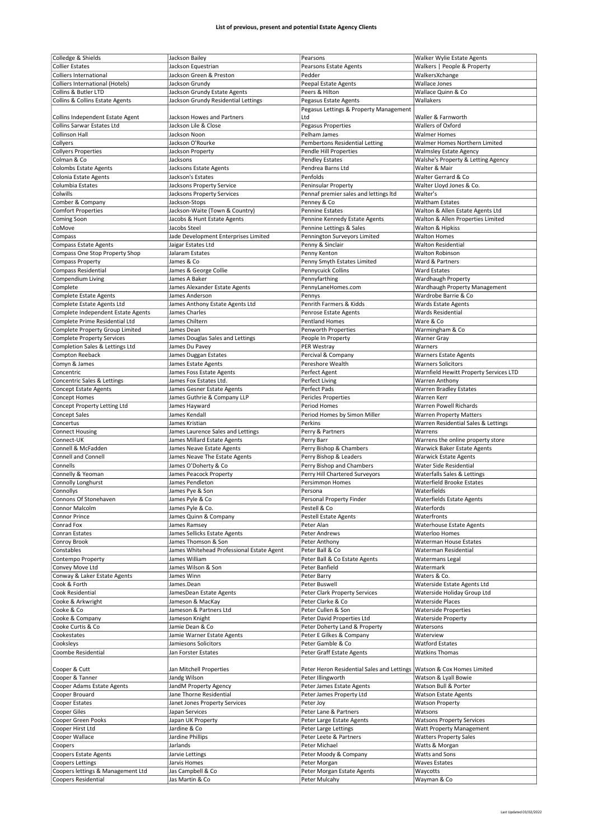| Colledge & Shields                                       | Jackson Bailey                            | Pearsons                                                                | Walker Wylie Estate Agents             |
|----------------------------------------------------------|-------------------------------------------|-------------------------------------------------------------------------|----------------------------------------|
| <b>Collier Estates</b>                                   | Jackson Equestrian                        |                                                                         | Walkers   People & Property            |
|                                                          |                                           | Pearsons Estate Agents                                                  |                                        |
| <b>Colliers International</b>                            | Jackson Green & Preston                   | Pedder                                                                  | WalkersXchange                         |
| <b>Colliers International (Hotels)</b>                   | Jackson Grundy                            | Peepal Estate Agents                                                    | Wallace Jones                          |
| Collins & Butler LTD                                     | Jackson Grundy Estate Agents              | Peers & Hilton                                                          | Wallace Quinn & Co                     |
| Collins & Collins Estate Agents                          | Jackson Grundy Residential Lettings       | Pegasus Estate Agents                                                   | Wallakers                              |
|                                                          |                                           | Pegasus Lettings & Property Management                                  |                                        |
| Collins Independent Estate Agent                         | Jackson Howes and Partners                | Ltd                                                                     | Waller & Farnworth                     |
|                                                          |                                           |                                                                         |                                        |
| Collins Sarwar Estates Ltd                               | Jackson Lile & Close                      | Pegasus Properties                                                      | Wallers of Oxford                      |
| <b>Collinson Hall</b>                                    | Jackson Noon                              | Pelham James                                                            | <b>Walmer Homes</b>                    |
| Collyers                                                 | Jackson O'Rourke                          | Pembertons Residential Letting                                          | Walmer Homes Northern Limited          |
| <b>Collyers Properties</b>                               | Jackson Property                          | Pendle Hill Properties                                                  | <b>Walmsley Estate Agency</b>          |
| Colman & Co                                              | Jacksons                                  | <b>Pendley Estates</b>                                                  | Walshe's Property & Letting Agency     |
| <b>Colombs Estate Agents</b>                             | Jacksons Estate Agents                    | Pendrea Barns Ltd                                                       | Walter & Mair                          |
|                                                          |                                           |                                                                         |                                        |
| Colonia Estate Agents                                    | Jackson's Estates                         | Penfolds                                                                | Walter Gerrard & Co                    |
| Columbia Estates                                         | Jacksons Property Service                 | Peninsular Property                                                     | Walter Lloyd Jones & Co.               |
| Colwills                                                 | Jacksons Property Services                | Pennaf premier sales and lettings Itd                                   | Walter's                               |
| Comber & Company                                         | Jackson-Stops                             | Penney & Co                                                             | <b>Waltham Estates</b>                 |
| <b>Comfort Properties</b>                                | Jackson-Waite (Town & Country)            | Pennine Estates                                                         | Walton & Allen Estate Agents Ltd       |
|                                                          |                                           |                                                                         |                                        |
| Coming Soon                                              | Jacobs & Hunt Estate Agents               | Pennine Kennedy Estate Agents                                           | Walton & Allen Properties Limited      |
| CoMove                                                   | Jacobs Steel                              | Pennine Lettings & Sales                                                | Walton & Hipkiss                       |
| Compass                                                  | Jade Development Enterprises Limited      | Pennington Surveyors Limited                                            | <b>Walton Homes</b>                    |
| <b>Compass Estate Agents</b>                             | Jaigar Estates Ltd                        | Penny & Sinclair                                                        | <b>Walton Residential</b>              |
| Compass One Stop Property Shop                           | Jalaram Estates                           | Penny Kenton                                                            | <b>Walton Robinson</b>                 |
|                                                          |                                           |                                                                         |                                        |
| <b>Compass Property</b>                                  | James & Co                                | Penny Smyth Estates Limited                                             | Ward & Partners                        |
| <b>Compass Residential</b>                               | James & George Collie                     | Pennycuick Collins                                                      | <b>Ward Estates</b>                    |
| Compendium Living                                        | James A Baker                             | Pennyfarthing                                                           | Wardhaugh Property                     |
| Complete                                                 | James Alexander Estate Agents             | PennyLaneHomes.com                                                      | Wardhaugh Property Management          |
| <b>Complete Estate Agents</b>                            | James Anderson                            | Pennys                                                                  | Wardrobe Barrie & Co                   |
| Complete Estate Agents Ltd                               | James Anthony Estate Agents Ltd           | Penrith Farmers & Kidds                                                 | <b>Wards Estate Agents</b>             |
|                                                          |                                           |                                                                         |                                        |
| Complete Independent Estate Agents                       | James Charles                             | Penrose Estate Agents                                                   | <b>Wards Residential</b>               |
| Complete Prime Residential Ltd                           | James Chiltern                            | Pentland Homes                                                          | Ware & Co                              |
| Complete Property Group Limited                          | James Dean                                | Penworth Properties                                                     | Warmingham & Co                        |
| <b>Complete Property Services</b>                        | James Douglas Sales and Lettings          | People In Property                                                      | <b>Warner Gray</b>                     |
| Completion Sales & Lettings Ltd                          | James Du Pavey                            | PER Westray                                                             | Warners                                |
|                                                          |                                           |                                                                         |                                        |
| Compton Reeback                                          | James Duggan Estates                      | Percival & Company                                                      | <b>Warners Estate Agents</b>           |
| Comyn & James                                            | James Estate Agents                       | Pereshore Wealth                                                        | <b>Warners Solicitors</b>              |
| Concentric                                               | James Foss Estate Agents                  | Perfect Agent                                                           | Warnfield Hewitt Property Services LTD |
| Concentric Sales & Lettings                              | James Fox Estates Ltd.                    | Perfect Living                                                          | Warren Anthony                         |
| <b>Concept Estate Agents</b>                             | James Gesner Estate Agents                | Perfect Pads                                                            | <b>Warren Bradley Estates</b>          |
|                                                          |                                           |                                                                         |                                        |
| <b>Concept Homes</b>                                     | James Guthrie & Company LLP               | Pericles Properties                                                     | Warren Kerr                            |
| Concept Property Letting Ltd                             | James Hayward                             | Period Homes                                                            | Warren Powell Richards                 |
| <b>Concept Sales</b>                                     | James Kendall                             | Period Homes by Simon Miller                                            | <b>Warren Property Matters</b>         |
| Concertus                                                | James Kristian                            | Perkins                                                                 | Warren Residential Sales & Lettings    |
| <b>Connect Housing</b>                                   | James Laurence Sales and Lettings         | Perry & Partners                                                        | Warrens                                |
| Connect-UK                                               | James Millard Estate Agents               | Perry Barr                                                              | Warrens the online property store      |
|                                                          |                                           |                                                                         |                                        |
| Connell & McFadden                                       | James Neave Estate Agents                 | Perry Bishop & Chambers                                                 | <b>Warwick Baker Estate Agents</b>     |
| Connell and Connell                                      | James Neave The Estate Agents             | Perry Bishop & Leaders                                                  | <b>Warwick Estate Agents</b>           |
| Connells                                                 | James O'Doherty & Co                      | Perry Bishop and Chambers                                               | Water Side Residential                 |
| Connelly & Yeoman                                        | James Peacock Property                    | Perry Hill Chartered Surveyors                                          | Waterfalls Sales & Lettings            |
| Connolly Longhurst                                       | James Pendleton                           | <b>Persimmon Homes</b>                                                  | <b>Waterfield Brooke Estates</b>       |
|                                                          |                                           |                                                                         |                                        |
| Connollys                                                | James Pye & Son                           | Persona                                                                 | Waterfields                            |
| Connons Of Stonehaven                                    | James Pyle & Co                           | Personal Property Finder                                                | Waterfields Estate Agents              |
| Connor Malcolm                                           | James Pyle & Co.                          | Pestell & Co                                                            | Waterfords                             |
| <b>Connor Prince</b>                                     | James Quinn & Company                     | <b>Pestell Estate Agents</b>                                            | Waterfronts                            |
| Conrad Fox                                               | James Ramsey                              | Peter Alan                                                              | <b>Waterhouse Estate Agents</b>        |
|                                                          |                                           |                                                                         |                                        |
| Conran Estates                                           | James Sellicks Estate Agents              | Peter Andrews                                                           | Waterloo Homes                         |
| Conroy Brook                                             | James Thomson & Son                       | Peter Anthony                                                           | <b>Waterman House Estates</b>          |
| Constables                                               | James Whitehead Professional Estate Agent | Peter Ball & Co                                                         | Waterman Residential                   |
| Contempo Property                                        | James William                             | Peter Ball & Co Estate Agents                                           |                                        |
| Convey Move Ltd                                          |                                           |                                                                         | Watermans Legal                        |
|                                                          |                                           |                                                                         |                                        |
|                                                          | James Wilson & Son                        | Peter Banfield                                                          | Watermark                              |
| Conway & Laker Estate Agents                             | James Winn                                | Peter Barry                                                             | Waters & Co.                           |
| Cook & Forth                                             | James.Dean                                | Peter Buswell                                                           | Waterside Estate Agents Ltd            |
| Cook Residential                                         | JamesDean Estate Agents                   | Peter Clark Property Services                                           | Waterside Holiday Group Ltd            |
| Cooke & Arkwright                                        | Jameson & MacKay                          | Peter Clarke & Co                                                       | <b>Waterside Places</b>                |
|                                                          |                                           | Peter Cullen & Son                                                      | <b>Waterside Properties</b>            |
| Cooke & Co                                               | Jameson & Partners Ltd                    |                                                                         |                                        |
| Cooke & Company                                          | Jameson Knight                            | Peter David Properties Ltd                                              | <b>Waterside Property</b>              |
| Cooke Curtis & Co                                        | Jamie Dean & Co                           | Peter Doherty Land & Property                                           | Watersons                              |
| Cookestates                                              | Jamie Warner Estate Agents                | Peter E Gilkes & Company                                                | Waterview                              |
| Cooksleys                                                | Jamiesons Solicitors                      | Peter Gamble & Co                                                       | <b>Watford Estates</b>                 |
| Coombe Residential                                       | Jan Forster Estates                       | Peter Graff Estate Agents                                               | <b>Watkins Thomas</b>                  |
|                                                          |                                           |                                                                         |                                        |
|                                                          |                                           |                                                                         |                                        |
| Cooper & Cutt                                            | Jan Mitchell Properties                   | Peter Heron Residential Sales and Lettings   Watson & Cox Homes Limited |                                        |
| Cooper & Tanner                                          | Jandg Wilson                              | Peter Illingworth                                                       | Watson & Lyall Bowie                   |
| Cooper Adams Estate Agents                               | JandM Property Agency                     | Peter James Estate Agents                                               | Watson Bull & Porter                   |
| Cooper Brouard                                           | Jane Thorne Residential                   | Peter James Property Ltd                                                | <b>Watson Estate Agents</b>            |
|                                                          |                                           |                                                                         |                                        |
| Cooper Estates                                           | Janet Jones Property Services             | Peter Joy                                                               | <b>Watson Property</b>                 |
| Cooper Giles                                             | Japan Services                            | Peter Lane & Partners                                                   | Watsons                                |
| Cooper Green Pooks                                       | Japan UK Property                         | Peter Large Estate Agents                                               | <b>Watsons Property Services</b>       |
| Cooper Hirst Ltd                                         | Jardine & Co                              | Peter Large Lettings                                                    | Watt Property Management               |
| Cooper Wallace                                           | Jardine Phillips                          | Peter Leete & Partners                                                  | <b>Watters Property Sales</b>          |
|                                                          |                                           |                                                                         |                                        |
| Coopers                                                  | Jarlands                                  | Peter Michael                                                           | Watts & Morgan                         |
| Coopers Estate Agents                                    | Jarvie Lettings                           | Peter Moody & Company                                                   | Watts and Sons                         |
| <b>Coopers Lettings</b>                                  | Jarvis Homes                              | Peter Morgan                                                            | <b>Waves Estates</b>                   |
| Coopers lettings & Management Ltd<br>Coopers Residential | Jas Campbell & Co<br>Jas Martin & Co      | Peter Morgan Estate Agents<br>Peter Mulcahy                             | Waycotts<br>Wayman & Co                |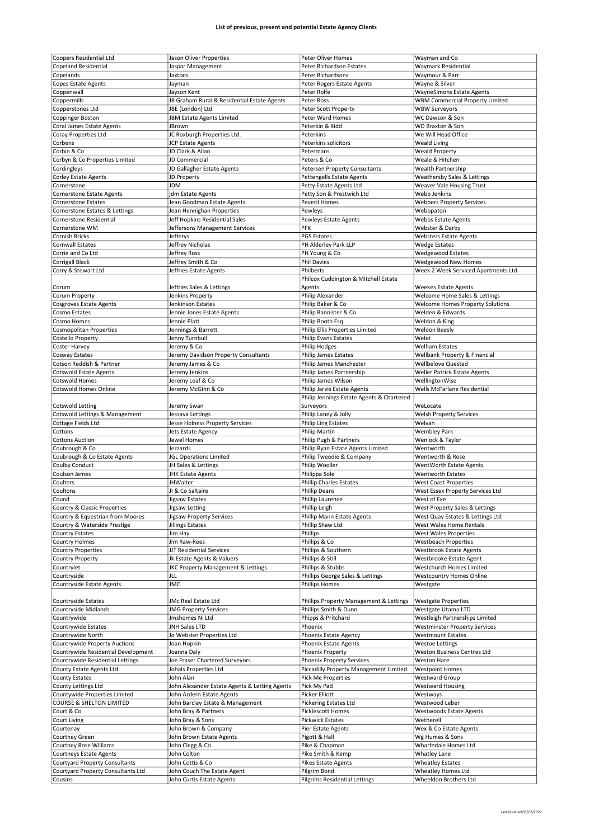| Coopers Residential Ltd                       |                                                          |                                                      |                                                    |
|-----------------------------------------------|----------------------------------------------------------|------------------------------------------------------|----------------------------------------------------|
|                                               | Jason Oliver Properties                                  | Peter Oliver Homes                                   | Wayman and Co                                      |
| <b>Copeland Residential</b>                   | Jaspar Management                                        | Peter Richardson Estates                             | Waymark Residential                                |
|                                               |                                                          |                                                      |                                                    |
| Copelands                                     | Jaxtons                                                  | Peter Richardsons                                    | Waymour & Parr                                     |
| <b>Copes Estate Agents</b>                    | Jayman                                                   | Peter Rogers Estate Agents                           | Wayne & Silver                                     |
|                                               |                                                          |                                                      |                                                    |
| Coppenwall                                    | Jayson Kent                                              | Peter Rolfe                                          | <b>WayneSimons Estate Agents</b>                   |
| Coppermills                                   | JB Graham Rural & Residential Estate Agents              | Peter Ross                                           | <b>WBM Commercial Property Limited</b>             |
| Copperstones Ltd                              | JBE (London) Ltd                                         | Peter Scott Property                                 | <b>WBW Surveyors</b>                               |
|                                               |                                                          |                                                      |                                                    |
| Coppinger Boston                              | JBM Estate Agents Limited                                | Peter Ward Homes                                     | WC Dawson & Son                                    |
| Coral James Estate Agents                     | JBrown                                                   | Peterkin & Kidd                                      | <b>WD Braxton &amp; Son</b>                        |
|                                               |                                                          |                                                      |                                                    |
| Coray Properties Ltd                          | JC Roxburgh Properties Ltd.                              | Peterkins                                            | We Will Head Office                                |
| Corbens                                       | JCP Estate Agents                                        | Peterkins solicitors                                 | <b>Weald Living</b>                                |
|                                               |                                                          |                                                      |                                                    |
| Corbin & Co                                   | JD Clark & Allan                                         | Petermans                                            | <b>Weald Property</b>                              |
| Corbyn & Co Properties Limited                | JD Commercial                                            | Peters & Co                                          | Weale & Hitchen                                    |
|                                               |                                                          |                                                      |                                                    |
| Cordingleys                                   | JD Gallagher Estate Agents                               | Petersen Property Consultants                        | Wealth Partnership                                 |
| <b>Corley Estate Agents</b>                   | JD Property                                              | Pettengells Estate Agents                            | Weathersby Sales & Lettings                        |
|                                               |                                                          |                                                      |                                                    |
| Cornerstone                                   | <b>JDM</b>                                               | Petty Estate Agents Ltd                              | Weaver Vale Housing Trust                          |
| <b>Cornerstone Estate Agents</b>              | jdm Estate Agents                                        | Petty Son & Prestwich Ltd                            | Webb Jenkins                                       |
|                                               |                                                          |                                                      |                                                    |
| <b>Cornerstone Estates</b>                    | Jean Goodman Estate Agents                               | Peveril Homes                                        | <b>Webbers Property Services</b>                   |
| Cornerstone Estates & Lettings                | Jean Hennighan Properties                                | Pewleys                                              | Webbpaton                                          |
|                                               |                                                          |                                                      |                                                    |
| Cornerstone Residential                       | Jeff Hopkins Residential Sales                           | Pewleys Estate Agents                                | <b>Webbs Estate Agents</b>                         |
| Cornerstone WM                                | Jeffersons Management Services                           | <b>PFK</b>                                           | Webster & Darby                                    |
|                                               |                                                          |                                                      |                                                    |
| <b>Cornish Bricks</b>                         | Jefferys                                                 | <b>PGS Estates</b>                                   | <b>Websters Estate Agents</b>                      |
| <b>Cornwall Estates</b>                       | Jeffrey Nicholas                                         | PH Alderley Park LLP                                 | <b>Wedge Estates</b>                               |
|                                               |                                                          |                                                      |                                                    |
| Corrie and Co Ltd                             | Jeffrey Ross                                             | PH Young & Co                                        | <b>Wedgewood Estates</b>                           |
| <b>Corrigall Black</b>                        | Jeffrey Smith & Co                                       | <b>Phil Davies</b>                                   | <b>Wedgewood New Homes</b>                         |
|                                               |                                                          | Philberts                                            |                                                    |
| Corry & Stewart Ltd                           | Jeffries Estate Agents                                   |                                                      | Week 2 Week Serviced Apartments Ltd                |
|                                               |                                                          | Philcox Cuddington & Mitchell Estate                 |                                                    |
|                                               | Jeffries Sales & Lettings                                |                                                      | <b>Weekes Estate Agents</b>                        |
| Corum                                         |                                                          | Agents                                               |                                                    |
| Corum Property                                | Jenkins Property                                         | Philip Alexander                                     | Welcome Home Sales & Lettings                      |
| <b>Cosgroves Estate Agents</b>                | Jenkinson Estates                                        | Philip Baker & Co                                    | Welcome Homes Property Solutions                   |
|                                               |                                                          |                                                      |                                                    |
| Cosmo Estates                                 | Jennie Jones Estate Agents                               | Philip Bannister & Co                                | Welden & Edwards                                   |
| Cosmo Homes                                   | Jennie Platt                                             | Philip Booth Esq                                     | Weldon & King                                      |
|                                               |                                                          |                                                      |                                                    |
| Cosmopolitan Properties                       | Jennings & Barrett                                       | Philip Ellis Properties Limited                      | <b>Weldon Beesly</b>                               |
| Costello Property                             | Jenny Turnbull                                           | Philip Evans Estates                                 | Welet                                              |
|                                               |                                                          |                                                      |                                                    |
| Coster Harvey                                 | Jeremy & Co                                              | <b>Philip Hodges</b>                                 | Welham Estates                                     |
| Cosway Estates                                | Jeremy Davidson Property Consultants                     | <b>Philip James Estates</b>                          | Wellbank Property & Financial                      |
|                                               |                                                          |                                                      |                                                    |
| Cotson Reddish & Partner                      | Jeremy James & Co                                        | Philip James Manchester                              | <b>Wellbelove Quested</b>                          |
| <b>Cotswold Estate Agents</b>                 | Jeremy Jenkins                                           | Philip James Partnership                             | Weller Patrick Estate Agents                       |
|                                               |                                                          |                                                      |                                                    |
| Cotswold Homes                                | Jeremy Leaf & Co                                         | Philip James Wilson                                  | WellingtonWise                                     |
| <b>Cotswold Homes Online</b>                  | Jeremy McGinn & Co                                       | Philip Jarvis Estate Agents                          | Wells McFarlane Residential                        |
|                                               |                                                          |                                                      |                                                    |
|                                               |                                                          | Philip Jennings Estate Agents & Chartered            |                                                    |
| <b>Cotswold Letting</b>                       | Jeremy Swan                                              | Surveyors                                            | WeLocate                                           |
|                                               |                                                          |                                                      |                                                    |
| Cotswold Lettings & Management                | Jessava Lettings                                         | Philip Laney & Jolly                                 | <b>Welsh Property Services</b>                     |
| Cottage Fields Ltd                            | Jesse Holness Property Services                          | <b>Philip Ling Estates</b>                           | Welvan                                             |
|                                               |                                                          |                                                      |                                                    |
| Cottons                                       | Jets Estate Agency                                       | Philip Martin                                        | <b>Wembley Park</b>                                |
| <b>Cottons Auction</b>                        | Jewel Homes                                              | Philip Pugh & Partners                               | Wenlock & Taylor                                   |
|                                               |                                                          |                                                      |                                                    |
| Coubrough & Co                                | Jezzards                                                 | Philip Ryan Estate Agents Limited                    | Wentworth                                          |
|                                               |                                                          |                                                      |                                                    |
|                                               |                                                          |                                                      |                                                    |
| Coubrough & Co Estate Agents                  | <b>JGL Operations Limited</b>                            | Philip Tweedie & Company                             | Wentworth & Rose                                   |
| Coulby Conduct                                | JH Sales & Lettings                                      | Philip Wooller                                       | WentWorth Estate Agents                            |
|                                               |                                                          |                                                      |                                                    |
| Coulson James                                 | <b>JHK Estate Agents</b>                                 | Philippa Sole                                        | <b>Wentworth Estates</b>                           |
| Coulters                                      | <b>JHWalter</b>                                          | <b>Phillip Charles Estates</b>                       | <b>West Coast Properties</b>                       |
|                                               |                                                          |                                                      |                                                    |
| Coultons                                      | JI & Co Saltaire                                         | <b>Phillip Deans</b>                                 | West Essex Property Services Ltd                   |
| couna                                         | Jigsaw Estates                                           | Phillip Laurence                                     | West of Exe                                        |
| Country & Classic Properties                  | Jigsaw Letting                                           | Phillip Leigh                                        | West Property Sales & Lettings                     |
|                                               |                                                          |                                                      |                                                    |
| Country & Equestrian from Moores              | Jigsaw Property Services                                 | Phillip Mann Estate Agents                           | West Quay Estates & Lettings Ltd                   |
| Country & Waterside Prestige                  |                                                          | Phillip Shaw Ltd                                     | West Wales Home Rentals                            |
|                                               | Jillings Estates                                         |                                                      |                                                    |
| Country Estates                               | Jim Hay                                                  | Phillips                                             | West Wales Properties                              |
| <b>Country Holmes</b>                         | Jim Raw-Rees                                             | Phillips & Co                                        | <b>Westbeach Properties</b>                        |
|                                               |                                                          |                                                      |                                                    |
| <b>Country Properties</b>                     | JJT Residential Services                                 | Phillips & Southern                                  | <b>Westbrook Estate Agents</b>                     |
| Country Property                              | Jk Estate Agents & Valuers                               | Phillips & Still                                     | Westbrooke Estate Agent                            |
|                                               |                                                          |                                                      |                                                    |
| Countrylet                                    | JKC Property Management & Lettings                       | Phillips & Stubbs                                    | Westchurch Homes Limited                           |
| Countryside                                   | JLL                                                      | Phillips George Sales & Lettings                     | <b>Westcountry Homes Online</b>                    |
|                                               |                                                          |                                                      |                                                    |
| Countryside Estate Agents                     | JMC                                                      | <b>Phillips Homes</b>                                | Westgate                                           |
|                                               |                                                          |                                                      |                                                    |
|                                               |                                                          |                                                      |                                                    |
| Countryside Estates                           | JMc Real Estate Ltd                                      | Phillips Property Management & Lettings              | <b>Westgate Properties</b>                         |
| Countryside Midlands                          | <b>JMG Property Services</b>                             | Phillips Smith & Dunn                                | Westgate Utama LTD                                 |
|                                               |                                                          |                                                      |                                                    |
| Countrywide                                   | Jmshomes Ni Ltd                                          | Phipps & Pritchard                                   | Westleigh Partnerships Limited                     |
| Countrywide Estates                           | JNH Sales LTD                                            | Phoenix                                              | <b>Westminster Property Services</b>               |
|                                               |                                                          |                                                      |                                                    |
| Countrywide North                             | Jo Webster Properties Ltd                                | Phoenix Estate Agency                                | <b>Westmount Estates</b>                           |
| <b>Countrywide Property Auctions</b>          | Joan Hopkin                                              | Phoenix Estate Agents                                | <b>Westoe Lettings</b>                             |
|                                               |                                                          |                                                      | Weston Business Centres Ltd                        |
| Countrywide Residential Development           | Joanna Daly                                              | Phoenix Property                                     |                                                    |
| Countrywide Residential Lettings              | Joe Fraser Chartered Surveyors                           | Phoenix Property Services                            | <b>Weston Hare</b>                                 |
|                                               |                                                          |                                                      |                                                    |
| County Estate Agents Ltd                      | Johals Properties Ltd                                    | Piccadilly Property Management Limited               | <b>Westpoint Homes</b>                             |
| <b>County Estates</b>                         | John Alan                                                | Pick Me Properties                                   | <b>Westward Group</b>                              |
|                                               |                                                          |                                                      | <b>Westward Housing</b>                            |
| County Lettings Ltd                           | John Alexander Estate Agents & Letting Agents            | Pick My Pad                                          |                                                    |
| Countywide Properties Limited                 | John Ardern Estate Agents                                | Picker Elliott                                       | Westways                                           |
|                                               |                                                          |                                                      |                                                    |
| <b>COURSE &amp; SHELTON LIMITED</b>           | John Barclay Estate & Management                         | Pickering Estates Ltd                                | Westwood Leber                                     |
| Court & Co                                    | John Bray & Partners                                     | <b>Picklescott Homes</b>                             | Westwoods Estate Agents                            |
|                                               |                                                          |                                                      |                                                    |
| Court Living                                  | John Bray & Sons                                         | Pickwick Estates                                     | Wetherell                                          |
| Courtenay                                     | John Brown & Company                                     | Pier Estate Agents                                   | Wex & Co Estate Agents                             |
|                                               |                                                          |                                                      |                                                    |
| Courtney Green                                | John Brown Estate Agents                                 | Pigott & Hall                                        | Wg Humes & Sons                                    |
| Courtney Rose Williams                        | John Clegg & Co                                          | Pike & Chapman                                       | Wharfedale Homes Ltd                               |
|                                               |                                                          |                                                      |                                                    |
| Courtneys Estate Agents                       | John Colton                                              | Pike Smith & Kemp                                    | Whatley Lane                                       |
| <b>Courtyard Property Consultants</b>         | John Cottis & Co                                         | <b>Pikes Estate Agents</b>                           | <b>Wheatley Estates</b>                            |
|                                               |                                                          |                                                      |                                                    |
| Courtyard Property Consultants Ltd<br>Cousins | John Couch The Estate Agent<br>John Curtis Estate Agents | Pilgrim Bond<br><b>Pilgrims Residential Lettings</b> | <b>Wheatley Homes Ltd</b><br>Wheeldon Brothers Ltd |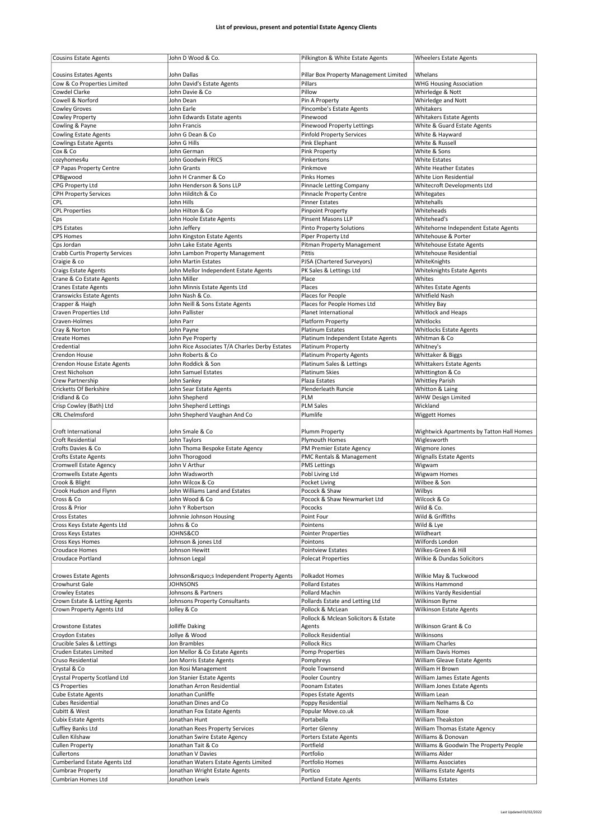| <b>Cousins Estate Agents</b>          | John D Wood & Co.                              | Pilkington & White Estate Agents       | <b>Wheelers Estate Agents</b>             |
|---------------------------------------|------------------------------------------------|----------------------------------------|-------------------------------------------|
| <b>Cousins Estates Agents</b>         | John Dallas                                    | Pillar Box Property Management Limited | Whelans                                   |
| Cow & Co Properties Limited           | John David's Estate Agents                     | Pillars                                | <b>WHG Housing Association</b>            |
| Cowdel Clarke                         | John Davie & Co                                | Pillow                                 | Whirledge & Nott                          |
| Cowell & Norford                      | John Dean                                      | Pin A Property                         | Whirledge and Nott                        |
| <b>Cowley Groves</b>                  | John Earle                                     | Pincombe's Estate Agents               | Whitakers                                 |
| Cowley Property                       | John Edwards Estate agents                     | Pinewood                               | <b>Whitakers Estate Agents</b>            |
| Cowling & Payne                       | John Francis                                   | Pinewood Property Lettings             | White & Guard Estate Agents               |
| <b>Cowling Estate Agents</b>          | John G Dean & Co                               | <b>Pinfold Property Services</b>       | White & Hayward                           |
| <b>Cowlings Estate Agents</b>         | John G Hills                                   | Pink Elephant                          | White & Russell                           |
| Cox & Co                              | John German                                    | Pink Property                          | White & Sons                              |
| cozvhomes4u                           | John Goodwin FRICS                             | Pinkertons                             | <b>White Estates</b>                      |
| CP Papas Property Centre              | John Grants                                    | Pinkmove                               | White Heather Estates                     |
| CPBigwood                             | John H Cranmer & Co                            | <b>Pinks Homes</b>                     | White Lion Residential                    |
| CPG Property Ltd                      | John Henderson & Sons LLP                      | Pinnacle Letting Company               | Whitecroft Developments Ltd               |
| <b>CPH Property Services</b>          | John Hilditch & Co                             | Pinnacle Property Centre               | Whitegates                                |
| CPL                                   | John Hills                                     | <b>Pinner Estates</b>                  | Whitehalls                                |
| <b>CPL Properties</b>                 | John Hilton & Co                               | <b>Pinpoint Property</b>               | Whiteheads                                |
|                                       | John Hoole Estate Agents                       | Pinsent Masons LLP                     | Whitehead's                               |
| Cps<br><b>CPS Estates</b>             | John Jeffery                                   | <b>Pinto Property Solutions</b>        | Whitehorne Independent Estate Agents      |
| <b>CPS Homes</b>                      | John Kingston Estate Agents                    | Piper Property Ltd                     | Whitehouse & Porter                       |
|                                       | John Lake Estate Agents                        |                                        |                                           |
| Cps Jordan                            |                                                | Pitman Property Management             | <b>Whitehouse Estate Agents</b>           |
| <b>Crabb Curtis Property Services</b> | John Lambon Property Management                | Pittis                                 | Whitehouse Residential                    |
| Craigie & co                          | John Martin Estates                            | PJSA (Chartered Surveyors)             | WhiteKnights                              |
| <b>Craigs Estate Agents</b>           | John Mellor Independent Estate Agents          | PK Sales & Lettings Ltd                | Whiteknights Estate Agents                |
| Crane & Co Estate Agents              | John Miller                                    | Place                                  | Whites                                    |
| <b>Cranes Estate Agents</b>           | John Minnis Estate Agents Ltd                  | Places                                 | <b>Whites Estate Agents</b>               |
| <b>Cranswicks Estate Agents</b>       | John Nash & Co.                                | Places for People                      | Whitfield Nash                            |
| Crapper & Haigh                       | John Neill & Sons Estate Agents                | Places for People Homes Ltd            | <b>Whitley Bay</b>                        |
| Craven Properties Ltd                 | John Pallister                                 | Planet International                   | Whitlock and Heaps                        |
| Craven-Holmes                         | John Parr                                      | Platform Property                      | Whitlocks                                 |
| Cray & Norton                         | John Payne                                     | Platinum Estates                       | <b>Whitlocks Estate Agents</b>            |
| Create Homes                          | John Pye Property                              | Platinum Independent Estate Agents     | Whitman & Co                              |
| Credential                            | John Rice Associates T/A Charles Derby Estates | Platinum Property                      | Whitney's                                 |
| Crendon House                         | John Roberts & Co                              | <b>Platinum Property Agents</b>        | Whittaker & Biggs                         |
| Crendon House Estate Agents           | John Roddick & Son                             | Platinum Sales & Lettings              | Whittakers Estate Agents                  |
| Crest Nicholson                       | John Samuel Estates                            | Platinum Skies                         | Whittington & Co                          |
| Crew Partnership                      | John Sankey                                    | Plaza Estates                          | <b>Whittley Parish</b>                    |
| <b>Cricketts Of Berkshire</b>         | John Sear Estate Agents                        | Plenderleath Runcie                    | Whitton & Laing                           |
| Cridland & Co                         | John Shepherd                                  | PLM                                    | <b>WHW Design Limited</b>                 |
| Crisp Cowley (Bath) Ltd               | John Shepherd Lettings                         | <b>PLM Sales</b>                       | Wickland                                  |
| <b>CRL Chelmsford</b>                 | John Shepherd Vaughan And Co                   | Plumlife                               | <b>Wiggett Homes</b>                      |
|                                       |                                                |                                        |                                           |
| Croft International                   | John Smale & Co                                | Plumm Property                         | Wightwick Apartments by Tatton Hall Homes |
| Croft Residential                     | John Taylors                                   | Plymouth Homes                         | Wiglesworth                               |
| Crofts Davies & Co                    | John Thoma Bespoke Estate Agency               | PM Premier Estate Agency               | Wigmore Jones                             |
|                                       |                                                | PMC Rentals & Management               |                                           |
| <b>Crofts Estate Agents</b>           | John Thorogood                                 |                                        | <b>Wignalls Estate Agents</b>             |
| Cromwell Estate Agency                | John V Arthur                                  | <b>PMS Lettings</b>                    | Wigwam                                    |
| <b>Cromwells Estate Agents</b>        | John Wadsworth                                 | Pobl Living Ltd                        | Wigwam Homes                              |
| Crook & Blight                        | John Wilcox & Co                               | Pocket Living                          | Wilbee & Son                              |
| Crook Hudson and Flynn                | John Williams Land and Estates                 | Pocock & Shaw                          | Wilbys                                    |
| Cross & Co                            | John Wood & Co                                 | Pocock & Shaw Newmarket Ltd            | Wilcock & Co                              |
| Cross & Prior                         | John Y Robertson                               | Pococks                                | Wild & Co.                                |
| <b>Cross Estates</b>                  | Johnnie Johnson Housing                        | Point Four                             | Wild & Griffiths                          |
| Cross Keys Estate Agents Ltd          | Johns & Co                                     | Pointens                               | Wild & Lye                                |
| Cross Keys Estates                    | JOHNS&CO                                       | <b>Pointer Properties</b>              | Wildheart                                 |
| Cross Keys Homes                      | Johnson & jones Ltd                            | Pointons                               | Wilfords London                           |
| Croudace Homes                        | Johnson Hewitt                                 | Pointview Estates                      | Wilkes-Green & Hill                       |
| <b>Croudace Portland</b>              | Johnson Legal                                  | <b>Polecat Properties</b>              | Wilkie & Dundas Solicitors                |
|                                       |                                                |                                        |                                           |
| <b>Crowes Estate Agents</b>           | Johnson's Independent Property Agents          | Polkadot Homes                         | Wilkie May & Tuckwood                     |
| Crowhurst Gale                        | <b>JOHNSONS</b>                                | <b>Pollard Estates</b>                 | <b>Wilkins Hammond</b>                    |
| <b>Crowley Estates</b>                | Johnsons & Partners                            | Pollard Machin                         | Wilkins Vardy Residential                 |
| Crown Estate & Letting Agents         | Johnsons Property Consultants                  | Pollards Estate and Letting Ltd        | Wilkinson Byrne                           |
| Crown Property Agents Ltd             | Jolley & Co                                    | Pollock & McLean                       | <b>Wilkinson Estate Agents</b>            |
|                                       |                                                | Pollock & Mclean Solicitors & Estate   |                                           |
| <b>Crowstone Estates</b>              | Jolliffe Daking                                | Agents                                 | Wilkinson Grant & Co                      |
| Croydon Estates                       | Jollye & Wood                                  | Pollock Residential                    | Wilkinsons                                |
| Crucible Sales & Lettings             | Jon Brambles                                   | <b>Pollock Rics</b>                    | William Charles                           |
| Cruden Estates Limited                | Jon Mellor & Co Estate Agents                  | Pomp Properties                        | William Davis Homes                       |
| Cruso Residential                     | Jon Morris Estate Agents                       | Pomphreys                              | William Gleave Estate Agents              |
| Crystal & Co                          | Jon Rosi Management                            | Poole Townsend                         | William H Brown                           |
| Crystal Property Scotland Ltd         | Jon Stanier Estate Agents                      | Pooler Country                         | William James Estate Agents               |
| <b>CS Properties</b>                  | Jonathan Arron Residential                     | Poonam Estates                         | William Jones Estate Agents               |
| Cube Estate Agents                    | Jonathan Cunliffe                              | Popes Estate Agents                    | William Lean                              |
| <b>Cubes Residential</b>              | Jonathan Dines and Co                          | Poppy Residential                      | William Nelhams & Co                      |
| Cubitt & West                         | Jonathan Fox Estate Agents                     | Popular Move.co.uk                     | William Rose                              |
| <b>Cubix Estate Agents</b>            | Jonathan Hunt                                  | Portabella                             | William Theakston                         |
| Cuffley Banks Ltd                     | Jonathan Rees Property Services                | Porter Glenny                          | William Thomas Estate Agency              |
| Cullen Kilshaw                        | Jonathan Swire Estate Agency                   | Porters Estate Agents                  | Williams & Donovan                        |
| <b>Cullen Property</b>                | Jonathan Tait & Co                             | Portfield                              | Williams & Goodwin The Property People    |
| Cullertons                            | Jonathan V Davies                              | Portfolio                              | Williams Alder                            |
| <b>Cumberland Estate Agents Ltd</b>   | Jonathan Waters Estate Agents Limited          | Portfolio Homes                        | <b>Williams Associates</b>                |
| Cumbrae Property                      | Jonathan Wright Estate Agents                  | Portico                                | <b>Williams Estate Agents</b>             |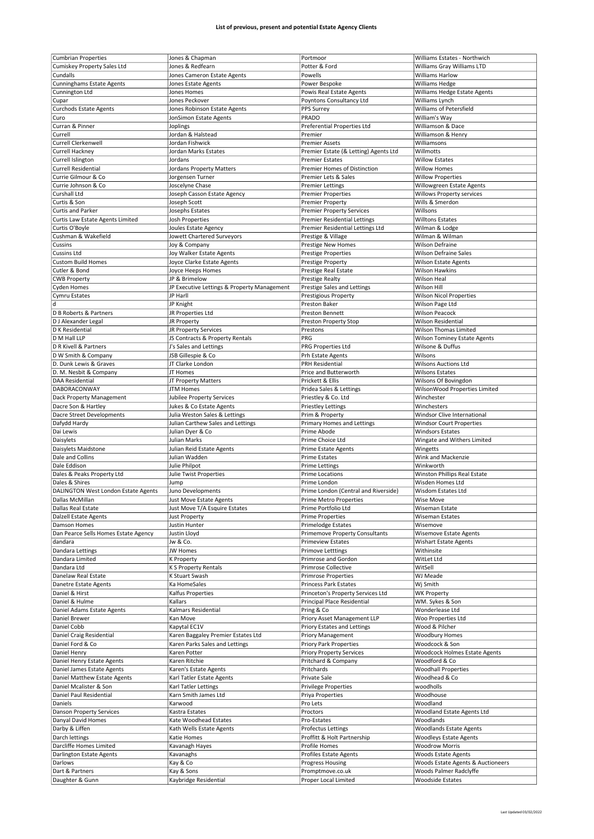| <b>Cumbrian Properties</b>           | Jones & Chapman                             | Portmoor                                 | Williams Estates - Northwich                      |
|--------------------------------------|---------------------------------------------|------------------------------------------|---------------------------------------------------|
|                                      |                                             |                                          |                                                   |
| Cumiskey Property Sales Ltd          | Jones & Redfearn                            | Potter & Ford                            | Williams Gray Williams LTD                        |
| Cundalls                             | Jones Cameron Estate Agents                 | Powells                                  | <b>Williams Harlow</b>                            |
| <b>Cunninghams Estate Agents</b>     | Jones Estate Agents                         | Power Bespoke                            | Williams Hedge                                    |
| Cunnington Ltd                       | Jones Homes                                 |                                          |                                                   |
|                                      |                                             | Powis Real Estate Agents                 | Williams Hedge Estate Agents                      |
| Cupar                                | Jones Peckover                              | Poyntons Consultancy Ltd                 | Williams Lynch                                    |
| <b>Curchods Estate Agents</b>        | Jones Robinson Estate Agents                | PPS Surrey                               | Williams of Petersfield                           |
| Curo                                 | JonSimon Estate Agents                      | PRADO                                    | William's Way                                     |
|                                      |                                             |                                          |                                                   |
| Curran & Pinner                      | Joplings                                    | Preferential Properties Ltd              | Williamson & Dace                                 |
| Currell                              | Jordan & Halstead                           | Premier                                  | Williamson & Henry                                |
| Currell Clerkenwell                  | Jordan Fishwick                             | <b>Premier Assets</b>                    | Williamsons                                       |
|                                      |                                             |                                          |                                                   |
| Currell Hackney                      | Jordan Marks Estates                        | Premier Estate (& Letting) Agents Ltd    | Willmotts                                         |
| Currell Islington                    | Jordans                                     | <b>Premier Estates</b>                   | <b>Willow Estates</b>                             |
| <b>Currell Residential</b>           | Jordans Property Matters                    | <b>Premier Homes of Distinction</b>      | <b>Willow Homes</b>                               |
|                                      |                                             |                                          |                                                   |
| Currie Gilmour & Co                  | Jorgensen Turner                            | Premier Lets & Sales                     | <b>Willow Properties</b>                          |
| Currie Johnson & Co                  | Joscelyne Chase                             | <b>Premier Lettings</b>                  | Willowgreen Estate Agents                         |
| Curshall Ltd                         | Joseph Casson Estate Agency                 | <b>Premier Properties</b>                | <b>Willows Property services</b>                  |
|                                      |                                             |                                          |                                                   |
| Curtis & Son                         | Joseph Scott                                | <b>Premier Property</b>                  | Wills & Smerdon                                   |
| Curtis and Parker                    | Josephs Estates                             | <b>Premier Property Services</b>         | Willsons                                          |
| Curtis Law Estate Agents Limited     | Josh Properties                             | <b>Premier Residential Lettings</b>      | <b>Willtons Estates</b>                           |
|                                      |                                             |                                          |                                                   |
| Curtis O'Boyle                       | Joules Estate Agency                        | Premier Residential Lettings Ltd         | Wilman & Lodge                                    |
| Cushman & Wakefield                  | Jowett Chartered Surveyors                  | Prestige & Village                       | Wilman & Wilman                                   |
| Cussins                              | Joy & Company                               | Prestige New Homes                       | <b>Wilson Defraine</b>                            |
|                                      |                                             |                                          |                                                   |
| <b>Cussins Ltd</b>                   | Joy Walker Estate Agents                    | <b>Prestige Properties</b>               | <b>Wilson Defraine Sales</b>                      |
| <b>Custom Build Homes</b>            | Joyce Clarke Estate Agents                  | Prestige Property                        | <b>Wilson Estate Agents</b>                       |
| Cutler & Bond                        | Joyce Heeps Homes                           | Prestige Real Estate                     | Wilson Hawkins                                    |
|                                      |                                             |                                          |                                                   |
| <b>CWB Property</b>                  | JP & Brimelow                               | Prestige Realty                          | <b>Wilson Heal</b>                                |
| Cyden Homes                          | JP Executive Lettings & Property Management | Prestige Sales and Lettings              | Wilson Hill                                       |
|                                      | JP Harll                                    | Prestigious Property                     |                                                   |
| Cymru Estates                        |                                             |                                          | <b>Wilson Nicol Properties</b>                    |
| d                                    | JP Knight                                   | Preston Baker                            | Wilson Page Ltd                                   |
| D B Roberts & Partners               | JR Properties Ltd                           | Preston Bennett                          | <b>Wilson Peacock</b>                             |
|                                      |                                             |                                          |                                                   |
| D J Alexander Legal                  | JR Property                                 | Preston Property Stop                    | <b>Wilson Residential</b>                         |
| D K Residential                      | JR Property Services                        | Prestons                                 | <b>Wilson Thomas Limited</b>                      |
| D M Hall LLP                         | JS Contracts & Property Rentals             | PRG                                      | <b>Wilson Tominey Estate Agents</b>               |
|                                      |                                             |                                          |                                                   |
| D R Kivell & Partners                | J's Sales and Lettings                      | PRG Properties Ltd                       | Wilsone & Duffus                                  |
| D W Smith & Company                  | JSB Gillespie & Co                          | Prh Estate Agents                        | Wilsons                                           |
| D. Dunk Lewis & Graves               | JT Clarke London                            | <b>PRH Residential</b>                   | <b>Wilsons Auctions Ltd</b>                       |
|                                      |                                             |                                          |                                                   |
| D. M. Nesbit & Company               | JT Homes                                    | Price and Butterworth                    | <b>Wilsons Estates</b>                            |
| <b>DAA Residential</b>               | JT Property Matters                         | Prickett & Ellis                         | Wilsons Of Bovingdon                              |
| DABORACONWAY                         | <b>JTM Homes</b>                            |                                          |                                                   |
|                                      |                                             | Pridea Sales & Lettings                  | WilsonWood Properties Limited                     |
| Dack Property Management             | Jubilee Property Services                   | Priestley & Co. Ltd                      | Winchester                                        |
| Dacre Son & Hartley                  | Jukes & Co Estate Agents                    | <b>Priestley Lettings</b>                | Winchesters                                       |
|                                      |                                             |                                          |                                                   |
| Dacre Street Developments            | Julia Weston Sales & Lettings               | Prim & Property                          | Windsor Clive International                       |
|                                      |                                             | Primary Homes and Lettings               | <b>Windsor Court Properties</b>                   |
| Dafydd Hardy                         | Julian Carthew Sales and Lettings           |                                          |                                                   |
|                                      |                                             |                                          |                                                   |
| Dai Lewis                            | Julian Dyer & Co                            | Prime Abode                              | <b>Windsors Estates</b>                           |
| Daisylets                            | Julian Marks                                | Prime Choice Ltd                         | Wingate and Withers Limited                       |
| Daisylets Maidstone                  | Julian Reid Estate Agents                   |                                          | Wingetts                                          |
|                                      |                                             | Prime Estate Agents                      |                                                   |
| Dale and Collins                     | Julian Wadden                               | <b>Prime Estates</b>                     | Wink and Mackenzie                                |
| Dale Eddison                         | Julie Philpot                               | <b>Prime Lettings</b>                    | Winkworth                                         |
| Dales & Peaks Property Ltd           | Julie Twist Properties                      | Prime Locations                          | Winston Phillips Real Estate                      |
|                                      |                                             |                                          |                                                   |
| Dales & Shires                       | Jump                                        | Prime London                             | Wisden Homes Ltd                                  |
| DALINGTON West London Estate Agents  | Juno Developments                           | Prime London (Central and Riverside)     | <b>Wisdom Estates Ltd</b>                         |
| Dallas McMillan                      |                                             | Prime Metro Properties                   | Wise Move                                         |
|                                      | Just Move Estate Agents                     |                                          |                                                   |
| Dallas Real Estate                   | Just Move T/A Esquire Estates               | Prime Portfolio Ltd                      | Wiseman Estate                                    |
| <b>Dalzell Estate Agents</b>         | Just Property                               | <b>Prime Properties</b>                  | <b>Wiseman Estates</b>                            |
| Damson Homes                         | Justin Hunter                               | Primelodge Estates                       | Wisemove                                          |
|                                      |                                             |                                          |                                                   |
| Dan Pearce Sells Homes Estate Agency | Justin Lloyd                                | <b>Primemove Property Consultants</b>    | Wisemove Estate Agents                            |
| dandara                              | Jw & Co.                                    | <b>Primeview Estates</b>                 | Wishart Estate Agents                             |
| Dandara Lettings                     | JW Homes                                    | Primove Letttings                        | Withinsite                                        |
|                                      |                                             |                                          |                                                   |
| Dandara Limited                      | K Property                                  | Primrose and Gordon                      | WitLet Ltd                                        |
| Dandara Ltd                          | K S Property Rentals                        | Primrose Collective                      | WitSell                                           |
| Danelaw Real Estate                  | K Stuart Swash                              | Primrose Properties                      | WJ Meade                                          |
|                                      |                                             |                                          |                                                   |
| Danetre Estate Agents                | Ka HomeSales                                | <b>Princess Park Estates</b>             | Wj Smith                                          |
| Daniel & Hirst                       | Kalfus Properties                           | Princeton's Property Services Ltd        | <b>WK Property</b>                                |
| Daniel & Hulme                       | Kallars                                     | Principal Place Residential              | WM. Sykes & Son                                   |
|                                      |                                             |                                          |                                                   |
| Daniel Adams Estate Agents           | Kalmars Residential                         | Pring & Co                               | Wonderlease Ltd                                   |
| Daniel Brewer                        | Kan Move                                    | Priory Asset Management LLP              | Woo Properties Ltd                                |
| Daniel Cobb                          | Kapytal EC1V                                | Priory Estates and Lettings              | Wood & Pilcher                                    |
|                                      |                                             |                                          |                                                   |
| Daniel Craig Residential             | Karen Baggaley Premier Estates Ltd          | <b>Priory Management</b>                 | Woodbury Homes                                    |
| Daniel Ford & Co                     | Karen Parks Sales and Lettings              | <b>Priory Park Properties</b>            | Woodcock & Son                                    |
| Daniel Henry                         | Karen Potter                                |                                          |                                                   |
|                                      |                                             | <b>Priory Property Services</b>          | Woodcock Holmes Estate Agents                     |
| Daniel Henry Estate Agents           | Karen Ritchie                               | Pritchard & Company                      | Woodford & Co                                     |
| Daniel James Estate Agents           | Karen's Estate Agents                       | Pritchards                               | <b>Woodhall Properties</b>                        |
|                                      |                                             |                                          |                                                   |
| Daniel Matthew Estate Agents         | Karl Tatler Estate Agents                   | Private Sale                             | Woodhead & Co                                     |
| Daniel Mcalister & Son               | Karl Tatler Lettings                        | <b>Privilege Properties</b>              | woodholls                                         |
|                                      |                                             |                                          |                                                   |
| Daniel Paul Residential              | Karn Smith James Ltd                        | Priya Properties                         | Woodhouse                                         |
| Daniels                              | Karwood                                     | Pro Lets                                 | Woodland                                          |
| <b>Danson Property Services</b>      | Kastra Estates                              | Proctors                                 | Woodland Estate Agents Ltd                        |
|                                      |                                             |                                          |                                                   |
| Danyal David Homes                   | Kate Woodhead Estates                       | Pro-Estates                              | Woodlands                                         |
| Darby & Liffen                       | Kath Wells Estate Agents                    | Profectus Lettings                       | <b>Woodlands Estate Agents</b>                    |
|                                      |                                             |                                          |                                                   |
| Darch lettings                       | Katie Homes                                 | Proffitt & Holt Partnership              | <b>Woodleys Estate Agents</b>                     |
| Darcliffe Homes Limited              | Kavanagh Hayes                              | Profile Homes                            | <b>Woodrow Morris</b>                             |
| Darlington Estate Agents             | Kavanaghs                                   | Profiles Estate Agents                   | Woods Estate Agents                               |
|                                      |                                             |                                          |                                                   |
| Darlows                              | Kay & Co                                    | Progress Housing                         | Woods Estate Agents & Auctioneers                 |
| Dart & Partners<br>Daughter & Gunn   | Kay & Sons<br>Kaybridge Residential         | Promptmove.co.uk<br>Proper Local Limited | Woods Palmer Radclyffe<br><b>Woodside Estates</b> |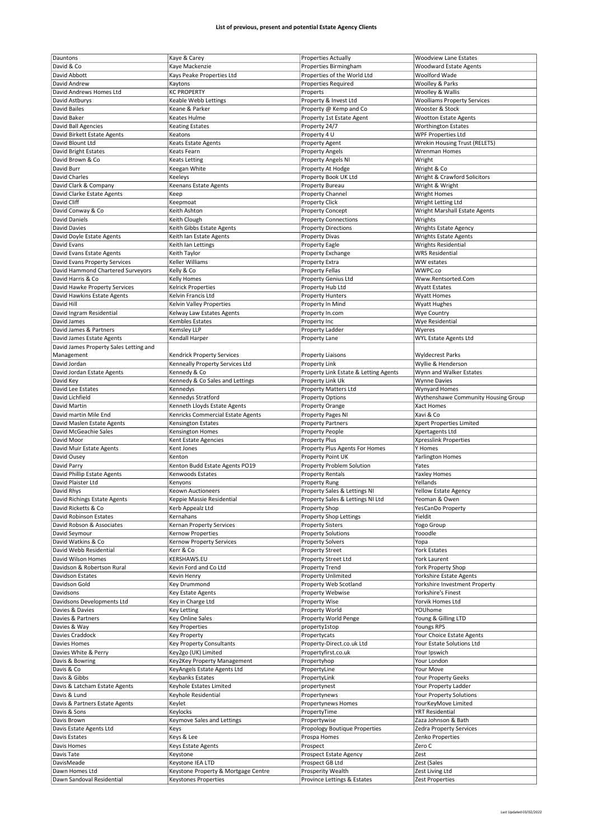| Dauntons                                    | Kaye & Carey                                                       | Properties Actually                              | <b>Woodview Lane Estates</b>        |
|---------------------------------------------|--------------------------------------------------------------------|--------------------------------------------------|-------------------------------------|
|                                             |                                                                    |                                                  |                                     |
| David & Co                                  | Kaye Mackenzie                                                     | Properties Birmingham                            | <b>Woodward Estate Agents</b>       |
| David Abbott                                | Kays Peake Properties Ltd                                          | Properties of the World Ltd                      | Woolford Wade                       |
| David Andrew                                | Kaytons                                                            | <b>Properties Required</b>                       | Woolley & Parks                     |
|                                             |                                                                    |                                                  |                                     |
| David Andrews Homes Ltd                     | <b>KC PROPERTY</b>                                                 | Properts                                         | <b>Woolley &amp; Wallis</b>         |
| David Astburys                              | Keable Webb Lettings                                               | Property & Invest Ltd                            | <b>Woolliams Property Services</b>  |
| David Bailes                                | Keane & Parker                                                     | Property @ Kemp and Co                           | Wooster & Stock                     |
|                                             |                                                                    |                                                  |                                     |
| David Baker                                 | Keates Hulme                                                       | Property 1st Estate Agent                        | <b>Wootton Estate Agents</b>        |
| David Ball Agencies                         | <b>Keating Estates</b>                                             | Property 24/7                                    | <b>Worthington Estates</b>          |
| David Birkett Estate Agents                 | Keatons                                                            | Property 4 U                                     | <b>WPF Properties Ltd</b>           |
|                                             |                                                                    |                                                  |                                     |
| David Blount Ltd                            | Keats Estate Agents                                                | <b>Property Agent</b>                            | Wrekin Housing Trust (RELETS)       |
| David Bright Estates                        | Keats Fearn                                                        | <b>Property Angels</b>                           | Wrenman Homes                       |
| David Brown & Co                            |                                                                    |                                                  |                                     |
|                                             | <b>Keats Letting</b>                                               | Property Angels NI                               | Wright                              |
| David Burr                                  | Keegan White                                                       | Property At Hodge                                | Wright & Co                         |
| David Charles                               | Keeleys                                                            | Property Book UK Ltd                             | Wright & Crawford Solicitors        |
|                                             |                                                                    |                                                  |                                     |
| David Clark & Company                       | Keenans Estate Agents                                              | <b>Property Bureau</b>                           | Wright & Wright                     |
| David Clarke Estate Agents                  | Keep                                                               | <b>Property Channel</b>                          | <b>Wright Homes</b>                 |
|                                             |                                                                    |                                                  |                                     |
| David Cliff                                 | Keepmoat                                                           | Property Click                                   | Wright Letting Ltd                  |
| David Conway & Co                           | Keith Ashton                                                       | <b>Property Concept</b>                          | Wright Marshall Estate Agents       |
| <b>David Daniels</b>                        | Keith Clough                                                       | <b>Property Connections</b>                      | Wrights                             |
|                                             |                                                                    |                                                  |                                     |
| David Davies                                | Keith Gibbs Estate Agents                                          | <b>Property Directions</b>                       | <b>Wrights Estate Agency</b>        |
| David Doyle Estate Agents                   | Keith Ian Estate Agents                                            | <b>Property Divas</b>                            | <b>Wrights Estate Agents</b>        |
| David Evans                                 |                                                                    |                                                  |                                     |
|                                             | Keith Ian Lettings                                                 | <b>Property Eagle</b>                            | <b>Wrights Residential</b>          |
| David Evans Estate Agents                   | Keith Taylor                                                       | Property Exchange                                | <b>WRS Residential</b>              |
| David Evans Property Services               | Keller Williams                                                    | Property Extra                                   | WW estates                          |
|                                             |                                                                    |                                                  |                                     |
| David Hammond Chartered Surveyors           | Kelly & Co                                                         | <b>Property Fellas</b>                           | WWPC.co                             |
| David Harris & Co                           | Kelly Homes                                                        | Property Genius Ltd                              | Www.Rentsorted.Com                  |
| David Hawke Property Services               | <b>Kelrick Properties</b>                                          | Property Hub Ltd                                 | <b>Wyatt Estates</b>                |
|                                             |                                                                    |                                                  |                                     |
| David Hawkins Estate Agents                 | Kelvin Francis Ltd                                                 | <b>Property Hunters</b>                          | <b>Wyatt Homes</b>                  |
| David Hill                                  | Kelvin Valley Properties                                           | Property In Mind                                 | <b>Wyatt Hughes</b>                 |
|                                             |                                                                    |                                                  |                                     |
| David Ingram Residential                    | Kelway Law Estates Agents                                          | Property In.com                                  | <b>Wye Country</b>                  |
| David James                                 | Kembles Estates                                                    | Property Inc                                     | <b>Wye Residential</b>              |
| David James & Partners                      | Kemsley LLP                                                        | Property Ladder                                  | Wyeres                              |
|                                             |                                                                    |                                                  |                                     |
| David James Estate Agents                   | Kendall Harper                                                     | Property Lane                                    | WYL Estate Agents Ltd               |
| David James Property Sales Letting and      |                                                                    |                                                  |                                     |
|                                             |                                                                    |                                                  |                                     |
| Management                                  | Kendrick Property Services                                         | <b>Property Liaisons</b>                         | <b>Wyldecrest Parks</b>             |
| David Jordan                                | Kenneally Property Services Ltd                                    | <b>Property Link</b>                             | Wyllie & Henderson                  |
| David Jordan Estate Agents                  | Kennedy & Co                                                       | Property Link Estate & Letting Agents            | Wynn and Walker Estates             |
|                                             |                                                                    |                                                  |                                     |
| David Key                                   | Kennedy & Co Sales and Lettings                                    | Property Link Uk                                 | <b>Wynne Davies</b>                 |
| David Lee Estates                           | Kennedys                                                           | <b>Property Matters Ltd</b>                      | <b>Wynyard Homes</b>                |
|                                             |                                                                    |                                                  |                                     |
| David Lichfield                             | Kennedys Stratford                                                 | <b>Property Options</b>                          | Wythenshawe Community Housing Group |
| David Martin                                | Kenneth Lloyds Estate Agents                                       | <b>Property Orange</b>                           | Xact Homes                          |
| David martin Mile End                       | Kenricks Commercial Estate Agents                                  | <b>Property Pages NI</b>                         | Xavi & Co                           |
|                                             |                                                                    |                                                  |                                     |
|                                             |                                                                    |                                                  |                                     |
| David Maslen Estate Agents                  | <b>Kensington Estates</b>                                          | <b>Property Partners</b>                         | Xpert Properties Limited            |
| David McGeachie Sales                       |                                                                    |                                                  |                                     |
|                                             | Kensington Homes                                                   | Property People                                  | Xpertagents Ltd                     |
| David Moor                                  | Kent Estate Agencies                                               | <b>Property Plus</b>                             | Xpresslink Properties               |
| David Muir Estate Agents                    | Kent Jones                                                         | Property Plus Agents For Homes                   | Y Homes                             |
|                                             |                                                                    |                                                  |                                     |
| David Ousey                                 | Kenton                                                             | Property Point UK                                | <b>Yarlington Homes</b>             |
| David Parry                                 | Kenton Budd Estate Agents PO19                                     | Property Problem Solution                        | Yates                               |
| David Phillip Estate Agents                 | Kenwoods Estates                                                   | <b>Property Rentals</b>                          | Yaxley Homes                        |
|                                             |                                                                    |                                                  |                                     |
| David Plaister Ltd                          | Kenyons                                                            | <b>Property Rung</b>                             | Yellands                            |
| David Rhys                                  | Keown Auctioneers                                                  | Property Sales & Lettings NI                     | Yellow Estate Agency                |
|                                             |                                                                    |                                                  |                                     |
| David Richings Estate Agents                | Keppie Massie Residential                                          | Property Sales & Lettings NI Ltd                 | Yeoman & Owen                       |
| David Ricketts & Co                         | Kerb Appealz Ltd                                                   | Property Shop                                    | YesCanDo Property                   |
| David Robinson Estates                      | Kernahans                                                          | Property Shop Lettings                           | Yieldit                             |
|                                             |                                                                    |                                                  |                                     |
| David Robson & Associates                   | Kernan Property Services                                           | <b>Property Sisters</b>                          | Yogo Group                          |
| David Seymour                               | Kernow Properties                                                  | <b>Property Solutions</b>                        | Yooodle                             |
| David Watkins & Co                          | Kernow Property Services                                           | <b>Property Solvers</b>                          | Yopa                                |
|                                             |                                                                    |                                                  |                                     |
| David Webb Residential                      | Kerr & Co                                                          | <b>Property Street</b>                           | <b>York Estates</b>                 |
| David Wilson Homes                          | KERSHAWS.EU                                                        | Property Street Ltd                              | York Laurent                        |
| Davidson & Robertson Rural                  | Kevin Ford and Co Ltd                                              | <b>Property Trend</b>                            | <b>York Property Shop</b>           |
|                                             |                                                                    |                                                  |                                     |
| <b>Davidson Estates</b>                     | Kevin Henry                                                        | <b>Property Unlimited</b>                        | Yorkshire Estate Agents             |
| Davidson Gold                               | Key Drummond                                                       | Property Web Scotland                            | Yorkshire Investment Property       |
| Davidsons                                   | Key Estate Agents                                                  | Property Webwise                                 | Yorkshire's Finest                  |
|                                             |                                                                    |                                                  |                                     |
| Davidsons Developments Ltd                  | Key in Charge Ltd                                                  | Property Wise                                    | Yorvik Homes Ltd                    |
| Davies & Davies                             | <b>Key Letting</b>                                                 | Property World                                   | YOUhome                             |
|                                             |                                                                    |                                                  |                                     |
| Davies & Partners                           | Key Online Sales                                                   | Property World Penge                             | Young & Gilling LTD                 |
| Davies & Way                                | <b>Key Properties</b>                                              | property1stop                                    | <b>Youngs RPS</b>                   |
| Davies Craddock                             | <b>Key Property</b>                                                | Propertycats                                     | Your Choice Estate Agents           |
|                                             |                                                                    |                                                  |                                     |
| Davies Homes                                | <b>Key Property Consultants</b>                                    | Property-Direct.co.uk Ltd                        | Your Estate Solutions Ltd           |
| Davies White & Perry                        | Key2go (UK) Limited                                                | Propertyfirst.co.uk                              | Your Ipswich                        |
|                                             |                                                                    |                                                  |                                     |
| Davis & Bowring                             | Key2Key Property Management                                        | Propertyhop                                      | Your London                         |
| Davis & Co                                  | KeyAngels Estate Agents Ltd                                        | PropertyLine                                     | Your Move                           |
| Davis & Gibbs                               | Keybanks Estates                                                   |                                                  |                                     |
|                                             |                                                                    | PropertyLink                                     | Your Property Geeks                 |
| Davis & Latcham Estate Agents               | Keyhole Estates Limited                                            | propertynest                                     | Your Property Ladder                |
| Davis & Lund                                | Keyhole Residential                                                | Propertynews                                     | Your Property Solutions             |
|                                             |                                                                    |                                                  |                                     |
| Davis & Partners Estate Agents              | Keylet                                                             | Propertynews Homes                               | YourKeyMove Limited                 |
| Davis & Sons                                | Keylocks                                                           | PropertyTime                                     | <b>YRT Residential</b>              |
|                                             |                                                                    |                                                  |                                     |
| Davis Brown                                 | Keymove Sales and Lettings                                         | Propertywise                                     | Zaza Johnson & Bath                 |
| Davis Estate Agents Ltd                     | Keys                                                               | Propology Boutique Properties                    | Zedra Property Services             |
| Davis Estates                               | Keys & Lee                                                         | Prospa Homes                                     | Zenko Properties                    |
|                                             |                                                                    |                                                  |                                     |
| Davis Homes                                 | Keys Estate Agents                                                 | Prospect                                         | Zero C                              |
| Davis Tate                                  | Keystone                                                           | Prospect Estate Agency                           | Zest                                |
| DavisMeade                                  |                                                                    |                                                  |                                     |
|                                             | Keystone IEA LTD                                                   | Prospect GB Ltd                                  | Zest (Sales                         |
| Dawn Homes Ltd<br>Dawn Sandoval Residential | Keystone Property & Mortgage Centre<br><b>Keystones Properties</b> | Prosperity Wealth<br>Province Lettings & Estates | Zest Living Ltd<br>Zest Properties  |